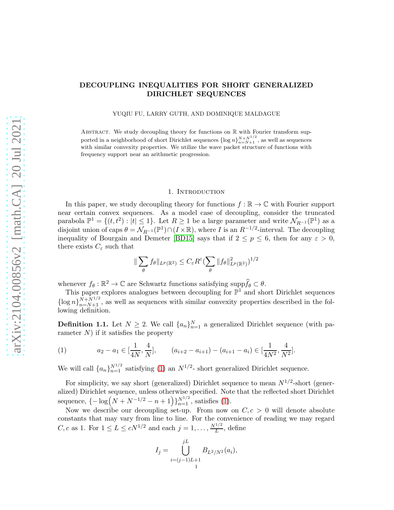# DECOUPLING INEQUALITIES FOR SHORT GENERALIZED DIRICHLET SEQUENCES

YUQIU FU, LARRY GUTH, AND DOMINIQUE MALDAGUE

ABSTRACT. We study decoupling theory for functions on  $\mathbb R$  with Fourier transform supported in a neighborhood of short Dirichlet sequences  $\{\log n\}_{n=N+1}^{N+N^{1/2}}$ , as well as sequences with similar convexity properties. We utilize the wave packet structure of functions with frequency support near an arithmetic progression.

#### 1. INTRODUCTION

In this paper, we study decoupling theory for functions  $f : \mathbb{R} \to \mathbb{C}$  with Fourier support near certain convex sequences. As a model case of decoupling, consider the truncated parabola  $\mathbb{P}^1 = \{(t, t^2) : |t| \leq 1\}$ . Let  $R \geq 1$  be a large parameter and write  $\mathcal{N}_{R^{-1}}(\mathbb{P}^1)$  as a disjoint union of caps  $\theta = \mathcal{N}_{R^{-1}}(\mathbb{P}^1) \cap (I \times \mathbb{R})$ , where I is an  $R^{-1/2}$ -interval. The decoupling inequality of Bourgain and Demeter [\[BD15\]](#page-52-0) says that if  $2 \le p \le 6$ , then for any  $\varepsilon > 0$ , there exists  $C_{\varepsilon}$  such that

$$
\|\sum_{\theta} f_{\theta}\|_{L^{p}(\mathbb{R}^2)} \leq C_{\varepsilon} R^{\varepsilon} \left(\sum_{\theta} \|f_{\theta}\|^{2}_{L^{p}(\mathbb{R}^2)}\right)^{1/2}
$$

whenever  $f_{\theta}: \mathbb{R}^2 \to \mathbb{C}$  are Schwartz functions satisfying supp $\widehat{f}_{\theta} \subset \theta$ .

This paper explores analogues between decoupling for  $\mathbb{P}^1$  and short Dirichlet sequences  $\{\log n\}_{n=N+1}^{N+N^{1/2}}$ , as well as sequences with similar convexity properties described in the following definition.

**Definition 1.1.** Let  $N \geq 2$ . We call  $\{a_n\}_{n=1}^N$  a generalized Dirichlet sequence (with parameter  $N$ ) if it satisfies the property

<span id="page-0-0"></span>(1) 
$$
a_2 - a_1 \in [\frac{1}{4N}, \frac{4}{N}], \qquad (a_{i+2} - a_{i+1}) - (a_{i+1} - a_i) \in [\frac{1}{4N^2}, \frac{4}{N^2}].
$$

We will call  $\{a_n\}_{n=1}^{N^{1/2}}$  satisfying [\(1\)](#page-0-0) an  $N^{1/2}$ - short generalized Dirichlet sequence.

For simplicity, we say short (generalized) Dirichlet sequence to mean  $N^{1/2}$ -short (generalized) Dirichlet sequence, unless otherwise specified. Note that the reflected short Dirichlet sequence,  ${-\log(N + N^{-1/2} - n + 1)}_{n=1}^{N^{1/2}}$ , satisfies [\(1\)](#page-0-0).

Now we describe our decoupling set-up. From now on  $C, c > 0$  will denote absolute constants that may vary from line to line. For the convenience of reading we may regard *C*, *c* as 1. For  $1 \le L \le cN^{1/2}$  and each  $j = 1, ..., \frac{N^{1/2}}{L}$  $\frac{L}{L}$ , define

$$
I_j = \bigcup_{i=(j-1)L+1}^{jL} B_{L^2/N^2}(a_i),
$$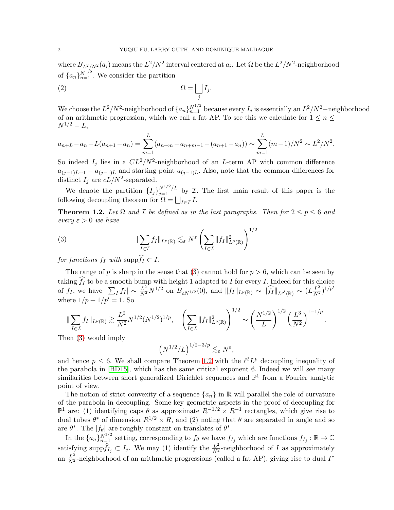where  $B_{L^2/N^2}(a_i)$  means the  $L^2/N^2$  interval centered at  $a_i$ . Let  $\Omega$  be the  $L^2/N^2$ -neighborhood of  $\{a_n\}_{n=1}^{N^{1/2}}$ . We consider the partition

$$
\Omega = \bigsqcup_j I_j.
$$

We choose the  $L^2/N^2$ -neighborhood of  $\{a_n\}_{n=1}^{N^{1/2}}$  because every  $I_j$  is essentially an  $L^2/N^2$ -neighborhood of an arithmetic progression, which we call a fat AP. To see this we calculate for  $1 \le n \le$  $N^{1/2} - L$ ,

$$
a_{n+L} - a_n - L(a_{n+1} - a_n) = \sum_{m=1}^{L} (a_{n+m} - a_{n+m-1} - (a_{n+1} - a_n)) \sim \sum_{m=1}^{L} (m-1)/N^2 \sim L^2/N^2.
$$

So indeed  $I_j$  lies in a  $CL^2/N^2$ -neighborhood of an L-term AP with common difference  $a_{(j-1)L+1} - a_{(j-1)L}$  and starting point  $a_{(j-1)L}$ . Also, note that the common differences for distinct  $I_j$  are  $cL/N^2$ -separated.

We denote the partition  $\{I_j\}_{j=1}^{N^{1/2}/L}$  by *T*. The first main result of this paper is the following decoupling theorem for  $\Omega = \bigsqcup_{I \in \mathcal{I}} I$ .

<span id="page-1-1"></span>**Theorem 1.2.** Let  $\Omega$  and  $\mathcal I$  be defined as in the last paragraphs. Then for  $2 \le p \le 6$  and *every*  $\varepsilon > 0$  *we have* 

<span id="page-1-0"></span>(3) 
$$
\|\sum_{I\in\mathcal{I}}f_I\|_{L^p(\mathbb{R})}\lesssim_{\varepsilon}N^{\varepsilon}\left(\sum_{I\in\mathcal{I}}\|f_I\|_{L^p(\mathbb{R})}^2\right)^{1/2}
$$

*for functions*  $f_I$  *with* supp $\widehat{f_I} \subset I$ .

The range of p is sharp in the sense that [\(3\)](#page-1-0) cannot hold for  $p > 6$ , which can be seen by taking  $f_I$  to be a smooth bump with height 1 adapted to I for every I. Indeed for this choice of  $f_I$ , we have  $|\sum_I f_I| \sim \frac{L^2}{N^2} N^{1/2}$  on  $B_{cN^{1/2}}(0)$ , and  $||f_I||_{L^p(\mathbb{R})} \sim ||\widehat{f_I}||_{L^{p'}(\mathbb{R})} \sim (L\frac{L^2}{N^2})^{1/p'}$ where  $1/p + 1/p' = 1$ . So

$$
\|\sum_{I\in\mathcal{I}}f_I\|_{L^p(\mathbb{R})}\gtrsim \frac{L^2}{N^2}N^{1/2}(N^{1/2})^{1/p},\quad \left(\sum_{I\in\mathcal{I}}\|f_I\|_{L^p(\mathbb{R})}^2\right)^{1/2}\sim \left(\frac{N^{1/2}}{L}\right)^{1/2}\left(\frac{L^3}{N^2}\right)^{1-1/p}
$$

.

Then [\(3\)](#page-1-0) would imply

$$
\left(N^{1/2}/L\right)^{1/2-3/p} \lesssim_{\varepsilon} N^{\varepsilon},
$$

and hence  $p \leq 6$ . We shall compare Theorem [1.2](#page-1-1) with the  $\ell^2 L^p$  decoupling inequality of the parabola in [\[BD15\]](#page-52-0), which has the same critical exponent 6. Indeed we will see many similarities between short generalized Dirichlet sequences and  $\mathbb{P}^1$  from a Fourier analytic point of view.

The notion of strict convexity of a sequence  $\{a_n\}$  in R will parallel the role of curvature of the parabola in decoupling. Some key geometric aspects in the proof of decoupling for <sup>p1</sup> are: (1) identifying caps θ as approximate  $R^{-1/2} \times R^{-1}$  rectangles, which give rise to dual tubes  $\theta^*$  of dimension  $R^{1/2} \times R$ , and (2) noting that  $\theta$  are separated in angle and so are  $\theta^*$ . The  $|f_{\theta}|$  are roughly constant on translates of  $\theta^*$ .

In the  ${a_n}_{n=1}^{N^{1/2}}$  setting, corresponding to  $f_\theta$  we have  $f_{I_j}$  which are functions  $f_{I_j} : \mathbb{R} \to \mathbb{C}$ satisfying supp $\widehat{f}_{I_j} \subset I_j$ . We may (1) identify the  $\frac{L^2}{N^2}$ -neighborhood of I as approximately an  $\frac{L^2}{N^2}$ -neighborhood of an arithmetic progressions (called a fat AP), giving rise to dual  $I^*$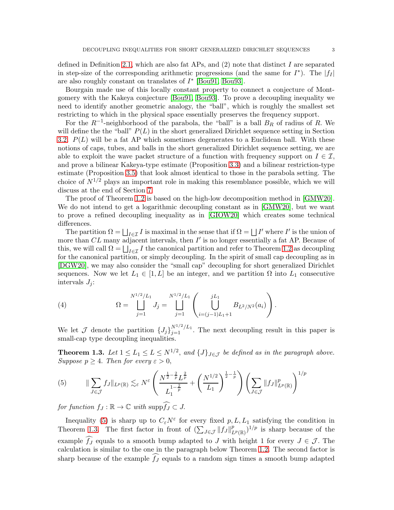defined in Definition [2.1,](#page-4-0) which are also fat APs, and  $(2)$  note that distinct I are separated in step-size of the corresponding arithmetic progressions (and the same for  $I^*$ ). The  $|f_I|$ are also roughly constant on translates of  $I^*$  [\[Bou91,](#page-52-1) [Bou93\]](#page-52-2).

Bourgain made use of this locally constant property to connect a conjecture of Montgomery with the Kakeya conjecture [\[Bou91,](#page-52-1) [Bou93\]](#page-52-2). To prove a decoupling inequality we need to identify another geometric analogy, the "ball", which is roughly the smallest set restricting to which in the physical space essentially preserves the frequency support.

For the  $R^{-1}$ -neighborhood of the parabola, the "ball" is a ball  $B_R$  of radius of R. We will define the the "ball"  $P(L)$  in the short generalized Dirichlet sequence setting in Section [3.2.](#page-8-0)  $P(L)$  will be a fat AP which sometimes degenerates to a Euclidean ball. With these notions of caps, tubes, and balls in the short generalized Dirichlet sequence setting, we are able to exploit the wave packet structure of a function with frequency support on  $I \in \mathcal{I}$ , and prove a bilinear Kakeya-type estimate (Proposition [3.3\)](#page-10-0) and a bilinear restriction-type estimate (Proposition [3.5\)](#page-11-0) that look almost identical to those in the parabola setting. The choice of  $N^{1/2}$  plays an important role in making this resemblance possible, which we will discuss at the end of Section [7.](#page-32-0)

The proof of Theorem [1.2](#page-1-1) is based on the high-low decomposition method in [\[GMW20\]](#page-52-3). We do not intend to get a logarithmic decoupling constant as in [\[GMW20\]](#page-52-3), but we want to prove a refined decoupling inequality as in [\[GIOW20\]](#page-52-4) which creates some technical differences.

The partition  $\Omega = \bigsqcup_{I \in \mathcal{I}} I$  is maximal in the sense that if  $\Omega = \bigsqcup I'$  where  $I'$  is the union of more than  $CL$  many adjacent intervals, then  $I'$  is no longer essentially a fat AP. Because of this, we will call  $\Omega = \bigsqcup_{I \in \mathcal{I}} I$  the canonical partition and refer to Theorem [1.2](#page-1-1) as decoupling for the canonical partition, or simply decoupling. In the spirit of small cap decoupling as in [\[DGW20\]](#page-52-5), we may also consider the "small cap" decoupling for short generalized Dirichlet sequences. Now we let  $L_1 \in [1, L]$  be an integer, and we partition  $\Omega$  into  $L_1$  consecutive intervals  $J_i$ :

(4) 
$$
\Omega = \bigcup_{j=1}^{N^{1/2}/L_1} J_j = \bigcup_{j=1}^{N^{1/2}/L_1} \left( \bigcup_{i=(j-1)L_1+1}^{jL_1} B_{L^2/N^2}(a_i) \right).
$$

We let  $\mathcal J$  denote the partition  $\{J_j\}_{j=1}^{N^{1/2}/L_1}$ . The next decoupling result in this paper is small-cap type decoupling inequalities.

<span id="page-2-1"></span>**Theorem 1.3.** Let  $1 \le L_1 \le L \le N^{1/2}$ , and  $\{J\}_{J \in \mathcal{J}}$  be defined as in the paragraph above. *Suppose*  $p \geq 4$ *. Then for every*  $\varepsilon > 0$ ,

<span id="page-2-0"></span>(5) 
$$
\|\sum_{J\in\mathcal{J}}f_J\|_{L^p(\mathbb{R})}\lesssim_{\varepsilon}N^{\varepsilon}\left(\frac{N^{\frac{1}{2}-\frac{2}{p}}L^{\frac{2}{p}}}{L_1^{1-\frac{2}{p}}}+\left(\frac{N^{1/2}}{L_1}\right)^{\frac{1}{2}-\frac{1}{p}}\right)\left(\sum_{J\in\mathcal{J}}\|f_J\|_{L^p(\mathbb{R})}^p\right)^{1/p}
$$

*for function*  $f_J : \mathbb{R} \to \mathbb{C}$  *with* supp $\widehat{f_J} \subset J$ .

Inequality [\(5\)](#page-2-0) is sharp up to  $C_{\varepsilon}N^{\varepsilon}$  for every fixed  $p, L, L_1$  satisfying the condition in Theorem [1.3.](#page-2-1) The first factor in front of  $(\sum_{J\in\mathcal{J}}||f_J||^p_{L^p(\mathbb{R})})^{1/p}$  is sharp because of the example  $\widehat{f}_J$  equals to a smooth bump adapted to J with height 1 for every  $J \in \mathcal{J}$ . The calculation is similar to the one in the paragraph below Theorem [1.2.](#page-1-1) The second factor is sharp because of the example  $\widehat{f}_J$  equals to a random sign times a smooth bump adapted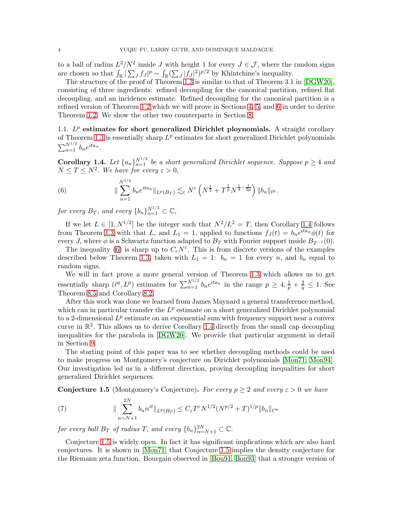to a ball of radius  $L^2/N^2$  inside J with height 1 for every  $J \in \mathcal{J}$ , where the random signs are chosen so that  $\int_{\mathbb{R}} |\sum_{J} f_J|^p \sim \int_{\mathbb{R}} (\sum_{J} |f_J|^2)^{p/2}$  by Khintchine's inequality.

The structure of the proof of Theorem [1.3](#page-2-1) is similar to that of Theorem 3.1 in [\[DGW20\]](#page-52-5), consisting of three ingredients: refined decoupling for the canonical partition, refined flat decoupling, and an incidence estimate. Refined decoupling for the canonical partition is a refined version of Theorem [1.2](#page-1-1) which we will prove in Sections [4,](#page-14-0) [5,](#page-19-0) and [6](#page-26-0) in order to derive Theorem [1.2.](#page-1-1) We show the other two counterparts in Section [8.](#page-37-0)

1.1.  $L^p$  estimates for short generalized Dirichlet ploynomials. A straight corollary of Theorem [1.3](#page-2-1) is essentially sharp  $L^p$  estimates for short generalized Dirichlet polynomials  $\sum_{n=1}^{N^{1/2}} b_n e^{ita_n}.$ 

<span id="page-3-0"></span>**Corollary 1.4.** Let  $\{a_n\}_{n=1}^{N^{1/2}}$  be a short generalized Dirichlet sequence. Suppose  $p \geq 4$  and  $N \leq T \leq N^2$ . We have for every  $\varepsilon > 0$ ,

<span id="page-3-1"></span>(6) 
$$
\|\sum_{n=1}^{N^{1/2}} b_n e^{ita_n}\|_{L^p(B_T)} \lesssim_{\varepsilon} N^{\varepsilon} \left(N^{\frac{1}{2}} + T^{\frac{1}{p}} N^{\frac{1}{4} - \frac{1}{2p}}\right) \|b_n\|_{\ell^p}.
$$

*for every*  $B_T$ , and every  $\{b_n\}_{n=1}^{N^{1/2}} \subset \mathbb{C}$ ,

If we let  $L \in [1, N^{1/2}]$  be the integer such that  $N^2/L^2 = T$ , then Corollary [1.4](#page-3-0) follows from Theorem [1.3](#page-2-1) with that L, and  $L_1 = 1$ , applied to functions  $f_J(t) = b_n e^{ita_n} \phi(t)$  for every J, where  $\phi$  is a Schwartz function adapted to  $B_T$  with Fourier support inside  $B_{T^{-1}}(0)$ .

The inequality [\(6\)](#page-3-1) is sharp up to  $C_{\varepsilon}N^{\varepsilon}$ . This is from discrete versions of the examples described below Theorem [1.3,](#page-2-1) taken with  $L_1 = 1$ :  $b_n = 1$  for every n, and  $b_n$  equal to random signs.

We will in fact prove a more general version of Theorem [1.3](#page-2-1) which allows us to get essentially sharp  $(\ell^q, L^p)$  estimates for  $\sum_{n=1}^{N^{1/2}} b_n e^{ita_n}$  in the range  $p \geq 4, \frac{1}{p} + \frac{3}{q} \leq 1$ . See Theorem [8.5](#page-42-0) and Corollary [8.2.](#page-38-0)

After this work was done we learned from James Maynard a general transference method, which can in particular transfer the  $L^p$  estimate on a short generalized Dirichlet polynomial to a 2-dimensional  $L^p$  estimate on an exponential sum with frequency support near a convex curve in  $\mathbb{R}^2$ . This allows us to derive Corollary [1.4](#page-3-0) directly from the small cap decoupling inequalities for the parabola in [\[DGW20\]](#page-52-5). We provide that particular argument in detail in Section [9.](#page-48-0)

The starting point of this paper was to see whether decoupling methods could be used to make progress on Montgomery's conjecture on Dirichlet polynomials [\[Mon71,](#page-53-0) [Mon94\]](#page-53-1). Our investigation led us in a different direction, proving decoupling inequalities for short generalized Dirichlet sequences.

<span id="page-3-2"></span>**Conjecture 1.5** (Montgomery's Conjecture). *For every*  $p \geq 2$  *and every*  $\varepsilon > 0$  *we have* 

<span id="page-3-3"></span>(7) 
$$
\|\sum_{n=N+1}^{2N} b_n n^{it} \|_{L^p(B_T)} \le C_{\varepsilon} T^{\varepsilon} N^{1/2} (N^{p/2} + T)^{1/p} \|b_n\|_{\ell^\infty}
$$

*for every ball*  $B_T$  *of radius*  $T$ *, and every*  $\{b_n\}_{n=N+1}^{2N} \subset \mathbb{C}$ *.* 

Conjecture [1.5](#page-3-2) is widely open. In fact it has significant implications which are also hard conjectures. It is shown in [\[Mon71\]](#page-53-0) that Conjecture [1.5](#page-3-2) implies the density conjecture for the Riemann zeta function. Bourgain observed in [\[Bou91,](#page-52-1) [Bou93\]](#page-52-2) that a stronger version of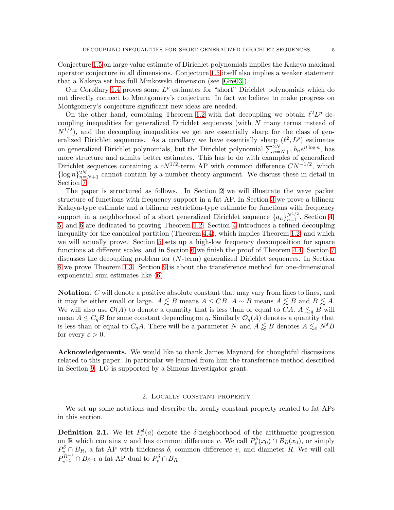Conjecture [1.5](#page-3-2) on large value estimate of Dirichlet polynomials implies the Kakeya maximal operator conjecture in all dimensions. Conjecture [1.5](#page-3-2) itself also implies a weaker statement that a Kakeya set has full Minkowski dimension (see [\[Gre03\]](#page-52-6)).

Our Corollary [1.4](#page-3-0) proves some  $L^p$  estimates for "short" Dirichlet polynomials which do not directly connect to Montgomery's conjecture. In fact we believe to make progress on Montgomery's conjecture significant new ideas are needed.

On the other hand, combining Theorem [1.2](#page-1-1) with flat decoupling we obtain  $\ell^2 L^p$  decoupling inequalities for generalized Dirichlet sequences (with N many terms instead of  $N^{1/2}$ , and the decoupling inequalities we get are essentially sharp for the class of generalized Dirichlet sequences. As a corollary we have essentially sharp  $(\ell^2, L^p)$  estimates on generalized Dirichlet polynomials, but the Dirichlet polynomial  $\sum_{n=N+1}^{2N} b_n e^{it \log n}$ , has more structure and admits better estimates. This has to do with examples of generalized Dirichlet sequences containing a  $cN^{1/2}$ -term AP with common difference  $CN^{-1/2}$ , which  $\{\log n\}_{n=N+1}^{2N}$  cannot contain by a number theory argument. We discuss these in detail in Section [7.](#page-32-0)

The paper is structured as follows. In Section [2](#page-4-1) we will illustrate the wave packet structure of functions with frequency support in a fat AP. In Section [3](#page-7-0) we prove a bilinear Kakeya-type estimate and a bilinear restriction-type estimate for functions with frequency support in a neighborhood of a short generalized Dirichlet sequence  $\{a_n\}_{n=1}^{N^{1/2}}$ . Section [4,](#page-14-0) [5,](#page-19-0) and [6](#page-26-0) are dedicated to proving Theorem [1.2.](#page-1-1) Section [4](#page-14-0) introduces a refined decoupling inequality for the canonical partition (Theorem [4.4\)](#page-15-0), which implies Theorem [1.2,](#page-1-1) and which we will actually prove. Section [5](#page-19-0) sets up a high-low frequency decomposition for square functions at different scales, and in Section [6](#page-26-0) we finish the proof of Theorem [4.4.](#page-15-0) Section [7](#page-32-0) discusses the decoupling problem for (N-term) generalized Dirichlet sequences. In Section [8](#page-37-0) we prove Theorem [1.3.](#page-2-1) Section [9](#page-48-0) is about the transference method for one-dimensional exponential sum estimates like [\(6\)](#page-3-1).

Notation. C will denote a positive absolute constant that may vary from lines to lines, and it may be either small or large.  $A \leq B$  means  $A \leq CB$ .  $A \sim B$  means  $A \leq B$  and  $B \leq A$ . We will also use  $\mathcal{O}(A)$  to denote a quantity that is less than or equal to CA.  $A \lesssim_q B$  will mean  $A \leq C_q B$  for some constant depending on q. Similarly  $\mathcal{O}_q(A)$  denotes a quantity that is less than or equal to  $C_qA$ . There will be a parameter N and  $A \lessapprox B$  denotes  $A \lesssim_{\varepsilon} N^{\varepsilon}B$ for every  $\varepsilon > 0$ .

Acknowledgements. We would like to thank James Maynard for thoughtful discussions related to this paper. In particular we learned from him the transference method described in Section [9.](#page-48-0) LG is supported by a Simons Investigator grant.

## 2. Locally constant property

<span id="page-4-1"></span>We set up some notations and describe the locally constant property related to fat APs in this section.

<span id="page-4-0"></span>**Definition 2.1.** We let  $P_v^{\delta}(a)$  denote the  $\delta$ -neighborhood of the arithmetic progression on R which contains a and has common difference v. We call  $P_v^{\delta}(x_0) \cap B_R(x_0)$ , or simply  $P_{v}^{\delta} \cap B_{R}$ , a fat AP with thickness  $\delta$ , common difference v, and diameter R. We will call  $P_{v^{-1}}^{R^{-1}} \cap B_{\delta^{-1}}$  a fat AP dual to  $P_v^{\delta} \cap B_R$ .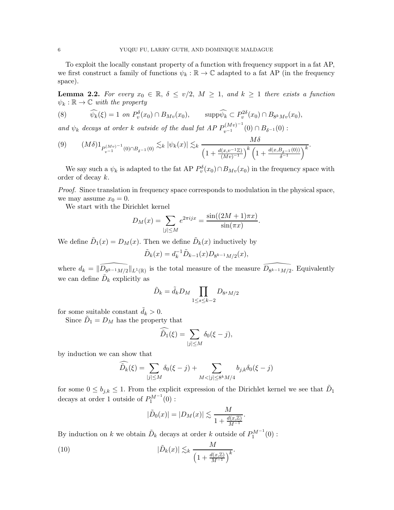To exploit the locally constant property of a function with frequency support in a fat AP, we first construct a family of functions  $\psi_k : \mathbb{R} \to \mathbb{C}$  adapted to a fat AP (in the frequency space).

<span id="page-5-3"></span>**Lemma 2.2.** For every  $x_0 \in \mathbb{R}$ ,  $\delta \le v/2$ ,  $M \ge 1$ , and  $k \ge 1$  there exists a function  $\psi_k : \mathbb{R} \to \mathbb{C}$  *with the property* 

<span id="page-5-0"></span>(8) 
$$
\widehat{\psi_k}(\xi) = 1 \text{ on } P_v^{\delta}(x_0) \cap B_{Mv}(x_0), \qquad \text{supp}\widehat{\psi_k} \subset P_v^{2\delta}(x_0) \cap B_{8^k Mv}(x_0),
$$

*and*  $\psi_k$  *decays at order* k *outside of the dual fat AP*  $P_{v^{-1}}^{(Mv)^{-1}}(0) \cap B_{\delta^{-1}}(0)$ :

<span id="page-5-2"></span>
$$
(9) \qquad (M\delta)1_{P_{v^{-1}}^{(Mv)^{-1}}(0)\cap B_{\delta^{-1}}(0)} \lesssim_k |\psi_k(x)| \lesssim_k \frac{M\delta}{\left(1+\frac{d(x,v^{-1}\mathbb{Z})}{(Mv)^{-1}}\right)^k \left(1+\frac{d(x,B_{\delta^{-1}}(0))}{\delta^{-1}}\right)^k}.
$$

We say such a  $\psi_k$  is adapted to the fat AP  $P_v^{\delta}(x_0) \cap B_{Mv}(x_0)$  in the frequency space with order of decay k.

*Proof.* Since translation in frequency space corresponds to modulation in the physical space, we may assume  $x_0 = 0$ .

We start with the Dirichlet kernel

$$
D_M(x) = \sum_{|j| \le M} e^{2\pi i j x} = \frac{\sin((2M+1)\pi x)}{\sin(\pi x)}.
$$

We define  $\tilde{D}_1(x) = D_M(x)$ . Then we define  $\tilde{D}_k(x)$  inductively by

$$
\tilde{D}_k(x) = d_k^{-1} \tilde{D}_{k-1}(x) D_{8^{k-1}M/2}(x),
$$

where  $d_k = ||D_{8^{k-1}M/2}||_{L^1(\mathbb{R})}$  is the total measure of the measure  $D_{8^{k-1}M/2}$ . Equivalently we can define  $\tilde{D}_k$  explicitly as

$$
\tilde{D}_k = \tilde{d}_k D_M \prod_{1 \le s \le k-2} D_{8^s M/2}
$$

for some suitable constant  $\tilde{d}_k > 0$ .

Since  $\tilde{D}_1 = D_M$  has the property that

$$
\widehat{\tilde{D}_1}(\xi) = \sum_{|j| \le M} \delta_0(\xi - j),
$$

by induction we can show that

$$
\widetilde{\widehat{D}_k}(\xi) = \sum_{|j| \le M} \delta_0(\xi - j) + \sum_{M < |j| \le 8^k M/4} b_{j,k} \delta_0(\xi - j)
$$

for some  $0 \leq b_{j,k} \leq 1$ . From the explicit expression of the Dirichlet kernel we see that  $\tilde{D}_1$ decays at order 1 outside of  $P_1^{M^{-1}}(0)$ :

<span id="page-5-1"></span>
$$
|\tilde{D}_0(x)| = |D_M(x)| \lesssim \frac{M}{1 + \frac{d(x,\mathbb{Z})}{M^{-1}}}.
$$

By induction on k we obtain  $\tilde{D}_k$  decays at order k outside of  $P_1^{M^{-1}}(0)$ :

(10) 
$$
|\tilde{D}_k(x)| \lesssim_k \frac{M}{\left(1 + \frac{d(x,\mathbb{Z})}{M^{-1}}\right)^k}.
$$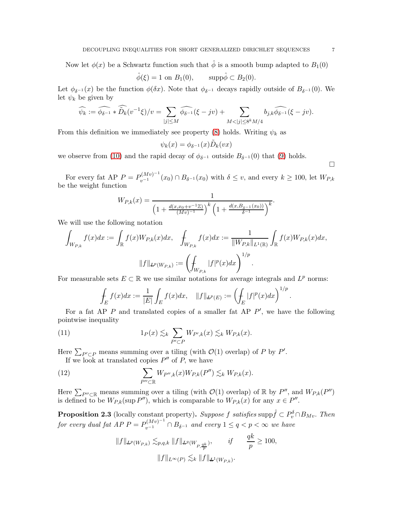Now let  $\phi(x)$  be a Schwartz function such that  $\hat{\phi}$  is a smooth bump adapted to  $B_1(0)$ 

$$
\hat{\phi}(\xi) = 1 \text{ on } B_1(0), \qquad \text{supp}\hat{\phi} \subset B_2(0).
$$

Let  $\phi_{\delta^{-1}}(x)$  be the function  $\phi(\delta x)$ . Note that  $\phi_{\delta^{-1}}$  decays rapidly outside of  $B_{\delta^{-1}}(0)$ . We let  $\psi_k$  be given by

$$
\widehat{\psi_k} := \widehat{\phi_{\delta^{-1}}} * \widehat{\tilde{D}_k}(v^{-1}\xi)/v = \sum_{|j| \le M} \widehat{\phi_{\delta^{-1}}}(\xi - jv) + \sum_{M < |j| \le 8^k M/4} b_{j,k} \widehat{\phi_{\delta^{-1}}}(\xi - jv).
$$

From this definition we immediately see property [\(8\)](#page-5-0) holds. Writing  $\psi_k$  as

$$
\psi_k(x) = \phi_{\delta^{-1}}(x) \tilde{D}_k(vx)
$$

we observe from [\(10\)](#page-5-1) and the rapid decay of  $\phi_{\delta^{-1}}$  outside  $B_{\delta^{-1}}(0)$  that [\(9\)](#page-5-2) holds.

For every fat AP  $P = P_{v-1}^{(Mv)-1}(x_0) \cap B_{\delta^{-1}}(x_0)$  with  $\delta \le v$ , and every  $k \ge 100$ , let  $W_{P,k}$ be the weight function

$$
W_{P,k}(x) = \frac{1}{\left(1 + \frac{d(x,x_0 + v^{-1}\mathbb{Z})}{(Mv)^{-1}}\right)^k \left(1 + \frac{d(x,B_{\delta^{-1}}(x_0))}{\delta^{-1}}\right)^k}.
$$

We will use the following notation

$$
\int_{W_{P,k}} f(x)dx := \int_{\mathbb{R}} f(x)W_{P,k}(x)dx, \quad \int_{W_{P,k}} f(x)dx := \frac{1}{\|W_{P,k}\|_{L^{1}(\mathbb{R})}} \int_{\mathbb{R}} f(x)W_{P,k}(x)dx,
$$

$$
\|f\|_{L^{p}(W_{P,k})} := \left(\int_{W_{P,k}} |f|^{p}(x)dx\right)^{1/p}.
$$

For measurable sets  $E \subset \mathbb{R}$  we use similar notations for average integrals and  $L^p$  norms:

$$
\int_E f(x)dx := \frac{1}{|E|} \int_E f(x)dx, \quad ||f||_{L^p(E)} := \left(\int_E |f|^p(x)dx\right)^{1/p}.
$$

For a fat AP  $P$  and translated copies of a smaller fat AP  $P'$ , we have the following pointwise inequality

(11) 
$$
1_P(x) \lesssim_k \sum_{P' \subset P} W_{P',k}(x) \lesssim_k W_{P,k}(x).
$$

Here  $\sum_{P' \subset P}$  means summing over a tiling (with  $\mathcal{O}(1)$  overlap) of P by P'.

If we look at translated copies  $P''$  of P, we have

(12) 
$$
\sum_{P'' \subset \mathbb{R}} W_{P'',k}(x) W_{P,k}(P'') \lesssim_k W_{P,k}(x).
$$

Here  $\sum_{P''\subset \mathbb{R}}$  means summing over a tiling (with  $\mathcal{O}(1)$  overlap) of  $\mathbb{R}$  by  $P''$ , and  $W_{P,k}(P'')$ is defined to be  $W_{P,k}(\sup P'')$ , which is comparable to  $W_{P,k}(x)$  for any  $x \in P''$ .

<span id="page-6-1"></span>**Proposition 2.3** (locally constant property). Suppose f satisfies supp $\hat{f} \subset P_v^{\delta} \cap B_{Mv}$ . Then *for every dual fat AP P* =  $P_{v^{-1}}^{(Mv)^{-1}} \cap B_{\delta^{-1}}$  *and every*  $1 \le q < p < \infty$  *we have* 

<span id="page-6-0"></span>
$$
||f||_{L^{p}(W_{P,k})} \lesssim_{p,q,k} ||f||_{L^{q}(W_{P,\frac{qk}{p}})}, \qquad if \qquad \frac{qk}{p} \ge 100,
$$
  

$$
||f||_{L^{\infty}(P)} \lesssim_k ||f||_{L^{1}(W_{P,k})}.
$$

 $\Box$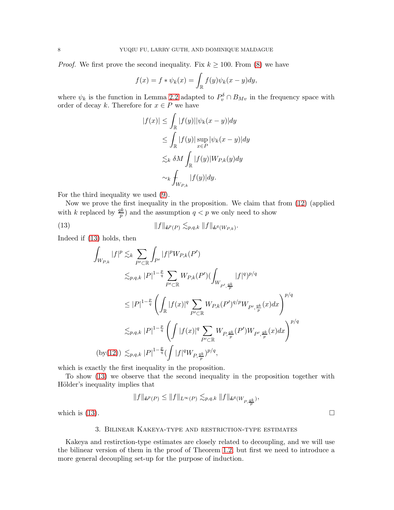*Proof.* We first prove the second inequality. Fix  $k \geq 100$ . From [\(8\)](#page-5-0) we have

$$
f(x) = f * \psi_k(x) = \int_{\mathbb{R}} f(y)\psi_k(x - y)dy,
$$

where  $\psi_k$  is the function in Lemma [2.2](#page-5-3) adapted to  $P_v^{\delta} \cap B_{Mv}$  in the frequency space with order of decay k. Therefore for  $x \in P$  we have

$$
|f(x)| \leq \int_{\mathbb{R}} |f(y)| |\psi_k(x - y)| dy
$$
  
\n
$$
\leq \int_{\mathbb{R}} |f(y)| \sup_{x \in P} |\psi_k(x - y)| dy
$$
  
\n
$$
\lesssim_k \delta M \int_{\mathbb{R}} |f(y)| W_{P,k}(y) dy
$$
  
\n
$$
\sim_k \int_{W_{P,k}} |f(y)| dy.
$$

For the third inequality we used [\(9\)](#page-5-2).

Now we prove the first inequality in the proposition. We claim that from [\(12\)](#page-6-0) (applied with k replaced by  $\frac{qk}{p}$  and the assumption  $q < p$  we only need to show

(13) 
$$
||f||_{L^p(P)} \lesssim_{p,q,k} ||f||_{L^q(W_{P,k})}.
$$

Indeed if [\(13\)](#page-7-1) holds, then

<span id="page-7-1"></span>
$$
\int_{W_{P,k}} |f|^p \lesssim_k \sum_{P' \subset \mathbb{R}} \int_{P'} |f|^p W_{P,k}(P')
$$
\n
$$
\lesssim_{p,q,k} |P|^{1-\frac{p}{q}} \sum_{P' \subset \mathbb{R}} W_{P,k}(P') \left( \int_{W_{P',\frac{q_k}{p}}} |f|^q \right)^{p/q}
$$
\n
$$
\leq |P|^{1-\frac{p}{q}} \left( \int_{\mathbb{R}} |f(x)|^q \sum_{P' \subset \mathbb{R}} W_{P,k}(P')^{q/p} W_{P',\frac{q_k}{p}}(x) dx \right)^{p/q}
$$
\n
$$
\lesssim_{p,q,k} |P|^{1-\frac{p}{q}} \left( \int |f(x)|^q \sum_{P' \subset \mathbb{R}} W_{P,\frac{q_k}{p}}(P') W_{P',\frac{q_k}{p}}(x) dx \right)^{p/q}
$$
\n
$$
(by(12)) \lesssim_{p,q,k} |P|^{1-\frac{p}{q}} \left( \int |f|^q W_{P,\frac{q_k}{p}} \right)^{p/q},
$$

which is exactly the first inequality in the proposition.

To show [\(13\)](#page-7-1) we observe that the second inequality in the proposition together with Hölder's inequality implies that

$$
||f||_{L^p(P)} \le ||f||_{L^{\infty}(P)} \lesssim_{p,q,k} ||f||_{L^q(W_{P,\frac{qk}{p}})},
$$

<span id="page-7-0"></span>which is  $(13)$ .

#### 3. Bilinear Kakeya-type and restriction-type estimates

Kakeya and restirction-type estimates are closely related to decoupling, and we will use the bilinear version of them in the proof of Theorem [1.2,](#page-1-1) but first we need to introduce a more general decoupling set-up for the purpose of induction.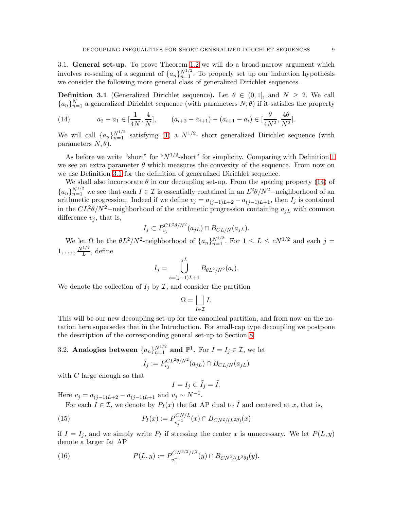3.1. General set-up. To prove Theorem [1.2](#page-1-1) we will do a broad-narrow argument which involves re-scaling of a segment of  $\{a_n\}_{n=1}^{N^{1/2}}$ . To properly set up our induction hypothesis we consider the following more general class of generalized Dirichlet sequences.

<span id="page-8-1"></span>**Definition 3.1** (Generalized Dirichlet sequence). Let  $\theta \in (0,1]$ , and  $N \geq 2$ . We call  ${a_n}_{n=1}^N$  a generalized Dirichlet sequence (with parameters  $N, \theta$ ) if it satisfies the property

<span id="page-8-2"></span>(14) 
$$
a_2 - a_1 \in \left[\frac{1}{4N}, \frac{4}{N}\right], \qquad (a_{i+2} - a_{i+1}) - (a_{i+1} - a_i) \in \left[\frac{\theta}{4N^2}, \frac{4\theta}{N^2}\right].
$$

We will call  $\{a_n\}_{n=1}^{N^{1/2}}$  satisfying [\(1\)](#page-0-0) a  $N^{1/2}$ - short generalized Dirichlet sequence (with parameters  $N, \theta$ ).

As before we write "short" for " $N^{1/2}$ -short" for simplicity. Comparing with Definition [1](#page-0-0) we see an extra parameter  $\theta$  which measures the convexity of the sequence. From now on we use Definition [3.1](#page-8-1) for the definition of generalized Dirichlet sequence.

We shall also incorporate  $\theta$  in our decoupling set-up. From the spacing property [\(14\)](#page-8-2) of  ${a_n}_{n=1}^{N^{1/2}}$  we see that each  $I \in \mathcal{I}$  is essentially contained in an  $L^2\theta/N^2$ -neighborhood of an arithmetic progression. Indeed if we define  $v_j = a_{(j-1)L+2} - a_{(j-1)L+1}$ , then  $I_j$  is contained in the  $CL^2\theta/N^2$ -neighborhood of the arithmetic progression containing  $a_{jL}$  with common difference  $v_i$ , that is,

$$
I_j \subset P_{v_j}^{CL^2\theta/N^2}(a_{jL}) \cap B_{CL/N}(a_{jL}).
$$

We let  $\Omega$  be the  $\theta L^2/N^2$ -neighborhood of  $\{a_n\}_{n=1}^{N^{1/2}}$ . For  $1 \le L \le cN^{1/2}$  and each  $j =$  $1, \ldots, \frac{N^{1/2}}{L}$  $\frac{L}{L}$ , define

$$
I_j = \bigcup_{i=(j-1)L+1}^{jL} B_{\theta L^2/N^2}(a_i).
$$

We denote the collection of  $I_j$  by  $\mathcal I$ , and consider the partition

$$
\Omega = \bigsqcup_{I \in \mathcal{I}} I.
$$

This will be our new decoupling set-up for the canonical partition, and from now on the notation here supersedes that in the Introduction. For small-cap type decoupling we postpone the description of the corresponding general set-up to Section [8.](#page-37-0)

<span id="page-8-0"></span>3.2. Analogies between 
$$
\{a_n\}_{n=1}^{N^{1/2}}
$$
 and  $\mathbb{P}^1$ . For  $I = I_j \in \mathcal{I}$ , we let  

$$
\tilde{I}_j := P_{v_j}^{CL^2\theta/N^2}(a_{jL}) \cap B_{CL/N}(a_{jL})
$$

with  $C$  large enough so that

<span id="page-8-3"></span>
$$
I=I_j\subset \tilde{I}_j=\tilde{I}.
$$

Here  $v_j = a_{(j-1)L+2} - a_{(j-1)L+1}$  and  $v_j \sim N^{-1}$ .

For each  $I \in \mathcal{I}$ , we denote by  $P_I(x)$  the fat AP dual to  $\tilde{I}$  and centered at x, that is,

(15) 
$$
P_I(x) := P_{v_j^{-1}}^{CN/L}(x) \cap B_{CN^2/(L^2\theta)}(x)
$$

if  $I = I_j$ , and we simply write  $P_I$  if stressing the center x is unnecessary. We let  $P(L, y)$ denote a larger fat AP

<span id="page-8-4"></span>(16) 
$$
P(L, y) := P_{v_1^{-1}}^{CN^{3/2}/L^2}(y) \cap B_{CN^2/(L^2\theta)}(y),
$$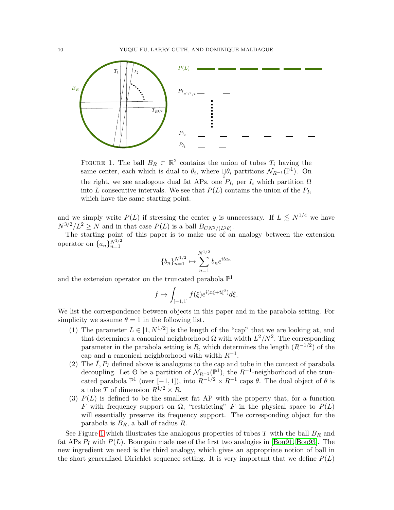

<span id="page-9-0"></span>FIGURE 1. The ball  $B_R \subset \mathbb{R}^2$  contains the union of tubes  $T_i$  having the same center, each which is dual to  $\theta_i$ , where  $\bigcup_{i} \theta_i$  partitions  $\mathcal{N}_{R^{-1}}(\mathbb{P}^1)$ . On the right, we see analogous dual fat APs, one  $P_{I_i}$  per  $I_i$  which partition  $\Omega$ into L consecutive intervals. We see that  $P(L)$  contains the union of the  $P_{I_i}$ which have the same starting point.

and we simply write  $P(L)$  if stressing the center y is unnecessary. If  $L \le N^{1/4}$  we have  $N^{3/2}/L^2 \ge N$  and in that case  $P(L)$  is a ball  $B_{CN^2/(L^2\theta)}$ .

The starting point of this paper is to make use of an analogy between the extension operator on  $\{a_n\}_{n=1}^{N^{1/2}}$ 

$$
\{b_n\}_{n=1}^{N^{1/2}} \mapsto \sum_{n=1}^{N^{1/2}} b_n e^{ita_n}
$$

and the extension operator on the truncated parabola  $\mathbb{P}^1$ 

$$
f\mapsto \int_{[-1,1]} f(\xi) e^{i(x\xi+t\xi^2)} d\xi.
$$

We list the correspondence between objects in this paper and in the parabola setting. For simplicity we assume  $\theta = 1$  in the following list.

- (1) The parameter  $L \in [1, N^{1/2}]$  is the length of the "cap" that we are looking at, and that determines a canonical neighborhood  $\Omega$  with width  $L^2/N^2$ . The corresponding parameter in the parabola setting is R, which determines the length  $(R^{-1/2})$  of the cap and a canonical neighborhood with width  $R^{-1}$ .
- (2) The  $I, P_I$  defined above is analogous to the cap and tube in the context of parabola decoupling. Let  $\Theta$  be a partition of  $\mathcal{N}_{R^{-1}}(\mathbb{P}^1)$ , the  $R^{-1}$ -neighborhood of the truncated parabola  $\mathbb{P}^1$  (over  $[-1, 1]$ ), into  $R^{-1/2} \times R^{-1}$  caps  $\theta$ . The dual object of  $\theta$  is a tube T of dimension  $R^{1/2} \times R$ .
- (3)  $P(L)$  is defined to be the smallest fat AP with the property that, for a function F with frequency support on  $\Omega$ , "restricting" F in the physical space to  $P(L)$ will essentially preserve its frequency support. The corresponding object for the parabola is  $B_R$ , a ball of radius R.

See Figure [1](#page-9-0) which illustrates the analogous properties of tubes  $T$  with the ball  $B_R$  and fat APs  $P_I$  with  $P(L)$ . Bourgain made use of the first two analogies in [\[Bou91,](#page-52-1) [Bou93\]](#page-52-2). The new ingredient we need is the third analogy, which gives an appropriate notion of ball in the short generalized Dirichlet sequence setting. It is very important that we define  $P(L)$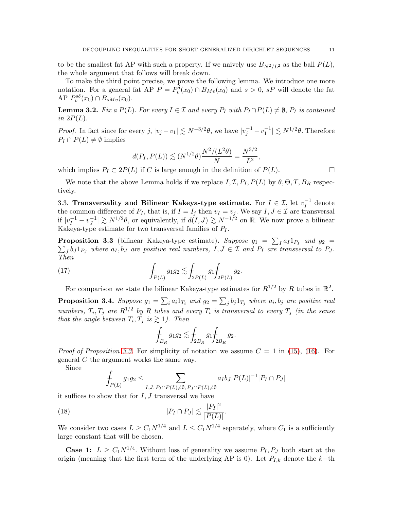to be the smallest fat AP with such a property. If we naively use  $B_{N^2/L^2}$  as the ball  $P(L)$ , the whole argument that follows will break down.

To make the third point precise, we prove the following lemma. We introduce one more notation. For a general fat AP  $P = P_v^{\delta}(x_0) \cap B_{M_v}(x_0)$  and  $s > 0$ , sP will denote the fat AP  $P_v^{s\delta}(x_0) \cap B_{sMv}(x_0)$ .

**Lemma 3.2.** *Fix a*  $P(L)$ *. For every*  $I \in \mathcal{I}$  *and every*  $P_I$  *with*  $P_I \cap P(L) \neq \emptyset$ *,*  $P_I$  *is contained in*  $2P(L)$ .

*Proof.* In fact since for every  $j, |v_j - v_1| \lesssim N^{-3/2}\theta$ , we have  $|v_j^{-1} - v_1^{-1}| \lesssim N^{1/2}\theta$ . Therefore  $P_I \cap P(L) \neq \emptyset$  implies

$$
d(P_I, P(L)) \lesssim (N^{1/2}\theta) \frac{N^2/(L^2\theta)}{N} = \frac{N^{3/2}}{L^2},
$$

which implies  $P_I \subset 2P(L)$  if C is large enough in the definition of  $P(L)$ .

We note that the above Lemma holds if we replace  $I, \mathcal{I}, P_I, P(L)$  by  $\theta, \Theta, T, B_R$  respectively.

3.3. Transversality and Bilinear Kakeya-type estimate. For  $I \in \mathcal{I}$ , let  $v_I^{-1}$  $I^{\text{-1}}$  denote the common difference of  $P_I$ , that is, if  $I = I_j$  then  $v_I = v_j$ . We say  $I, J \in \mathcal{I}$  are transversal if  $|v_I^{-1} - v_J^{-1}|$  $|J| \gtrsim N^{1/2}\theta$ , or equivalently, if  $d(I, J) \gtrsim N^{-1/2}$  on R. We now prove a bilinear Kakeya-type estimate for two transversal families of  $P_I$ .

<span id="page-10-0"></span>**Proposition 3.3** (bilinear Kakeya-type estimate). Suppose  $g_1 = \sum_I a_I 1_{P_I}$  and  $g_2 =$ **Proposition 3.3** (bilinear Kakeya-type estimate). Suppose  $g_1 = \sum_I a_I 1_{P_I}$  and  $g_2 = \sum_J b_J 1_{P_J}$  where  $a_I, b_J$  are positive real numbers,  $I, J \in \mathcal{I}$  and  $P_I$  are transversal to  $P_J$ . *Then*

(17) 
$$
\int_{P(L)} g_1 g_2 \lesssim \int_{2P(L)} g_1 \int_{2P(L)} g_2.
$$

For comparison we state the bilinear Kakeya-type estimates for  $R^{1/2}$  by R tubes in  $\mathbb{R}^2$ .

**Proposition 3.4.** Suppose  $g_1 = \sum_i a_i 1_{T_i}$  and  $g_2 = \sum_j b_j 1_{T_j}$  where  $a_i, b_j$  are positive real *numbers,*  $T_i$ ,  $T_j$  are  $R^{1/2}$  by R tubes and every  $T_i$  is transversal to every  $T_j$  *(in the sense that the angle between*  $T_i, T_j$  *is*  $\gtrsim$  1*). Then* 

<span id="page-10-2"></span>
$$
\int_{B_R} g_1 g_2 \lesssim \int_{2B_R} g_1 \!\! \int_{2B_R} g_2.
$$

*Proof of Proposition* [3.3.](#page-10-0) For simplicity of notation we assume  $C = 1$  in [\(15\)](#page-8-3), [\(16\)](#page-8-4). For general C the argument works the same way.

Since

$$
\int_{P(L)} g_1 g_2 \leq \sum_{I,J: P_I \cap P(L) \neq \emptyset, P_J \cap P(L) \neq \emptyset} a_I b_J |P(L)|^{-1} |P_I \cap P_J|
$$

it suffices to show that for  $I, J$  transversal we have

$$
|P_I \cap P_J| \lesssim \frac{|P_I|^2}{|P(L)|}
$$

We consider two cases  $L \geq C_1 N^{1/4}$  and  $L \leq C_1 N^{1/4}$  separately, where  $C_1$  is a sufficiently large constant that will be chosen.

<span id="page-10-1"></span>.

**Case 1:**  $L \geq C_1 N^{1/4}$ . Without loss of generality we assume  $P_I, P_J$  both start at the origin (meaning that the first term of the underlying AP is 0). Let  $P_{I,k}$  denote the k-th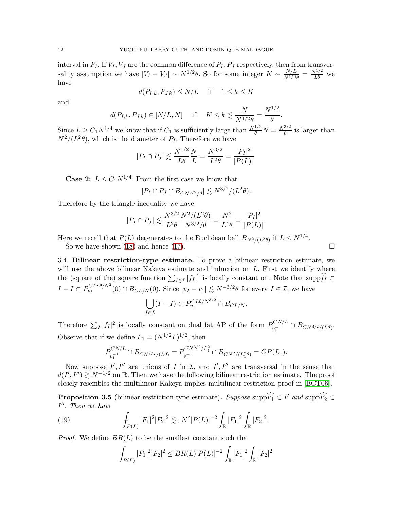interval in  $P_I$ . If  $V_I$ ,  $V_J$  are the common difference of  $P_I$ ,  $P_J$  respectively, then from transversality assumption we have  $|V_I - V_J| \sim N^{1/2}\theta$ . So for some integer  $K \sim \frac{N/L}{N^{1/2}S}$  $\frac{N/L}{N^{1/2}\theta} = \frac{N^{1/2}}{L\theta}$  we have

$$
d(P_{I,k}, P_{J,k}) \le N/L \quad \text{if} \quad 1 \le k \le K
$$

and

$$
d(P_{I,k}, P_{J,k}) \in [N/L, N]
$$
 if  $K \le k \lesssim \frac{N}{N^{1/2} \theta} = \frac{N^{1/2}}{\theta}$ .

Since  $L \geq C_1 N^{1/4}$  we know that if  $C_1$  is sufficiently large than  $\frac{N^{1/2}}{\theta} N = \frac{N^{3/2}}{\theta}$  $\frac{\partial f^2}{\partial \theta}$  is larger than  $N^2/(L^2\theta)$ , which is the diameter of  $P_I$ . Therefore we have

$$
|P_I \cap P_J| \lesssim \frac{N^{1/2}}{L\theta} \frac{N}{L} = \frac{N^{3/2}}{L^2\theta} = \frac{|P_I|^2}{|P(L)|}.
$$

**Case 2:**  $L \leq C_1 N^{1/4}$ . From the first case we know that

$$
|P_I \cap P_J \cap B_{CN^{3/2}/\theta}| \lesssim N^{3/2}/(L^2\theta).
$$

Therefore by the triangle inequality we have

$$
|P_I \cap P_J| \lesssim \frac{N^{3/2}}{L^2 \theta} \frac{N^2 / (L^2 \theta)}{N^{3/2} / \theta} = \frac{N^2}{L^4 \theta} = \frac{|P_I|^2}{|P(L)|}.
$$

Here we recall that  $P(L)$  degenerates to the Euclidean ball  $B_{N^2/(L^2\theta)}$  if  $L \leq N^{1/4}$ .

So we have shown [\(18\)](#page-10-1) and hence [\(17\)](#page-10-2).

3.4. Bilinear restriction-type estimate. To prove a bilinear restriction estimate, we will use the above bilinear Kakeya estimate and induction on  $L$ . First we identify where the (square of the) square function  $\sum_{I\in\mathcal{I}}|f_I|^2$  is locally constant on. Note that supp $\widehat{f_I}\subset$  $I - I \subset P_{\nu_I}^{CL^2\theta/N^2}$  $v_I^{C L^2 \theta/N^2}(0) \cap B_{CL/N}(0)$ . Since  $|v_I - v_1| \lesssim N^{-3/2}\theta$  for every  $I \in \mathcal{I}$ , we have

$$
\bigcup_{I \in \mathcal{I}} (I - I) \subset P_{v_1}^{CL\theta/N^{3/2}} \cap B_{CL/N}.
$$

Therefore  $\sum_I |f_I|^2$  is locally constant on dual fat AP of the form  $P_{v_i^{-1}}^{CN/L}$  $v_1^{-1}$ <sup>CN/L</sup>  $\cap B_{CN^{3/2}/(L\theta)}$ . Observe that if we define  $L_1 = (N^{1/2}L)^{1/2}$ , then

$$
P_{v_1^{-1}}^{CN/L} \cap B_{CN^{3/2}/(L\theta)} = P_{v_1^{-1}}^{CN^{3/2}/L_1^2} \cap B_{CN^{2}/(L_1^2\theta)} = CP(L_1).
$$

Now suppose  $I', I''$  are unions of I in I, and I', I'' are transversal in the sense that  $d(I',I'')\gtrsim N^{-1/2}$  on R. Then we have the following bilinear restriction estimate. The proof closely resembles the multilinear Kakeya implies multilinear restriction proof in [\[BCT06\]](#page-52-7).

<span id="page-11-0"></span>**Proposition 3.5** (bilinear restriction-type estimate). Suppose supp $\widehat{F_1} \subset I'$  and supp $\widehat{F_2} \subset I'$ I ′′ . *Then we have*

(19) 
$$
\int_{P(L)} |F_1|^2 |F_2|^2 \lesssim_{\varepsilon} N^{\varepsilon} |P(L)|^{-2} \int_{\mathbb{R}} |F_1|^2 \int_{\mathbb{R}} |F_2|^2.
$$

*Proof.* We define  $BR(L)$  to be the smallest constant such that

$$
\int_{P(L)} |F_1|^2 |F_2|^2 \leq BR(L) |P(L)|^{-2} \int_{\mathbb{R}} |F_1|^2 \int_{\mathbb{R}} |F_2|^2
$$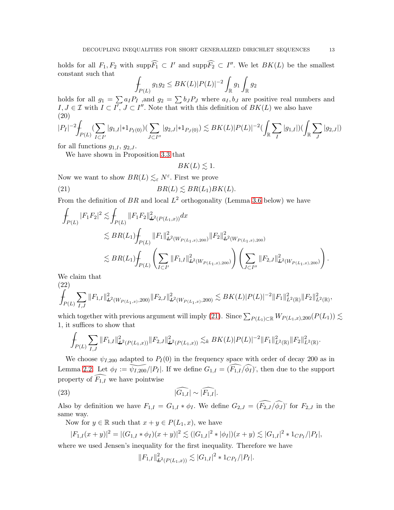holds for all  $F_1, F_2$  with  $\text{supp}\overline{F_1} \subset I'$  and  $\text{supp}\overline{F_2} \subset I''$ . We let  $BK(L)$  be the smallest constant such that

$$
\int_{P(L)} g_1 g_2 \leq BK(L) |P(L)|^{-2} \int_{\mathbb{R}} g_1 \int_{\mathbb{R}} g_2
$$

holds for all  $g_1 = \sum a_I P_I$ , and  $g_2 = \sum b_J P_J$  where  $a_I, b_J$  are positive real numbers and  $I, J \in \mathcal{I}$  with  $I \subset I'$ ,  $J \subset I''$ . Note that with this definition of  $BK(L)$  we also have (20)

<span id="page-12-1"></span>
$$
|P_I|^{-2} \int_{P(L)} (\sum_{I \subset I'} |g_{1,I}| * 1_{P_I(0)}) (\sum_{J \subset I''} |g_{2,J}| * 1_{P_J(0)}) \lesssim BK(L) |P(L)|^{-2} (\int_{\mathbb{R}} \sum_I |g_{1,I}|) (\int_{\mathbb{R}} \sum_J |g_{2,J}|)
$$

for all functions  $g_{1,I}$ ,  $g_{2,J}$ .

We have shown in Proposition [3.3](#page-10-0) that

<span id="page-12-0"></span>
$$
BK(L) \lesssim 1
$$
.

Now we want to show  $BR(L) \lesssim_{\varepsilon} N^{\varepsilon}$ . First we prove

(21) 
$$
BR(L) \lesssim BR(L_1)BK(L).
$$

From the definition of BR and local  $L^2$  orthogonality (Lemma [3.6](#page-13-0) below) we have

$$
\begin{split} \int_{P(L)}|F_1F_2|^2&\lesssim & \int_{P(L)}\|F_1F_2\|_{L^2(P(L_1,x))}^2dx\\ &\lesssim BR(L_1)\!\!\int_{P(L)}\|F_1\|_{L^2(W_{P(L_1,x),200})}^2\|F_2\|_{L^2(W_{P(L_1,x),200})}^2\\ &\lesssim BR(L_1)\!\!\int_{P(L)}\left(\sum_{I\subset I'}\|F_{1,I}\|_{L^2(W_{P(L_1,x),200})}^2\right)\left(\sum_{J\subset I''}\|F_{2,J}\|_{L^2(W_{P(L_1,x),200})}^2\right). \end{split}
$$

We claim that

(22)

<span id="page-12-3"></span>
$$
\int_{P(L)} \sum_{I,J} ||F_{1,I}||^2_{L^2(W_{P(L_1,x)},200)} ||F_{2,J}||^2_{L^2(W_{P(L_1,x)},200)} \lesssim BK(L)|P(L)|^{-2} ||F_1||^2_{L^2(\mathbb{R})} ||F_2||^2_{L^2(\mathbb{R})},
$$

which together with previous argument will imply [\(21\)](#page-12-0). Since  $\sum_{P(L_1)\subset \mathbb{R}} W_{P(L_1,x),200}(P(L_1)) \lesssim$ 1, it suffices to show that

$$
\int_{P(L)} \sum_{I,J} ||F_{1,I}||^2_{L^2(P(L_1,x))} ||F_{2,J}||^2_{L^2(P(L_1,x))} \lesssim_k BK(L) |P(L)|^{-2} ||F_1||^2_{L^2(\mathbb{R})} ||F_2||^2_{L^2(\mathbb{R})}.
$$

We choose  $\psi_{I,200}$  adapted to  $P_I(0)$  in the frequency space with order of decay 200 as in Lemma [2.2.](#page-5-3) Let  $\phi_I := \widetilde{\psi_{I,200}}/|P_I|$ . If we define  $G_{1,I} = \widetilde{(F_{1,I}/\phi_I)}$ , then due to the support property of  $\widehat{F_{1,I}}$  we have pointwise

$$
(23)\qquad \qquad \widehat{|G_{1,I}|} \sim \widehat{|F_{1,I}|}.
$$

Also by definition we have  $F_{1,I} = G_{1,I} * \phi_I$ . We define  $G_{2,J} = (\widehat{F_{2,J}}/\widehat{\phi_J})^{\circ}$  for  $F_{2,J}$  in the same way.

Now for  $y \in \mathbb{R}$  such that  $x + y \in P(L_1, x)$ , we have

$$
|F_{1,I}(x+y)|^2 = |(G_{1,I} * \phi_I)(x+y)|^2 \lesssim (|G_{1,I}|^2 * |\phi_I|)(x+y) \lesssim |G_{1,I}|^2 * 1_{CP_I}/|P_I|,
$$

where we used Jensen's inequality for the first inequality. Therefore we have

<span id="page-12-2"></span>
$$
||F_{1,I}||_{\mathbf{L}^2(P(L_1,x))}^2 \lesssim |G_{1,I}|^2 * 1_{CP_I}/|P_I|.
$$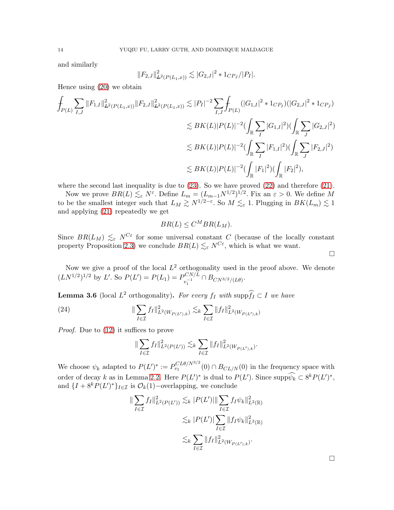and similarly

$$
||F_{2,J}||_{\mathbf{L}^2(P(L_1,x))}^2 \lesssim |G_{2,J}|^2 * 1_{CP_J}/|P_I|.
$$

Hence using [\(20\)](#page-12-1) we obtain

$$
\int_{P(L)} \sum_{I,J} ||F_{1,I}||_{L^{2}(P(L_{1},x))}^{2} ||F_{2,J}||_{L^{2}(P(L_{1},x))}^{2} \lesssim |P_{I}|^{-2} \sum_{I,J} \int_{P(L)} (|G_{1,I}|^{2} * 1_{CP_{I}})(|G_{2,J}|^{2} * 1_{CP_{J}})
$$
\n
$$
\lesssim BK(L)|P(L)|^{-2} (\int_{\mathbb{R}} \sum_{I} |G_{1,I}|^{2}) (\int_{\mathbb{R}} \sum_{J} |G_{2,J}|^{2})
$$
\n
$$
\lesssim BK(L)|P(L)|^{-2} (\int_{\mathbb{R}} \sum_{I} |F_{1,I}|^{2}) (\int_{\mathbb{R}} \sum_{J} |F_{2,J}|^{2})
$$
\n
$$
\lesssim BK(L)|P(L)|^{-2} (\int_{\mathbb{R}} |F_{1}|^{2}) (\int_{\mathbb{R}} |F_{2}|^{2}),
$$

where the second last inequality is due to  $(23)$ . So we have proved  $(22)$  and therefore  $(21)$ .

Now we prove  $BR(L) \lesssim_{\varepsilon} N^{\varepsilon}$ . Define  $L_m = (L_{m-1}N^{1/2})^{1/2}$ . Fix an  $\varepsilon > 0$ . We define M to be the smallest integer such that  $L_M \gtrsim N^{1/2-\varepsilon}$ . So  $M \lesssim_{\varepsilon} 1$ . Plugging in  $BK(L_m) \lesssim 1$ . and applying [\(21\)](#page-12-0) repeatedly we get

$$
BR(L) \leq C^M BR(L_M).
$$

Since  $BR(L_M) \leq_{\varepsilon} N^{C_{\varepsilon}}$  for some universal constant C (because of the locally constant property Proposition [2.3\)](#page-6-1) we conclude  $BR(L) \lesssim_{\varepsilon} N^{C_{\varepsilon}}$ , which is what we want.

Now we give a proof of the local  $L^2$  orthogonality used in the proof above. We denote  $(LN^{1/2})^{1/2}$  by L'. So  $P(L') = P(L_1) = P_{n-1}^{CN/L}$  $\sum_{v_1^{-1}}^{v_-N/L} \cap B_{CN^{3/2}/(L\theta)}$ .

<span id="page-13-0"></span>**Lemma 3.6** (local  $L^2$  orthogonality). *For every*  $f_I$  *with* supp $\hat{f_I} \subset I$  *we have* 

(24) 
$$
\|\sum_{I\in\mathcal{I}} f_I\|_{L^2(W_{P(L'),k})}^2 \lesssim_k \sum_{I\in\mathcal{I}} \|f_I\|_{L^2(W_{P(L'),k})}^2
$$

*Proof.* Due to [\(12\)](#page-6-0) it suffices to prove

$$
\|\sum_{I\in\mathcal{I}} f_I\|_{L^2(P(L'))}^2 \lesssim_k \sum_{I\in\mathcal{I}} \|f_I\|_{L^2(W_{P(L'),k})}^2.
$$

We choose  $\psi_k$  adapted to  $P(L')^* := P_{v_1}^{CL\theta/N^{3/2}}(0) \cap B_{CL/N}(0)$  in the frequency space with order of decay k as in Lemma [2.2.](#page-5-3) Here  $P(L')^*$  is dual to  $P(L')$ . Since  $\text{supp}\psi_k \subset 8^k P(L')^*$ , and  $\{I + 8^k P(L')^*\}_{I \in \mathcal{I}}$  is  $\mathcal{O}_k(1)$ -overlapping, we conclude

$$
\|\sum_{I\in\mathcal{I}} f_I\|_{L^2(P(L'))}^2 \lesssim_k |P(L')|\|\sum_{I\in\mathcal{I}} f_I\psi_k\|_{L^2(\mathbb{R})}^2
$$
  

$$
\lesssim_k |P(L')|\sum_{I\in\mathcal{I}} \|f_I\psi_k\|_{L^2(\mathbb{R})}^2
$$
  

$$
\lesssim_k \sum_{I\in\mathcal{I}} \|f_I\|_{L^2(W_{P(L'),k})}^2.
$$

 $\Box$ 

 $\Box$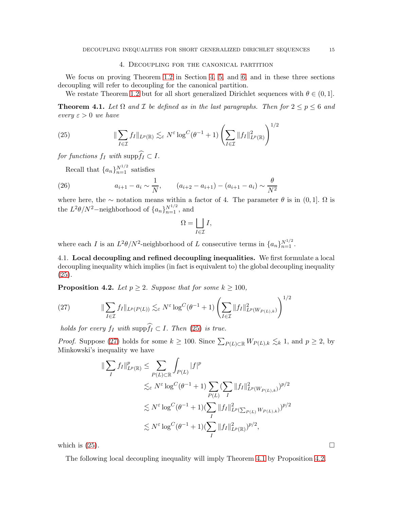## 4. Decoupling for the canonical partition

<span id="page-14-0"></span>We focus on proving Theorem [1.2](#page-1-1) in Section [4,](#page-14-0) [5,](#page-19-0) and [6,](#page-26-0) and in these three sections decoupling will refer to decoupling for the canonical partition.

We restate Theorem [1.2](#page-1-1) but for all short generalized Dirichlet sequences with  $\theta \in (0, 1]$ .

<span id="page-14-3"></span>**Theorem 4.1.** Let  $\Omega$  and  $\mathcal{I}$  be defined as in the last paragraphs. Then for  $2 \le p \le 6$  and *every*  $\varepsilon > 0$  *we have* 

<span id="page-14-1"></span>(25) 
$$
\|\sum_{I\in\mathcal{I}} f_I\|_{L^p(\mathbb{R})} \lesssim_{\varepsilon} N^{\varepsilon} \log^C(\theta^{-1}+1) \left(\sum_{I\in\mathcal{I}} \|f_I\|_{L^p(\mathbb{R})}^2\right)^{1/2}
$$

*for functions*  $f_I$  *with* supp $\widehat{f_I} \subset I$ .

Recall that  $\{a_n\}_{n=1}^{N^{1/2}}$  satisfies

(26) 
$$
a_{i+1} - a_i \sim \frac{1}{N}, \qquad (a_{i+2} - a_{i+1}) - (a_{i+1} - a_i) \sim \frac{\theta}{N^2}
$$

where here, the ∼ notation means within a factor of 4. The parameter  $\theta$  is in  $(0, 1]$ .  $\Omega$  is the  $L^2\theta/N^2$ -neighborhood of  $\{a_n\}_{n=1}^{N^{1/2}}$ , and

$$
\Omega = \bigsqcup_{I \in \mathcal{I}} I,
$$

where each I is an  $L^2\theta/N^2$ -neighborhood of L consecutive terms in  $\{a_n\}_{n=1}^{N^{1/2}}$ .

4.1. Local decoupling and refined decoupling inequalities. We first formulate a local decoupling inequality which implies (in fact is equivalent to) the global decoupling inequality [\(25\)](#page-14-1).

<span id="page-14-4"></span>**Proposition 4.2.** *Let*  $p \geq 2$ *. Suppose that for some*  $k \geq 100$ *,* 

<span id="page-14-2"></span>(27) 
$$
\|\sum_{I\in\mathcal{I}}f_I\|_{L^p(P(L))}\lesssim_{\varepsilon}N^{\varepsilon}\log^C(\theta^{-1}+1)\left(\sum_{I\in\mathcal{I}}\|f_I\|_{L^p(W_{P(L),k})}^2\right)^{1/2}
$$

*holds for every*  $f_I$  *with*  $\text{supp} \widehat{f_I} \subset I$ . *Then* [\(25\)](#page-14-1) *is true.* 

*Proof.* Suppose [\(27\)](#page-14-2) holds for some  $k \ge 100$ . Since  $\sum_{P(L) \subset \mathbb{R}} W_{P(L), k} \lesssim_k 1$ , and  $p \ge 2$ , by Minkowski's inequality we have

$$
\begin{split} \|\sum_{I} f_{I}\|_{L^{p}(\mathbb{R})}^{p} &\leq \sum_{P(L)\subset\mathbb{R}} \int_{P(L)} |f|^{p} \\ &\lesssim_{\varepsilon} N^{\varepsilon} \log^{C}(\theta^{-1}+1) \sum_{P(L)} (\sum_{I} \|f_{I}\|_{L^{p}(W_{P(L),k})}^{2})^{p/2} \\ &\lesssim N^{\varepsilon} \log^{C}(\theta^{-1}+1) (\sum_{I} \|f_{I}\|_{L^{p}(\sum_{P(L)} W_{P(L),k})}^{2})^{p/2} \\ &\lesssim N^{\varepsilon} \log^{C}(\theta^{-1}+1) (\sum_{I} \|f_{I}\|_{L^{p}(\mathbb{R})}^{2})^{p/2}, \end{split}
$$

which is  $(25)$ .

The following local decoupling inequality will imply Theorem [4.1](#page-14-3) by Proposition [4.2.](#page-14-4)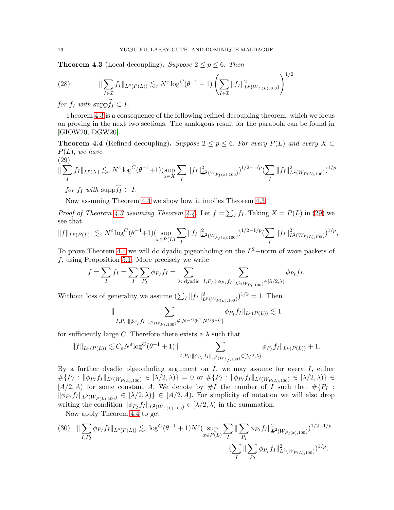<span id="page-15-1"></span>**Theorem 4.3** (Local decoupling). *Suppose*  $2 \leq p \leq 6$ . *Then* 

<span id="page-15-4"></span>(28) 
$$
\|\sum_{I\in\mathcal{I}}f_I\|_{L^p(P(L))}\lesssim_{\varepsilon}N^{\varepsilon}\log^C(\theta^{-1}+1)\left(\sum_{I\in\mathcal{I}}\|f_I\|_{L^p(W_{P(L),100})}^2\right)^{1/2}
$$

*for*  $f_I$  *with* supp $\widehat{f_I} \subset I$ .

Theorem [4.3](#page-15-1) is a consequence of the following refined decoupling theorem, which we focus on proving in the next two sections. The analogous result for the parabola can be found in [\[GIOW20,](#page-52-4) [DGW20\]](#page-52-5).

<span id="page-15-0"></span>**Theorem 4.4** (Refined decoupling). *Suppose*  $2 \leq p \leq 6$ . *For every*  $P(L)$  *and every*  $X \subset$ P(L), *we have*

<span id="page-15-2"></span>
$$
(29)
$$
  

$$
\|\sum_{I} f_{I}\|_{L^{p}(X)} \lesssim_{\varepsilon} N^{\varepsilon} \log^{C}(\theta^{-1}+1)(\sup_{x \in X} \sum_{I} \|f_{I}\|_{\mathbf{L}^{2}(W_{P_{I}(x),100})}^{2})^{1/2-1/p} (\sum_{I} \|f_{I}\|_{L^{2}(W_{P(L),100})}^{2})^{1/p}
$$

*for*  $f_I$  *with* supp $f_I \subset I$ .

Now assuming Theorem [4.4](#page-15-0) we show how it implies Theorem [4.3.](#page-15-1)

*Proof of Theorem [4.3](#page-15-1) assuming Theorem [4.4.](#page-15-0)* Let  $f = \sum_I f_I$ . Taking  $X = P(L)$  in [\(29\)](#page-15-2) we see that

$$
\|f\|_{L^p(P(L))} \lesssim_{\varepsilon} N^{\varepsilon} \log^C (\theta^{-1}+1) (\sup_{x \in P(L)} \sum_{I} \|f_I\|_{L^2(W_{P_I(x),100})}^2)^{1/2-1/p} (\sum_{I} \|f_I\|_{L^2(W_{P(L),100})}^2)^{1/p},
$$

To prove Theorem [4.1](#page-14-3) we will do dyadic pigeonholing on the  $L^2$ -norm of wave packets of  $f$ , using Proposition [5.1.](#page-20-0) More precisely we write

$$
f = \sum_{I} f_I = \sum_{I} \sum_{P_I} \phi_{P_I} f_I = \sum_{\lambda: \text{ dyadic}} \sum_{I, P_I : ||\phi_{P_I} f_I||_{L^2(W_{P_I, 100})} \in [\lambda/2, \lambda)} \phi_{P_I} f_I.
$$

Without loss of generality we assume  $(\sum_I ||f_I||^2_{L^p(W_{P(L),100})})^{1/2} = 1$ . Then

$$
\|\sum_{I,P_I:\|\phi_{P_I}f_I\|_{L^2(W_{P_I,100})}\notin[N^{-C}\theta^C,N^C\theta^{-C}]}\phi_{P_I}f_I\|_{L^p(P(L))}\lesssim 1
$$

for sufficiently large C. Therefore there exists a  $\lambda$  such that

$$
||f||_{L^p(P(L))} \lesssim C_{\varepsilon} N^{\varepsilon} \log^C (\theta^{-1} + 1) || \sum_{I, P_I: ||\phi_{P_I} f_I||_{L^2(W_{P_I, 100})} \in [\lambda/2, \lambda)} \phi_{P_I} f_I ||_{L^p(P(L))} + 1.
$$

By a further dyadic pigeonholing argument on  $I$ , we may assume for every  $I$ , either  $\#\{P_I : \|\phi_{P_I}f_I\|_{L^2(W_{P(L),100})} \in [\lambda/2,\lambda)\} = 0$  or  $\#\{P_I : \|\phi_{P_I}f_I\|_{L^2(W_{P(L),100})} \in [\lambda/2,\lambda)\} \in$  $[A/2, A)$  for some constant A. We denote by  $\#I$  the number of  $I$  such that  $\# \{P_I$ :  $\|\phi_{P_I} f_I\|_{L^2(W_{P(L),100})} \in [\lambda/2,\lambda)\}\in [A/2,A)$ . For simplicity of notation we will also drop writing the condition  $\|\phi_{P_I} f_I\|_{L^2(W_{P(L),100})} \in [\lambda/2, \lambda)$  in the summation.

Now apply Theorem [4.4](#page-15-0) to get

<span id="page-15-3"></span>
$$
(30) \quad \|\sum_{I,P_I} \phi_{P_I} f_I\|_{L^p(P(L))} \lesssim_{\varepsilon} \log^C(\theta^{-1}+1)N^{\varepsilon} \Big(\sup_{x \in P(L)} \sum_I \|\sum_{P_I} \phi_{P_I} f_I\|_{L^2(W_{P_I(x),100})}^2\Big)^{1/2-1/p} \Big)
$$
\n
$$
\Big(\sum_I \|\sum_{P_I} \phi_{P_I} f_I\|_{L^2(W_{P(L),100})}^2\Big)^{1/2}.
$$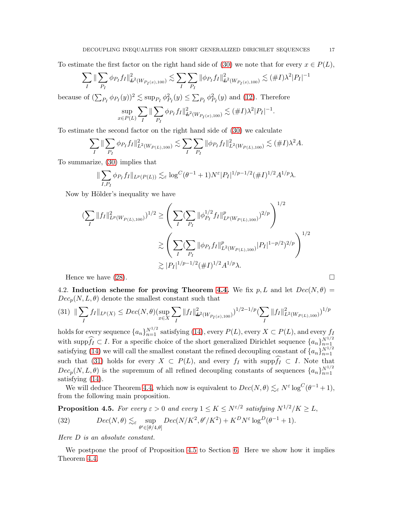To estimate the first factor on the right hand side of [\(30\)](#page-15-3) we note that for every  $x \in P(L)$ ,

$$
\sum_{I} \|\sum_{P_I} \phi_{P_I} f_I\|_{\mathcal{L}^2(W_{P_I(x),100})}^2 \lesssim \sum_{I} \sum_{P_I} \|\phi_{P_I} f_I\|_{\mathcal{L}^2(W_{P_I(x),100})}^2 \lesssim (\#I)\lambda^2 |P_I|^{-1}
$$

because of  $(\sum_{P_I} \phi_{P_I}(y))^2 \lesssim \sup_{P_I} \phi_{P_I}^2(y) \leq \sum_{P_I} \phi_{P_I}^2(y)$  and [\(12\)](#page-6-0). Therefore

$$
\sup_{x \in P(L)} \sum_{I} \|\sum_{P_I} \phi_{P_I} f_I\|_{L^2(W_{P_I(x),100})}^2 \lesssim (\#I) \lambda^2 |P_I|^{-1}.
$$

To estimate the second factor on the right hand side of [\(30\)](#page-15-3) we calculate

$$
\sum_{I} \|\sum_{P_I} \phi_{P_I} f_I\|_{L^2(W_{P(L),100})}^2 \lesssim \sum_{I} \sum_{P_I} \|\phi_{P_I} f_I\|_{L^2(W_{P(L),100})}^2 \lesssim (\#I)\lambda^2 A.
$$

To summarize, [\(30\)](#page-15-3) implies that

$$
\|\sum_{I,P_I} \phi_{P_I} f_I \|_{L^p(P(L))} \lesssim_{\varepsilon} \log^C(\theta^{-1}+1)N^{\varepsilon}|P_I|^{1/p-1/2} (\#I)^{1/2}A^{1/p}\lambda.
$$

Now by Hölder's inequality we have

$$
\sum_{I} \|f_{I}\|_{L^{p}(W_{P(L),100})}^{2} \leq \left( \sum_{I} (\sum_{P_{I}} \|\phi_{P_{I}}^{1/2} f_{I}\|_{L^{p}(W_{P(L),100})}^{p})^{2/p} \right)^{1/2}
$$
  

$$
\geq \left( \sum_{I} (\sum_{P_{I}} \|\phi_{P_{I}} f_{I}\|_{L^{2}(W_{P(L),100})}^{p}|P_{I}|^{1-p/2})^{2/p} \right)^{1/2}
$$
  

$$
\geq |P_{I}|^{1/p-1/2} (\#I)^{1/2} A^{1/p} \lambda.
$$

Hence we have  $(28)$ .

4.2. Induction scheme for proving Theorem [4.4.](#page-15-0) We fix p, L and let  $Dec(N, \theta)$  =  $Dec_p(N, L, \theta)$  denote the smallest constant such that

<span id="page-16-0"></span>
$$
(31) \|\sum_{I} f_I\|_{L^p(X)} \le \text{Dec}(N,\theta)(\sup_{x \in X} \sum_{I} \|f_I\|_{\mathbf{L}^2(W_{P_I(x),100})}^2)^{1/2-1/p} (\sum_{I} \|f_I\|_{L^2(W_{P(L),100})}^2)^{1/p}
$$

holds for every sequence  ${a_n}_{n=1}^{N^{1/2}}$  satisfying [\(14\)](#page-8-2), every  $P(L)$ , every  $X \subset P(L)$ , and every  $f_L$ with supp $\widehat{f}_I \subset I$ . For a specific choice of the short generalized Dirichlet sequence  $\{a_n\}_{n=1}^{N^{1/2}}$ satisfying [\(14\)](#page-8-2) we will call the smallest constant the refined decoupling constant of  $\{a_n\}_{n=1}^{N^{1/2}}$ such that [\(31\)](#page-16-0) holds for every  $X \subset P(L)$ , and every  $f_I$  with supp $\widehat{f_I} \subset I$ . Note that  $Dec_p(N, L, \theta)$  is the supremum of all refined decoupling constants of sequences  $\{a_n\}_{n=1}^{N^{1/2}}$ satisfying [\(14\)](#page-8-2).

We will deduce Theorem [4.4,](#page-15-0) which now is equivalent to  $Dec(N, \theta) \lesssim_{\varepsilon} N^{\varepsilon} \log^C(\theta^{-1} + 1)$ , from the following main proposition.

<span id="page-16-1"></span>**Proposition 4.5.** For every  $\varepsilon > 0$  and every  $1 \leq K \leq N^{\varepsilon/2}$  satisfying  $N^{1/2}/K \geq L$ ,

<span id="page-16-2"></span>(32) 
$$
Dec(N, \theta) \lesssim_{\varepsilon} \sup_{\theta' \in [\theta/4, \theta]} Dec(N/K^2, \theta'/K^2) + K^D N^{\varepsilon} \log^D(\theta^{-1} + 1).
$$

*Here* D *is an absolute constant.*

We postpone the proof of Proposition [4.5](#page-16-1) to Section [6.](#page-26-0) Here we show how it implies Theorem [4.4.](#page-15-0)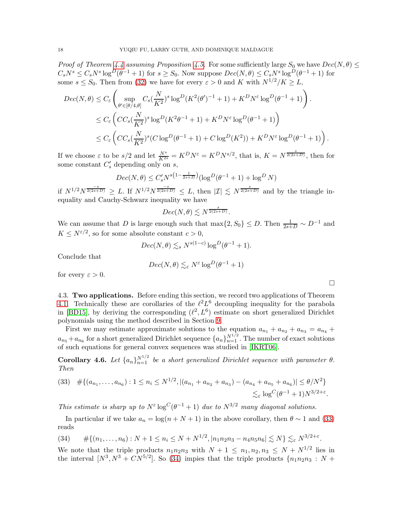*Proof of Theorem [4.4](#page-15-0) assuming Proposition [4.5.](#page-16-1)* For some sufficiently large  $S_0$  we have  $Dec(N, \theta) \leq$  $C_s N^s \leq C_s N^s \log^D(\theta^{-1} + 1)$  for  $s \geq S_0$ . Now suppose  $Dec(N, \theta) \leq C_s N^s \log^D(\theta^{-1} + 1)$  for some  $s \leq S_0$ . Then from [\(32\)](#page-16-2) we have for every  $\varepsilon > 0$  and K with  $N^{1/2}/K > L$ ,

$$
Dec(N, \theta) \leq C_{\varepsilon} \left( \sup_{\theta' \in [\theta/4, \theta]} C_s \left( \frac{N}{K^2} \right)^s \log^D(K^2(\theta')^{-1} + 1) + K^D N^{\varepsilon} \log^D(\theta^{-1} + 1) \right) .
$$
  

$$
\leq C_{\varepsilon} \left( CC_s \left( \frac{N}{K^2} \right)^s \log^D(K^2 \theta^{-1} + 1) + K^D N^{\varepsilon} \log^D(\theta^{-1} + 1) \right)
$$
  

$$
\leq C_{\varepsilon} \left( CC_s \left( \frac{N}{K^2} \right)^s (C \log^D(\theta^{-1} + 1) + C \log^D(K^2)) + K^D N^{\varepsilon} \log^D(\theta^{-1} + 1) \right) .
$$

If we choose  $\varepsilon$  to be  $s/2$  and let  $\frac{N^s}{K^{2s}} = K^D N^{\varepsilon} = K^D N^{s/2}$ , that is,  $K = N^{\frac{s}{2(2s+D)}}$ , then for some constant  $C'_{s}$  depending only on s,

$$
Dec(N, \theta) \le C'_s N^{s(1 - \frac{1}{2s + D})} (\log^D (\theta^{-1} + 1) + \log^D N)
$$

if  $N^{1/2}N^{\frac{-s}{2(2s+D)}} \geq L$ . If  $N^{1/2}N^{\frac{-s}{2(2s+D)}} \leq L$ , then  $|\mathcal{I}| \leq N^{\frac{s}{2(2s+D)}}$  and by the triangle inequality and Cauchy-Schwarz inequality we have

$$
Dec(N,\theta)\lesssim N^{\frac{s}{2(2s+D)}}.
$$

We can assume that D is large enough such that  $\max\{2, S_0\} \le D$ . Then  $\frac{1}{2s+D} \sim D^{-1}$  and  $K \leq N^{\varepsilon/2}$ , so for some absolute constant  $c > 0$ ,

$$
Dec(N, \theta) \lesssim_s N^{s(1-c)} \log^D(\theta^{-1} + 1).
$$

Conclude that

$$
Dec(N, \theta) \lesssim_{\varepsilon} N^{\varepsilon} \log^D(\theta^{-1} + 1)
$$

for every  $\varepsilon > 0$ .

4.3. Two applications. Before ending this section, we record two applications of Theorem [4.1.](#page-14-3) Technically these are corollaries of the  $\ell^2 L^6$  decoupling inequality for the parabola in [\[BD15\]](#page-52-0), by deriving the corresponding  $(\ell^2, L^6)$  estimate on short generalized Dirichlet polynomials using the method described in Section [9.](#page-48-0)

First we may estimate approximate solutions to the equation  $a_{n_1} + a_{n_2} + a_{n_3} = a_{n_4} + a_{n_5}$  $a_{n_5} + a_{n_6}$  for a short generalized Dirichlet sequence  $\{a_n\}_{n=1}^{N^{1/2}}$ . The number of exact solutions of such equations for general convex sequences was studied in [\[IKRT06\]](#page-53-2).

<span id="page-17-2"></span>**Corollary 4.6.** Let  $\{a_n\}_{n=1}^{N^{1/2}}$  be a short generalized Dirichlet sequence with parameter  $\theta$ . *Then*

<span id="page-17-0"></span>
$$
(33) \quad #\{(a_{n_1},\ldots,a_{n_6}): 1 \le n_i \le N^{1/2}, |(a_{n_1}+a_{n_2}+a_{n_3})-(a_{n_4}+a_{n_5}+a_{n_6})| \le \theta/N^2\} \le \log^C(\theta^{-1}+1)N^{3/2+\varepsilon}.
$$

*This estimate is sharp up to*  $N^{\varepsilon} \log^C(\theta^{-1} + 1)$  *due to*  $N^{3/2}$  *many diagonal solutions.* 

In particular if we take  $a_n = \log(n + N + 1)$  in the above corollary, then  $\theta \sim 1$  and [\(33\)](#page-17-0) reads

<span id="page-17-1"></span>
$$
(34) \qquad #\{(n_1,\ldots,n_6): N+1 \le n_i \le N+N^{1/2}, |n_1n_2n_3-n_4n_5n_6| \lesssim N\} \lesssim_{\varepsilon} N^{3/2+\varepsilon}.
$$

We note that the triple products  $n_1 n_2 n_3$  with  $N + 1 \leq n_1, n_2, n_3 \leq N + N^{1/2}$  lies in the interval  $[N^3, N^3 + CN^{5/2}]$ . So [\(34\)](#page-17-1) impies that the triple products  $\{n_1n_2n_3 : N +$ 

 $\Box$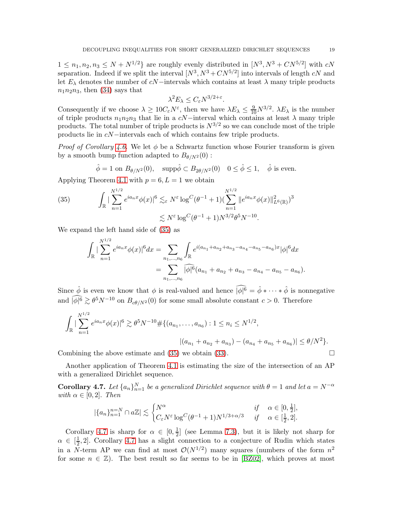$1 \leq n_1, n_2, n_3 \leq N + N^{1/2}$  are roughly evenly distributed in  $[N^3, N^3 + CN^{5/2}]$  with cN separation. Indeed if we split the interval  $[N^3, N^3 + CN^{5/2}]$  into intervals of length cN and let  $E_{\lambda}$  denotes the number of cN−intervals which contains at least  $\lambda$  many triple products  $n_1n_2n_3$ , then [\(34\)](#page-17-1) says that

$$
\lambda^2 E_\lambda \le C_\varepsilon N^{3/2+\varepsilon}.
$$

Consequently if we choose  $\lambda \geq 10C_{\varepsilon}N^{\varepsilon}$ , then we have  $\lambda E_{\lambda} \leq \frac{9}{10}N^{3/2}$ .  $\lambda E_{\lambda}$  is the number of triple products  $n_1n_2n_3$  that lie in a cN−interval which contains at least  $\lambda$  many triple products. The total number of triple products is  $N^{3/2}$  so we can conclude most of the triple products lie in cN−intervals each of which contains few triple products.

*Proof of Corollary* [4.6.](#page-17-2) We let φ be a Schwartz function whose Fourier transform is given by a smooth bump function adapted to  $B_{\theta/N^2}(0)$ :

$$
\hat{\phi} = 1
$$
 on  $B_{\theta/N^2}(0)$ ,  $\text{supp}\hat{\phi} \subset B_{2\theta/N^2}(0)$   $0 \le \hat{\phi} \le 1$ ,  $\hat{\phi}$  is even.

Applying Theorem [4.1](#page-14-3) with  $p = 6, L = 1$  we obtain

<span id="page-18-0"></span>(35) 
$$
\int_{\mathbb{R}} |\sum_{n=1}^{N^{1/2}} e^{ia_n x} \phi(x)|^6 \lesssim_{\varepsilon} N^{\varepsilon} \log^C (\theta^{-1} + 1) (\sum_{n=1}^{N^{1/2}} \|e^{ia_n x} \phi(x)\|_{L^6(\mathbb{R})}^2)^3 \lesssim N^{\varepsilon} \log^C (\theta^{-1} + 1) N^{3/2} \theta^5 N^{-10}.
$$

We expand the left hand side of [\(35\)](#page-18-0) as

$$
\int_{\mathbb{R}} |\sum_{n=1}^{N^{1/2}} e^{ia_n x} \phi(x)|^6 dx = \sum_{n_1, ..., n_6} \int_{\mathbb{R}} e^{i(a_{n_1} + a_{n_2} + a_{n_3} - a_{n_4} - a_{n_5} - a_{n_6})x} |\phi|^6 dx
$$
  
= 
$$
\sum_{n_1, ..., n_6} |\widehat{\phi}|^6 (a_{n_1} + a_{n_2} + a_{n_3} - a_{n_4} - a_{n_5} - a_{n_6}).
$$

Since  $\hat{\phi}$  is even we know that  $\phi$  is real-valued and hence  $\widehat{|\phi|^6} = \hat{\phi} * \cdots * \hat{\phi}$  is nonnegative and  $|\phi|^6 \gtrsim \theta^5 N^{-10}$  on  $B_{c\theta/N^2}(0)$  for some small absolute constant  $c > 0$ . Therefore

$$
\int_{\mathbb{R}} |\sum_{n=1}^{N^{1/2}} e^{ia_n x} \phi(x)|^6 \gtrsim \theta^5 N^{-10} \# \{ (a_{n_1}, \dots, a_{n_6}) : 1 \le n_i \le N^{1/2}, |(a_{n_1} + a_{n_2} + a_{n_3}) - (a_{n_4} + a_{n_5} + a_{n_6}) | \le \theta/N^2 \}.
$$

Combining the above estimate and  $(35)$  we obtain  $(33)$ .

Another application of Theorem [4.1](#page-14-3) is estimating the size of the intersection of an AP with a generalized Dirichlet sequence.

<span id="page-18-1"></span>**Corollary 4.7.** Let  $\{a_n\}_{n=1}^N$  be a generalized Dirichlet sequence with  $\theta = 1$  and let  $a = N^{-\alpha}$ *with*  $\alpha \in [0, 2]$ *. Then* 

$$
|\{a_n\}_{n=1}^{n=N} \cap a\mathbb{Z}| \lesssim \begin{cases} N^{\alpha} & \text{if } \alpha \in [0, \frac{1}{2}], \\ C_{\varepsilon} N^{\varepsilon} \log^{C}(\theta^{-1} + 1) N^{1/3 + \alpha/3} & \text{if } \alpha \in [\frac{1}{2}, 2]. \end{cases}
$$

Corollary [4.7](#page-18-1) is sharp for  $\alpha \in [0, \frac{1}{2}]$  $\frac{1}{2}$  (see Lemma [7.3\)](#page-34-0), but it is likely not sharp for  $\alpha \in \left[\frac{1}{2}\right]$  $\frac{1}{2}$ , 2. Corollary [4.7](#page-18-1) has a slight connection to a conjecture of Rudin which states in a N-term AP we can find at most  $\mathcal{O}(N^{1/2})$  many squares (numbers of the form  $n^2$ for some  $n \in \mathbb{Z}$ . The best result so far seems to be in [\[BZ02\]](#page-52-8), which proves at most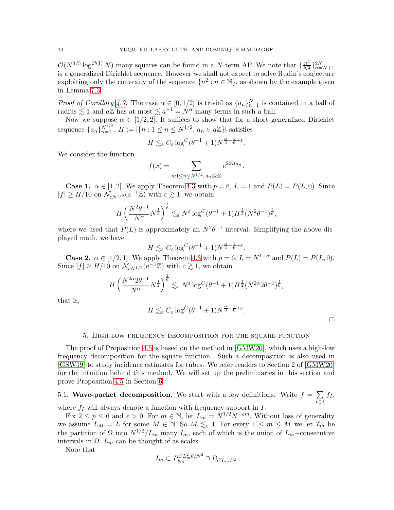$\mathcal{O}(N^{3/5} \log^{\mathcal{O}(1)} N)$  many squares can be found in a N-term AP. We note that  $\{\frac{n^2}{N^2}\}_{n=N+1}^{2N}$ is a generalized Dirichlet sequence. However we shall not expect to solve Rudin's conjecture exploiting only the convexity of the sequence  $\{n^2 : n \in \mathbb{N}\}$ , as shown by the example given in Lemma [7.3.](#page-34-0)

*Proof of Corollary* [4.7.](#page-18-1) The case  $\alpha \in [0, 1/2]$  is trivial as  $\{a_n\}_{n=1}^N$  is contained in a ball of radius  $\lesssim 1$  and  $a\mathbb{Z}$  has at most  $\lesssim a^{-1} = N^{\alpha}$  many terms in such a ball.

Now we suppose  $\alpha \in [1/2, 2]$ . It suffices to show that for a short generalized Dirichlet sequence  ${a_n}_{n=1}^{N^{1/2}}$ ,  $H := |\{n : 1 \le n \le N^{1/2}, a_n \in a\mathbb{Z}\}|$  satisfies

$$
H \lesssim_{\varepsilon} C_{\varepsilon} \log^C (\theta^{-1} + 1) N^{\frac{\alpha}{3} - \frac{1}{6} + \varepsilon}.
$$

We consider the function

$$
f(x) = \sum_{n: 1 \le n \le N^{1/2}, a_n \in a\mathbb{Z}} e^{2\pi ita_n}.
$$

**Case 1.**  $\alpha \in [1, 2]$ . We apply Theorem [4.3](#page-15-1) with  $p = 6$ ,  $L = 1$  and  $P(L) = P(L, 0)$ . Since  $|f| \geq H/10$  on  $\mathcal{N}_{cN^{1/2}}(a^{-1}\mathbb{Z})$  with  $c \gtrsim 1$ , we obtain

$$
H\left(\frac{N^2\theta^{-1}}{N^{\alpha}}N^{\frac{1}{2}}\right)^{\frac{1}{6}} \lesssim_{\varepsilon} N^{\varepsilon} \log^C(\theta^{-1}+1)H^{\frac{1}{2}}(N^2\theta^{-1})^{\frac{1}{6}},
$$

where we used that  $P(L)$  is approximately an  $N^2\theta^{-1}$  interval. Simplifying the above displayed math, we have

$$
H \lesssim_{\varepsilon} C_{\varepsilon} \log^C (\theta^{-1} + 1) N^{\frac{\alpha}{3} - \frac{1}{6} + \varepsilon}.
$$

**Case 2.**  $\alpha \in [1/2, 1]$ . We apply Theorem [4.3](#page-15-1) with  $p = 6$ ,  $L = N^{1-\alpha}$  and  $P(L) = P(L, 0)$ . Since  $|f| \ge H/10$  on  $\mathcal{N}_{cN^{1/2}}(a^{-1}\mathbb{Z})$  with  $c \gtrsim 1$ , we obtain

$$
H\left(\frac{N^{2\alpha}2\theta^{-1}}{N^{\alpha}}N^{\frac{1}{2}}\right)^{\frac{1}{6}} \lesssim_{\varepsilon} N^{\varepsilon} \log^{C}(\theta^{-1}+1)H^{\frac{1}{2}}(N^{2\alpha}2\theta^{-1})^{\frac{1}{6}},
$$

that is,

$$
H \lesssim_{\varepsilon} C_{\varepsilon} \log^C (\theta^{-1} + 1) N^{\frac{\alpha}{3} - \frac{1}{6} + \varepsilon}.
$$

 $\Box$ 

#### 5. High-low frequency decomposition for the square function

<span id="page-19-0"></span>The proof of Proposition [4.5](#page-16-1) is based on the method in [\[GMW20\]](#page-52-3), which uses a high-low frequency decomposition for the square function. Such a decomposition is also used in [\[GSW19\]](#page-52-9) to study incidence estimates for tubes. We refer readers to Section 2 of [\[GMW20\]](#page-52-3) for the intuition behind this method. We will set up the preliminaries in this section and prove Proposition [4.5](#page-16-1) in Section [6.](#page-26-0)

#### 5.1. Wave-packet decomposition. We start with a few definitions. Write  $f = \sum$ I∈I  $f_I$ where  $f_I$  will always denote a function with frequency support in  $I$ .

Fix  $2 \le p \le 6$  and  $\varepsilon > 0$ . For  $m \in \mathbb{N}$ , let  $L_m = N^{1/2} N^{-\varepsilon m}$ . Without loss of generality we assume  $L_M = L$  for some  $M \in \mathbb{N}$ . So  $M \leq_{\varepsilon} 1$ . For every  $1 \leq m \leq M$  we let  $\mathcal{I}_m$  be the partition of  $\Omega$  into  $N^{1/2}/L_m$  many  $I_m$ , each of which is the union of  $L_m$ –consecutive intervals in  $\Omega$ .  $L_m$  can be thought of as scales.

Note that

$$
I_m \subset P_{v_m}^{CL_m^2 \theta/N^2} \cap B_{CL_m/N}
$$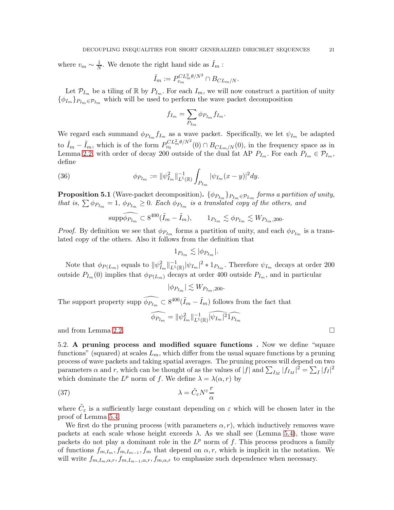where  $v_m \sim \frac{1}{N}$ . We denote the right hand side as  $\tilde{I}_m$ :

$$
\tilde{I}_m := P_{v_m}^{CL_m^2 \theta/N^2} \cap B_{CL_m/N}.
$$

Let  $\mathcal{P}_{I_m}$  be a tiling of  $\mathbb R$  by  $P_{I_m}$ . For each  $I_m$ , we will now construct a partition of unity  $\{\phi_{I_m}\}_{P_{I_m}\in\mathcal{P}_{I_m}}$  which will be used to perform the wave packet decomposition

$$
f_{I_m} = \sum_{P_{I_m}} \phi_{P_{I_m}} f_{I_m}.
$$

We regard each summand  $\phi_{P_{I_m}} f_{I_m}$  as a wave packet. Specifically, we let  $\psi_{I_m}$  be adapted to  $\tilde{I}_m - \tilde{I}_m$ , which is of the form  $P_{v_0}^{CL_m^2 \theta/N^2}(0) \cap B_{CL_m/N}(0)$ , in the frequency space as in Lemma [2.2,](#page-5-3) with order of decay 200 outside of the dual fat AP  $P_{I_m}$ . For each  $P_{I_m} \in \mathcal{P}_{I_m}$ , define

(36) 
$$
\phi_{P_{I_m}} := \|\psi_{I_m}^2\|_{L^1(\mathbb{R})}^{-1} \int_{P_{I_m}} |\psi_{I_m}(x-y)|^2 dy.
$$

<span id="page-20-0"></span>**Proposition 5.1** (Wave-packet decomposition).  $\{\phi_{P_{I_m}}\}_{P_{I_m} \in \mathcal{P}_{L_m}}$  forms a partition of unity, *that is,*  $\sum \phi_{P_{I_m}} = 1$ ,  $\phi_{P_{I_m}} \geq 0$ . Each  $\phi_{P_{I_m}}$  is a translated copy of the others, and

$$
\overline{\text{supp}\phi_{P_{I_m}}} \subset 8^{400}(\tilde{I}_m - \tilde{I}_m), \qquad 1_{P_{I_m}} \lesssim \phi_{P_{I_m}} \lesssim W_{P_{I_m},200}.
$$

*Proof.* By definition we see that  $\phi_{P_{I_m}}$  forms a partition of unity, and each  $\phi_{P_{I_m}}$  is a translated copy of the others. Also it follows from the definition that

$$
1_{P_{I_m}} \lesssim |\phi_{P_{I_m}}|.
$$

Note that  $\phi_{P(L_m)}$  equals to  $\|\psi_{I_m}^2\|_{L^1(\mathbb{R})}^{-1}|\psi_{I_m}|^2 * 1_{P_{I_m}}$ . Therefore  $\psi_{I_m}$  decays at order 200 outside  $P_{I_m}(0)$  implies that  $\phi_{P(I_m)}$  decays at order 400 outside  $P_{I_m}$ , and in particular

 $|\phi_{P_{I_m}}| \lesssim W_{P_{I_m},200}.$ 

The support property supp  $\widehat{\phi_{P_{I_m}}} \subset 8^{400} (\tilde{I}_m - \tilde{I}_m)$  follows from the fact that

$$
\widehat{\phi_{P_{I_m}}} = \|\psi_{I_m}^2\|_{L^1(\mathbb{R})}^{-1} \widehat{|\psi_{I_m}|^2} \widehat{1_{P_{I_m}}}
$$

and from Lemma [2.2.](#page-5-3)

5.2. A pruning process and modified square functions . Now we define "square functions" (squared) at scales  $L_m$ , which differ from the usual square functions by a pruning process of wave packets and taking spatial averages. The pruning process will depend on two parameters  $\alpha$  and  $r$ , which can be thought of as the values of  $|f|$  and  $\sum_{I_M} |f_{I_M}|^2 = \sum_I |f_I|^2$ which dominate the  $L^p$  norm of f. We define  $\lambda = \lambda(\alpha, r)$  by

(37) 
$$
\lambda = \tilde{C}_{\varepsilon} N^{\varepsilon} \frac{r}{\alpha}
$$

where  $\tilde{C}_{\varepsilon}$  is a sufficiently large constant depending on  $\varepsilon$  which will be chosen later in the proof of Lemma [5.4.](#page-25-0)

We first do the pruning process (with parameters  $\alpha$ , r), which inductively removes wave packets at each scale whose height exceeds  $\lambda$ . As we shall see (Lemma [5.4\)](#page-25-0), those wave packets do not play a dominant role in the  $L^p$  norm of f. This process produces a family of functions  $f_{m,I_m}, f_{m,I_{m-1}}, f_m$  that depend on  $\alpha, r$ , which is implicit in the notation. We will write  $f_{m,I_m,\alpha,r}, f_{m,I_{m-1},\alpha,r}, f_{m,\alpha,r}$  to emphasize such dependence when necessary.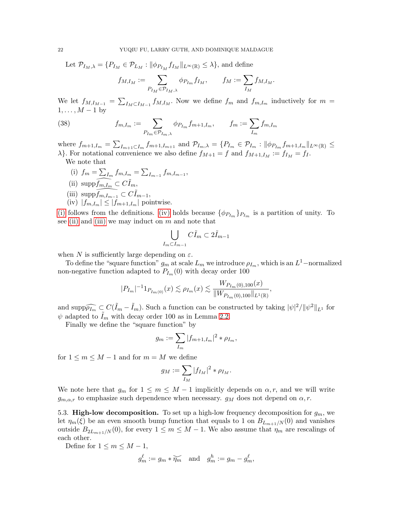Let  $\mathcal{P}_{I_M,\lambda} = \{P_{I_M} \in \mathcal{P}_{L_M} : ||\phi_{P_{I_M}} f_{I_M}||_{L^{\infty}(\mathbb{R})} \leq \lambda\}$ , and define

<span id="page-21-4"></span>
$$
f_{M,I_M}:=\sum_{P_{I_M}\in \mathcal{P}_{I_M,\lambda}} \phi_{P_{I_m}} f_{I_M}, \qquad f_M:=\sum_{I_M} f_{M,I_M}.
$$

We let  $f_{M,I_{M-1}} = \sum_{I_M \subset I_{M-1}} f_{M,I_M}$ . Now we define  $f_m$  and  $f_{m,I_m}$  inductively for  $m =$  $1, \ldots, M-1$  by

(38) 
$$
f_{m,I_m} := \sum_{P_{I_m} \in \mathcal{P}_{I_m,\lambda}} \phi_{P_{I_m}} f_{m+1,I_m}, \qquad f_m := \sum_{I_m} f_{m,I_m}
$$

where  $f_{m+1,I_m} = \sum_{I_{m+1} \subset I_m} f_{m+1,I_{m+1}}$  and  $\mathcal{P}_{I_m,\lambda} = \{P_{I_m} \in \mathcal{P}_{I_m} : ||\phi_{P_{I_m}} f_{m+1,I_m}||_{L^{\infty}(\mathbb{R})} \le$  $\lambda$ . For notational convenience we also define  $f_{M+1} = f$  and  $f_{M+1,I_M} := f_{I_M} = f_I$ . We note that

<span id="page-21-3"></span><span id="page-21-2"></span><span id="page-21-0"></span>(i)  $f_m = \sum_{I_m} f_{m,I_m} = \sum_{I_{m-1}} f_{m,I_{m-1}}$ (ii)  $\text{supp} f_{m,I_m} \subset C \tilde{I}_m$ , (iii)  $\text{supp} f_{m,I_{m-1}} \subset C I_{m-1},$ (iv)  $|f_{m,I_m}| \leq |f_{m+1,I_m}|$  pointwise.

<span id="page-21-1"></span>[\(i\)](#page-21-0) follows from the definitions. [\(iv\)](#page-21-1) holds because  $\{\phi_{P_{I_m}}\}_{P_{I_m}}$  is a partition of unity. To see [\(ii\)](#page-21-2) and [\(iii\)](#page-21-3) we may induct on  $m$  and note that

$$
\bigcup_{I_m \subset I_{m-1}} C\tilde{I}_m \subset 2\tilde{I}_{m-1}
$$

when N is sufficiently large depending on  $\varepsilon$ .

To define the "square function"  $g_m$  at scale  $L_m$  we introduce  $\rho_{I_m}$ , which is an  $L^1$ -normalized non-negative function adapted to  $P_{I_m}(0)$  with decay order 100

$$
|P_{I_m}|^{-1}1_{P_{I_m(0)}}(x) \lesssim \rho_{I_m}(x) \lesssim \frac{W_{P_{I_m}(0),100}(x)}{\|W_{P_{I_m}(0),100}\|_{L^1(\mathbb{R})}},
$$

and  $\sup \widehat{\rho_{lm}} \subset C(\tilde{I}_m - \tilde{I}_m)$ . Such a function can be constructed by taking  $|\psi|^2 / ||\psi^2||_{L^1}$  for  $\psi$  adapted to  $I_m$  with decay order 100 as in Lemma [2.2.](#page-5-3)

Finally we define the "square function" by

$$
g_m := \sum_{I_m} |f_{m+1,I_m}|^2 * \rho_{I_m},
$$

for  $1 \leq m \leq M - 1$  and for  $m = M$  we define

$$
g_M:=\sum_{I_M}|f_{I_M}|^2*\rho_{I_M}.
$$

We note here that  $g_m$  for  $1 \leq m \leq M-1$  implicitly depends on  $\alpha, r$ , and we will write  $g_{m,\alpha,r}$  to emphasize such dependence when necessary.  $g_M$  does not depend on  $\alpha, r$ .

5.3. **High-low decomposition.** To set up a high-low frequency decomposition for  $g_m$ , we let  $\eta_m(\xi)$  be an even smooth bump function that equals to 1 on  $B_{L_{m+1}/N}(0)$  and vanishes outside  $B_{2L_{m+1}/N}(0)$ , for every  $1 \leq m \leq M-1$ . We also assume that  $\eta_m$  are rescalings of each other.

Define for  $1 \leq m \leq M - 1$ ,

$$
g_m^{\ell} := g_m * \widetilde{\eta_m} \quad \text{and} \quad g_m^h := g_m - g_m^{\ell},
$$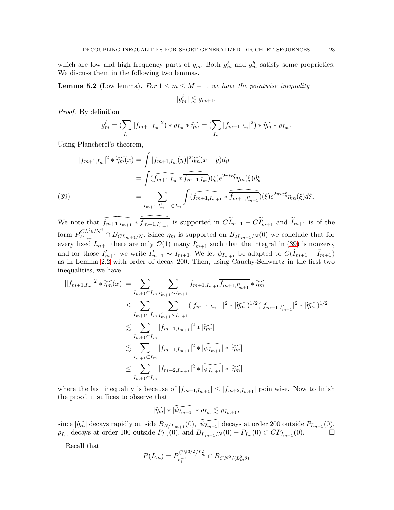which are low and high frequency parts of  $g_m$ . Both  $g_m^{\ell}$  and  $g_m^{\ell}$  satisfy some proprieties. We discuss them in the following two lemmas.

<span id="page-22-1"></span>**Lemma 5.2** (Low lemma). For  $1 \leq m \leq M-1$ , we have the pointwise inequality

$$
|g_m^{\ell}| \lesssim g_{m+1}.
$$

*Proof.* By definition

$$
g_m^{\ell} = \left(\sum_{I_m} |f_{m+1,I_m}|^2\right) * \rho_{I_m} * \widetilde{\eta_m} = \left(\sum_{I_m} |f_{m+1,I_m}|^2\right) * \widetilde{\eta_m} * \rho_{I_m}.
$$

Using Plancherel's theorem,

(39)  
\n
$$
|f_{m+1,I_m}|^2 * \widetilde{\eta_m}(x) = \int |f_{m+1,I_m}(y)|^2 \widetilde{\eta_m}(x-y) dy
$$
\n
$$
= \int (\widehat{f_{m+1,I_m}} * \widehat{f_{m+1,I_m}})(\xi) e^{2\pi i x \xi} \eta_m(\xi) d\xi
$$
\n
$$
= \sum_{I_{m+1},I'_{m+1} \subset I_m} \int (\widehat{f_{m+1,I_{m+1}}} * \widehat{f_{m+1,I'_{m+1}}})(\xi) e^{2\pi i x \xi} \eta_m(\xi) d\xi.
$$

<span id="page-22-0"></span>We note that  $\bar{f}_{m+1,I_{m+1}} * \bar{f}_{m+1,I'_{m+1}}$  is supported in  $\tilde{C}_{m+1} - \tilde{C}_{m+1}$  and  $\tilde{I}_{m+1}$  is of the form  $P_{v_{I_m+1}}^{CL^2\theta/N^2}$  $v_{U_{m+1}}^{C}$   $\cap$   $B_{CL_{m+1}/N}$ . Since  $\eta_m$  is supported on  $B_{2L_{m+1}/N}(0)$  we conclude that for every fixed  $I_{m+1}$  there are only  $\mathcal{O}(1)$  many  $I'_{m+1}$  such that the integral in [\(39\)](#page-22-0) is nonzero, and for those  $I'_{m+1}$  we write  $I'_{m+1} \sim I_{m+1}$ . We let  $\psi_{I_{m+1}}$  be adapted to  $C(\tilde{I}_{m+1} - \tilde{I}_{m+1})$ as in Lemma [2.2](#page-5-3) with order of decay 200. Then, using Cauchy-Schwartz in the first two inequalities, we have

$$
||f_{m+1,I_m}|^2 * \widetilde{\eta_m}(x)| = \sum_{I_{m+1} \subset I_m} \sum_{I'_{m+1} \sim I_{m+1}} f_{m+1,I_{m+1}} \overline{f_{m+1,I'_{m+1}}} * \widetilde{\eta_m}
$$
  
\n
$$
\leq \sum_{I_{m+1} \subset I_m} \sum_{I'_{m+1} \sim I_{m+1}} (|f_{m+1,I_{m+1}}|^2 * |\widetilde{\eta_m}|)^{1/2} (|f_{m+1,I'_{m+1}}|^2 * |\widetilde{\eta_m}|)^{1/2}
$$
  
\n
$$
\lesssim \sum_{I_{m+1} \subset I_m} |f_{m+1,I_{m+1}}|^2 * |\widetilde{\eta_m}|
$$
  
\n
$$
\lesssim \sum_{I_{m+1} \subset I_m} |f_{m+1,I_{m+1}}|^2 * |\widetilde{\psi_{I_{m+1}}}| * |\widetilde{\eta_m}|
$$
  
\n
$$
\leq \sum_{I_{m+1} \subset I_m} |f_{m+2,I_{m+1}}|^2 * |\widetilde{\psi_{I_{m+1}}}| * |\widetilde{\eta_m}|
$$

where the last inequality is because of  $|f_{m+1,I_{m+1}}| \leq |f_{m+2,I_{m+1}}|$  pointwise. Now to finish the proof, it suffices to observe that

$$
|\widetilde{\eta_m}| * |\widetilde{\psi_{I_{m+1}}}| * \rho_{I_m} \lesssim \rho_{I_{m+1}},
$$

since  $|\widetilde{\eta_m}|$  decays rapidly outside  $B_{N/L_{m+1}}(0)$ ,  $|\widetilde{\psi_{I_{m+1}}}|$  decays at order 200 outside  $P_{I_{m+1}}(0)$ ,  $\rho_{I_m}$  decays at order 100 outside  $P_{I_m}(0)$ , and  $B_{L_{m+1}/N}(0) + P_{I_m}(0) \subset CP_{I_{m+1}}(0)$ .

Recall that

$$
P(L_m) = P_{v_1^{-1}}^{CN^{3/2}/L_m^2} \cap B_{CN^2/(L_m^2\theta)}
$$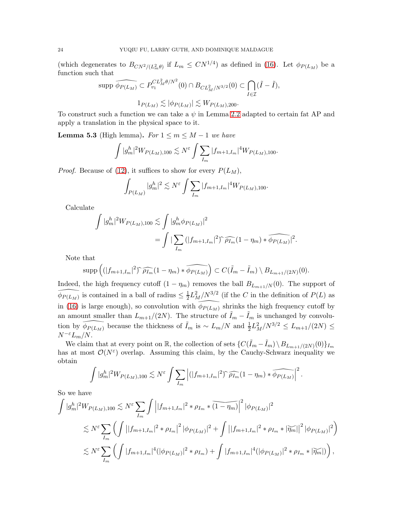(which degenerates to  $B_{CN^2/(L_m^2\theta)}$  if  $L_m \leq CN^{1/4}$ ) as defined in [\(16\)](#page-8-4). Let  $\phi_{P(L_M)}$  be a function such that

$$
\text{supp }\widehat{\phi_{P(L_M)}} \subset P_{v_1}^{CL_M^2 \theta/N^2}(0) \cap B_{CL_M^2/N^{3/2}}(0) \subset \bigcap_{I \in \mathcal{I}} (\tilde{I} - \tilde{I}),
$$
  

$$
1_{P(L_M)} \lesssim |\phi_{P(L_M)}| \lesssim W_{P(L_M), 200}.
$$

To construct such a function we can take a  $\psi$  in Lemma [2.2](#page-5-3) adapted to certain fat AP and apply a translation in the physical space to it.

<span id="page-23-0"></span>**Lemma 5.3** (High lemma). *For*  $1 \le m \le M - 1$  *we have* 

$$
\int |g_m^h|^2 W_{P(L_M),100} \lesssim N^{\varepsilon} \int \sum_{I_m} |f_{m+1,I_m}|^4 W_{P(L_M),100}.
$$

*Proof.* Because of [\(12\)](#page-6-0), it suffices to show for every  $P(L_M)$ ,

$$
\int_{P(L_M)} |g_m^h|^2 \lesssim N^{\varepsilon} \int \sum_{I_m} |f_{m+1,I_m}|^4 W_{P(L_M),100}.
$$

Calculate

$$
\int |g_m^h|^2 W_{P(L_M),100} \lesssim \int |g_m^h \phi_{P(L_M)}|^2
$$
  
= 
$$
\int |\sum_{I_m} (|f_{m+1,I_m}|^2)^\gamma \widehat{\rho_{I_m}} (1 - \eta_m) * \widehat{\phi_{P(L_M)}}|^2.
$$

Note that

$$
\operatorname{supp}\left((|f_{m+1,I_m}|^2)\widehat{\rho_{I_m}}(1-\eta_m)\ast\widehat{\phi_{P(L_M)}}\right)\subset C(\tilde{I}_m-\tilde{I}_m)\setminus B_{L_{m+1}/(2N)}(0).
$$

Indeed, the high frequency cutoff  $(1 - \eta_m)$  removes the ball  $B_{L_{m+1}/N}(0)$ . The support of  $\widehat{\phi}_{P(L_M)}$  is contained in a ball of radius  $\leq \frac{1}{2}$  $\frac{1}{2}L_M^2/N^{3/2}$  (if the C in the definition of  $P(L)$  as in [\(16\)](#page-8-4) is large enough), so convolution with  $\phi_{P(L_M)}$  shrinks the high frequency cutoff by an amount smaller than  $L_{m+1}/(2N)$ . The structure of  $\tilde{I}_m - \tilde{I}_m$  is unchanged by convolution by  $\widehat{\phi_{P(L_M)}}$  because the thickness of  $\tilde{I}_m$  is ~  $L_m/N$  and  $\frac{1}{2}L_M^2/N^{3/2} \le L_{m+1}/(2N) \le$  $N^{-\varepsilon}L_m/N$ .

We claim that at every point on  $\mathbb{R}$ , the collection of sets  $\{C(\tilde{I}_m - \tilde{I}_m) \setminus B_{L_{m+1}/(2N)}(0)\}_{I_m}$ has at most  $\mathcal{O}(N^{\epsilon})$  overlap. Assuming this claim, by the Cauchy-Schwarz inequality we obtain

$$
\int |g_m^h|^2 W_{P(L_M),100} \lesssim N^{\varepsilon} \int \sum_{I_m} \left| (|f_{m+1,I_m}|^2)^\gamma \widehat{\rho_{I_m}} (1 - \eta_m) * \widehat{\phi_{P(L_M)}} \right|^2.
$$

So we have

$$
\int |g_m^h|^2 W_{P(L_M),100} \lesssim N^{\varepsilon} \sum_{I_m} \int \left| |f_{m+1,I_m}|^2 * \rho_{I_m} * \widetilde{(1-\eta_m)} \right|^2 |\phi_{P(L_M)}|^2
$$
  

$$
\lesssim N^{\varepsilon} \sum_{I_m} \left( \int \left| |f_{m+1,I_m}|^2 * \rho_{I_m} \right|^2 |\phi_{P(L_M)}|^2 + \int \left| |f_{m+1,I_m}|^2 * \rho_{I_m} * |\widetilde{\eta_m}| \right|^2 |\phi_{P(L_M)}|^2 \right)
$$
  

$$
\lesssim N^{\varepsilon} \sum_{I_m} \left( \int |f_{m+1,I_m}|^4 (|\phi_{P(L_M)}|^2 * \rho_{I_m}) + \int |f_{m+1,I_m}|^4 (|\phi_{P(L_M)}|^2 * \rho_{I_m} * |\widetilde{\eta_m}|) \right),
$$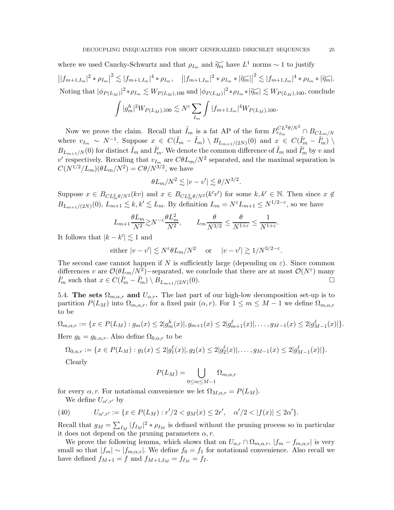where we used Cauchy-Schwartz and that  $\rho_{I_m}$  and  $\widetilde{\eta_m}$  have  $L^1$  norms ~ 1 to justify

 $||f_{m+1,I_m}|^2 * \rho_{I_m}|^2 \lesssim |f_{m+1,I_m}|^4 * \rho_{I_m}, \quad ||f_{m+1,I_m}|^2 * \rho_{I_m} * |\widetilde{\eta_m}||^2 \lesssim |f_{m+1,I_m}|^4 * \rho_{I_m} * |\widetilde{\eta_m}|.$ Noting that  $|\phi_{P(L_M)}|^2 * \rho_{I_m} \lesssim W_{P(L_M),100}$  and  $|\phi_{P(L_M)}|^2 * \rho_{I_m} * |\widetilde{\eta_m}| \lesssim W_{P(L_M),100}$ , conclude Z h ε $\sum$ Z

$$
\int |g_m^h|^2 W_{P(L_M),100} \lesssim N^{\varepsilon} \sum_{I_m} \int |f_{m+1,I_m}|^4 W_{P(L_M),100}.
$$

Now we prove the claim. Recall that  $\tilde{I}_m$  is a fat AP of the form  $P_{v_{I_m}}^{CL^2\theta/N^2} \cap B_{CL_m/N}$ where  $v_{I_m} \sim N^{-1}$ . Suppose  $x \in C(\tilde{I}_m - \tilde{I}_m) \setminus B_{L_{m+1}/(2N)}(0)$  and  $x \in C(\tilde{I}'_m - \tilde{I}'_m) \setminus B_{L_{m+1}/(2N)}(0)$  $B_{L_{m+1}/N}(0)$  for distinct  $\tilde{I}_m$  and  $\tilde{I}'_m$ . We denote the common difference of  $\tilde{I}_m$  and  $\tilde{I}'_m$  by v and  $v'$  respectively. Recalling that  $v_{I_m}$  are  $C\theta L_m/N^2$  separated, and the maximal separation is  $C(N^{1/2}/L_m)(\theta L_m/N^2) = C\theta/N^{3/2}$ , we have

$$
\theta L_m/N^2 \lesssim |v - v'| \lesssim \theta/N^{3/2}.
$$

Suppose  $x \in B_{CL_m^2\theta/N^2}(kv)$  and  $x \in B_{CL_m^2\theta/N^2}(k'v')$  for some  $k, k' \in \mathbb{N}$ . Then since  $x \notin$  $B_{L_{m+1}/(2N)}(0)$ ,  $L_{m+1} \lesssim k, k' \lesssim L_m$ . By definition  $L_m = N^{\varepsilon} L_{m+1} \leq N^{1/2-\varepsilon}$ , so we have

$$
L_{m+1} \frac{\theta L_m}{N^2} \gtrsim N^{-\varepsilon} \frac{\theta L_m^2}{N^2}, \qquad L_m \frac{\theta}{N^{3/2}} \le \frac{\theta}{N^{1+\varepsilon}} \le \frac{1}{N^{1+\varepsilon}}.
$$

It follows that  $|k - k'| \lesssim 1$  and

either 
$$
|v - v'| \lesssim N^{\varepsilon} \theta L_m/N^2
$$
 or  $|v - v'| \gtrsim 1/N^{3/2 - \varepsilon}$ .

The second case cannot happen if N is sufficiently large (depending on  $\varepsilon$ ). Since common differences v are  $\mathcal{O}(\theta L_m/N_c^2)$ -separated, we conclude that there are at most  $\mathcal{O}(N^{\varepsilon})$  many  $\tilde{I}'_m$  such that  $x \in C(\tilde{I}'_m - \tilde{I}'_m) \setminus B_{L_{m+1}/(2N)}$  $(0).$ 

5.4. The sets  $\Omega_{m,\alpha,r}$  and  $U_{\alpha,r}$ . The last part of our high-low decomposition set-up is to partition  $P(L_M)$  into  $\Omega_{m,\alpha,r}$ , for a fixed pair  $(\alpha, r)$ . For  $1 \leq m \leq M-1$  we define  $\Omega_{m,\alpha,r}$ to be

$$
\Omega_{m,\alpha,r} := \{ x \in P(L_M) : g_m(x) \le 2 |g_m^h(x)|, g_{m+1}(x) \le 2 |g_{m+1}^\ell(x)|, \dots, g_{M-1}(x) \le 2 |g_{M-1}^\ell(x)| \}.
$$

Here  $g_k = g_{k,\alpha,r}$ . Also define  $\Omega_{0,\alpha,r}$  to be

$$
\Omega_{0,\alpha,r} := \{ x \in P(L_M) : g_1(x) \le 2|g_1^{\ell}(x)|, g_2(x) \le 2|g_2^{\ell}(x)|, \dots, g_{M-1}(x) \le 2|g_{M-1}^{\ell}(x)| \}.
$$

Clearly

$$
P(L_M) = \bigcup_{0 \le m \le M-1} \Omega_{m,\alpha,r}
$$

for every  $\alpha, r$ . For notational convenience we let  $\Omega_{M,\alpha,r} = P(L_M)$ .

We define  $U_{\alpha',r'}$  by

(40) 
$$
U_{\alpha',r'} := \{x \in P(L_M) : r'/2 < g_M(x) \leq 2r', \quad \alpha'/2 < |f(x)| \leq 2\alpha' \}.
$$

Recall that  $g_M = \sum_{I_M} |f_{I_M}|^2 * \rho_{I_M}$  is defined without the pruning process so in particular it does not depend on the pruning parameters  $\alpha, r$ .

We prove the following lemma, which shows that on  $U_{\alpha,r} \cap \Omega_{m,\alpha,r}$ ,  $|f_m - f_{m,\alpha,r}|$  is very small so that  $|f_m| \sim |f_{m,\alpha,r}|$ . We define  $f_0 = f_1$  for notational convenience. Also recall we have defined  $f_{M+1} = f$  and  $f_{M+1,I_M} = f_{I_M} = f_I$ .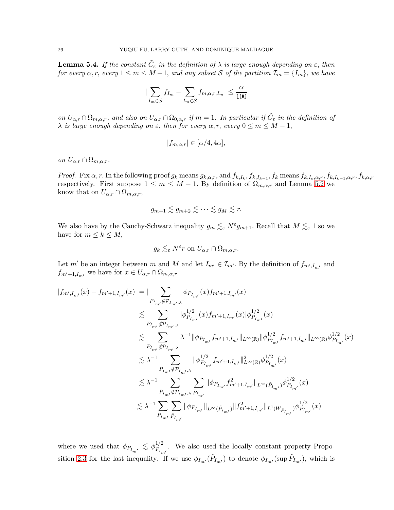<span id="page-25-0"></span>**Lemma 5.4.** If the constant  $\tilde{C}_{\varepsilon}$  in the definition of  $\lambda$  is large enough depending on  $\varepsilon$ , then *for every*  $\alpha, r$ , *every*  $1 \leq m \leq M-1$ , *and any subset* S *of the partition*  $\mathcal{I}_m = \{I_m\}$ , *we have* 

$$
|\sum_{I_m \in \mathcal{S}} f_{I_m} - \sum_{I_m \in \mathcal{S}} f_{m,\alpha,r,I_m}| \le \frac{\alpha}{100}
$$

*on*  $U_{\alpha,r} \cap \Omega_{m,\alpha,r}$ , and also on  $U_{\alpha,r} \cap \Omega_{0,\alpha,r}$  *if*  $m = 1$ . In particular *if*  $\tilde{C}_{\varepsilon}$  *in the definition of*  $\lambda$  *is large enough depending on*  $\varepsilon$ , *then for every*  $\alpha$ , *r*, *every*  $0 \le m \le M - 1$ ,

$$
|f_{m,\alpha,r}| \in [\alpha/4, 4\alpha],
$$

*on*  $U_{\alpha,r} \cap \Omega_{m,\alpha,r}$ .

*Proof.* Fix  $\alpha$ , r. In the following proof  $g_k$  means  $g_{k,\alpha,r}$ , and  $f_{k,I_k}$ ,  $f_{k,I_{k-1}}$ ,  $f_k$  means  $f_{k,I_k,\alpha,r}$ ,  $f_{k,I_{k-1},\alpha,r}$ ,  $f_{k,\alpha,r}$ respectively. First suppose  $1 \leq m \leq M - 1$ . By definition of  $\Omega_{m,\alpha,r}$  and Lemma [5.2](#page-22-1) we know that on  $U_{\alpha,r} \cap \Omega_{m,\alpha,r}$ ,

$$
g_{m+1}\lesssim g_{m+2}\lesssim\cdots\lesssim g_M\lesssim r.
$$

We also have by the Cauchy-Schwarz inequality  $g_m \lesssim_{\varepsilon} N^{\varepsilon} g_{m+1}$ . Recall that  $M \lesssim_{\varepsilon} 1$  so we have for  $m \leq k \leq M$ ,

$$
g_k \lesssim_{\varepsilon} N^{\varepsilon} r
$$
 on  $U_{\alpha,r} \cap \Omega_{m,\alpha,r}$ .

Let m' be an integer between m and M and let  $I_{m'} \in \mathcal{I}_{m'}$ . By the definition of  $f_{m',I_{m'}}$  and  $f_{m'+1,I_{m'}}$  we have for  $x \in U_{\alpha,r} \cap \Omega_{m,\alpha,r}$ 

$$
\begin{split} |f_{m',I_{m'}}(x)-f_{m'+1,I_{m'}}(x)|&=|\sum_{P_{I_{m'}}\notin\mathcal{P}_{I_{m'},\lambda}}\phi_{P_{I_{m'}}}(x)f_{m'+1,I_{m'}}(x)|\\ &\lesssim \sum_{P_{I_{m'}}\notin\mathcal{P}_{I_{m'},\lambda}}|\phi_{P_{I_{m'}}}^{1/2}(x)f_{m'+1,I_{m'}}(x)|\phi_{P_{I_{m'}}}^{1/2}(x)\\ &\lesssim \sum_{P_{I_{m'}}\notin\mathcal{P}_{I_{m'},\lambda}}\lambda^{-1}\|\phi_{P_{I_{m'}}}f_{m'+1,I_{m'}}\|_{L^{\infty}(\mathbb{R})}\|\phi_{P_{I_{m'}}}^{1/2}f_{m'+1,I_{m'}}\|_{L^{\infty}(\mathbb{R})}\phi_{P_{I_{m'}}}^{1/2}(x)\\ &\lesssim \lambda^{-1}\sum_{P_{I_{m'}}\notin\mathcal{P}_{I_{m'},\lambda}}\|\phi_{P_{I_{m'}}}^{1/2}f_{m'+1,I_{m'}}\|_{L^{\infty}(\mathbb{R})}\phi_{P_{I_{m'}}}^{1/2}(x)\\ &\lesssim \lambda^{-1}\sum_{P_{I_{m'}}\notin\mathcal{P}_{I_{m'},\lambda}}\sum_{\tilde{P}_{I_{m'}}}\|\phi_{P_{I_{m'}}}f_{m'+1,I_{m'}}^2\|_{L^{\infty}(\tilde{P}_{I_{m'}})}\phi_{P_{I_{m'}}}^{1/2}(x)\\ &\lesssim \lambda^{-1}\sum_{P_{I_{m'}}\notin\mathcal{P}_{I_{m'},\lambda}}\sum_{\tilde{P}_{I_{m'}}}\|\phi_{P_{I_{m'}}}\|_{L^{\infty}(\tilde{P}_{I_{m'}})}\|f_{m'+1,I_{m'}}^2\|_{L^4(W_{\tilde{P}_{I_{m'}}})}\phi_{P_{I_{m'}}}^{1/2}(x) \end{split}
$$

where we used that  $\phi_{P_{I_{m'}}} \leq \phi_{P_{I_{n}}}^{1/2}$  $P_{P_{I_{m'}}}^{1/2}$ . We also used the locally constant property Propo-sition [2.3](#page-6-1) for the last inequality. If we use  $\phi_{I_{m'}}(\tilde{P}_{I_{m'}})$  to denote  $\phi_{I_{m'}}(\sup \tilde{P}_{I_{m'}})$ , which is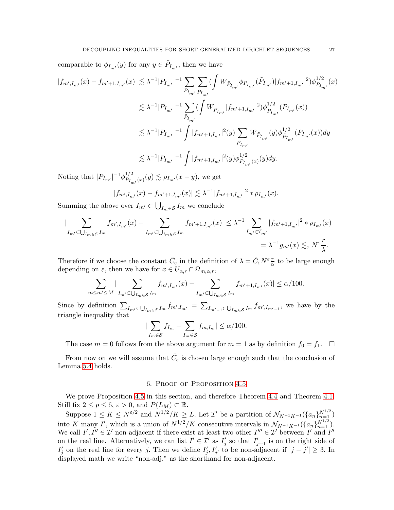comparable to  $\phi_{I_{m'}}(y)$  for any  $y \in \tilde{P}_{I_{m'}}$ , then we have

$$
\begin{aligned} |f_{m',I_{m'}}(x)-f_{m'+1,I_{m'}}(x)| &\lesssim \lambda^{-1}|P_{I_{m'}}|^{-1}\sum_{P_{I_{m'}}}\sum_{\tilde{P}_{I_{m'}}}\big(\int W_{\tilde{P}_{I_{m'}}}\phi_{P_{I_{m'}}}(\tilde{P}_{I_{m'}})|f_{m'+1,I_{m'}}|^2\big)\phi_{P_{I_{m'}}}^{1/2}(x)\\ &\lesssim \lambda^{-1}|P_{I_{m'}}|^{-1}\sum_{\tilde{P}_{I_{m'}}}\big(\int W_{\tilde{P}_{I_{m'}}}|f_{m'+1,I_{m'}}|^2\big)\phi_{\tilde{P}_{I_{m'}}}^{1/2}(P_{I_{m'}}(x))\\ &\lesssim \lambda^{-1}|P_{I_{m'}}|^{-1}\int |f_{m'+1,I_{m'}}|^2(y)\sum_{\tilde{P}_{I_{m'}}}\big|W_{\tilde{P}_{I_{m'}}}(y)\phi_{\tilde{P}_{I_{m'}}}^{1/2}(P_{I_{m'}}(x))dy\\ &\lesssim \lambda^{-1}|P_{I_{m'}}|^{-1}\int |f_{m'+1,I_{m'}}|^2(y)\phi_{P_{I_{m'}}(x)}^{1/2}(y)dy. \end{aligned}
$$

Noting that  $|P_{I_{m'}}|^{-1}\phi_{P_I}^{1/2}$  $P_{I_{m'}}(x)(y) \lesssim \rho_{I_{m'}}(x-y)$ , we get

$$
|f_{m',I_{m'}}(x) - f_{m'+1,I_{m'}}(x)| \lesssim \lambda^{-1} |f_{m'+1,I_{m'}}|^2 * \rho_{I_{m'}}(x).
$$

Summing the above over  $I_{m'} \subset \bigcup_{I_m \in \mathcal{S}} I_m$  we conclude

$$
\left| \sum_{I_{m'} \subset \bigcup_{I_m \in \mathcal{S}} I_m} f_{m',I_{m'}}(x) - \sum_{I_{m'} \subset \bigcup_{I_m \in \mathcal{S}} I_m} f_{m'+1,I_{m'}}(x) \right| \leq \lambda^{-1} \sum_{I_{m'} \in \mathcal{I}_{m'}} |f_{m'+1,I_{m'}}|^2 * \rho_{I_{m'}}(x)
$$
  
=  $\lambda^{-1} g_{m'}(x) \lesssim_{\varepsilon} N^{\varepsilon} \frac{r}{\lambda}.$ 

Therefore if we choose the constant  $\tilde{C}_{\varepsilon}$  in the definition of  $\lambda = \tilde{C}_{\varepsilon} N^{\varepsilon} \frac{r}{\alpha}$  to be large enough depending on  $\varepsilon$ , then we have for  $x \in U_{\alpha,r} \cap \Omega_{m,\alpha,r}$ ,

$$
\sum_{m \le m' \le M} |\sum_{I_{m'} \subset \bigcup_{I_m \in \mathcal{S}} I_m} f_{m',I_{m'}}(x) - \sum_{I_{m'} \subset \bigcup_{I_m \in \mathcal{S}} I_m} f_{m'+1,I_{m'}}(x)| \le \alpha/100.
$$

Since by definition  $\sum_{I_{m'}\subset \bigcup_{I_m\in S}I_m} f_{m',I_{m'}} = \sum_{I_{m'-1}\subset \bigcup_{I_m\in S}I_m} f_{m',I_{m'-1}}$ , we have by the triangle inequality that

$$
|\sum_{I_m \in \mathcal{S}} f_{I_m} - \sum_{I_m \in \mathcal{S}} f_{m,I_m}| \le \alpha/100.
$$

The case  $m = 0$  follows from the above argument for  $m = 1$  as by definition  $f_0 = f_1$ .  $\Box$ 

<span id="page-26-0"></span>From now on we will assume that  $\tilde{C}_{\varepsilon}$  is chosen large enough such that the conclusion of Lemma [5.4](#page-25-0) holds.

## 6. Proof of Proposition [4.5](#page-16-1)

We prove Proposition [4.5](#page-16-1) in this section, and therefore Theorem [4.4](#page-15-0) and Theorem [4.1.](#page-14-3) Still fix  $2 \le p \le 6$ ,  $\varepsilon > 0$ , and  $P(L_M) \subset \mathbb{R}$ .

Suppose  $1 \leq K \leq N^{\varepsilon/2}$  and  $N^{1/2}/K \geq L$ . Let  $\mathcal{I}'$  be a partition of  $\mathcal{N}_{N^{-1}K^{-1}}(\{a_n\}_{n=1}^{N^{1/2}})$ into K many I', which is a union of  $N^{1/2}/K$  consecutive intervals in  $\mathcal{N}_{N^{-1}K^{-1}}(\{a_n\}_{n=1}^{N^{1/2}})$ . We call  $I', I'' \in \mathcal{I}'$  non-adjacent if there exist at least two other  $I''' \in \mathcal{I}'$  between  $I'$  and  $I''$ on the real line. Alternatively, we can list  $I' \in \mathcal{I}'$  as  $I'_j$  so that  $I'_{j+1}$  is on the right side of  $I'_j$  on the real line for every j. Then we define  $I'_j, I'_{j'}$  to be non-adjacent if  $|j - j'| \geq 3$ . In displayed math we write "non-adj." as the shorthand for non-adjacent.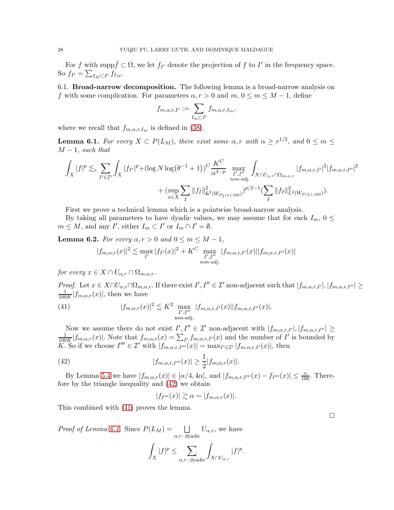For f with supp $\hat{f} \subset \Omega$ , we let  $f_{I'}$  denote the projection of f to I' in the frequency space. So  $f_{I'} = \sum_{I_M \subset I'} f_{I_M}$ .

6.1. Broad-narrow decomposition. The following lemma is a broad-narrow analysis on f with some complication. For parameters  $\alpha, r > 0$  and  $m, 0 \le m \le M - 1$ , define

$$
f_{m,\alpha,r,I'} := \sum_{I_m \subset I'} f_{m,\alpha,r,I_m},
$$

where we recall that  $f_{m,\alpha,r,I_m}$  is defined in [\(38\)](#page-21-4).

<span id="page-27-2"></span>**Lemma 6.1.** *For every*  $X \subset P(L_M)$ , *there exist some*  $\alpha, r$  *with*  $\alpha \geq r^{1/2}$ , *and*  $0 \leq m \leq$  $M-1$ , *such that* 

$$
\int_{X} |f|^{p} \lesssim_{\varepsilon} \sum_{I' \in \mathcal{I}'} \int_{X} |f_{I'}|^{p} + (\log N \log (\theta^{-1} + 1))^{C} \frac{K^{C}}{\alpha^{4-p}} \max_{\substack{I', I'' \\ \text{non-adj.}}} \int_{X \cap U_{\alpha,r} \cap \Omega_{m,\alpha,r}} |f_{m,\alpha,r,I'}|^{2} |f_{m,\alpha,r,I''}|^{2} \frac{1}{2} \int_{X \cap U_{\alpha,r} \cap \Omega_{m,\alpha,r}} |f_{m,\alpha,r,I'}|^{2} |f_{m,\alpha,r,I''}|^{2} \frac{1}{2} \int_{X \cap U_{\alpha,r} \cap \Omega_{m,\alpha,r}} |f_{m,\alpha,r,I''}|^{2} \frac{1}{2} \int_{X \cap U_{\alpha,r} \cap \Omega_{m,\alpha,r}} |f_{m,\alpha,r,I''}|^{2} |f_{m,\alpha,r,I''}|^{2} \frac{1}{2} \int_{X \cap U_{\alpha,r} \cap \Omega_{m,\alpha,r}} |f_{m,\alpha,r,I''}|^{2} \frac{1}{2} \int_{X \cap U_{\alpha,r} \cap \Omega_{m,\alpha,r}} |f_{m,\alpha,r,I''}|^{2} \frac{1}{2} \int_{X \cap U_{\alpha,r} \cap \Omega_{m,\alpha,r}} |f_{m,\alpha,r,I''}|^{2} \frac{1}{2} \int_{X \cap U_{\alpha,r} \cap \Omega_{m,\alpha,r}} |f_{m,\alpha,r,I''}|^{2} \frac{1}{2} \int_{X \cap U_{\alpha,r} \cap \Omega_{m,\alpha,r}} |f_{m,\alpha,r,I''}|^{2} \frac{1}{2} \int_{X \cap U_{\alpha,r} \cap \Omega_{m,\alpha,r}} |f_{m,\alpha,r,I''}|^{2} \frac{1}{2} \int_{X \cap U_{\alpha,r} \cap \Omega_{m,\alpha,r}} |f_{m,\alpha,r,I''}|^{2} \frac{1}{2} \int_{X \cap U_{\alpha,r} \cap \Omega_{m,\alpha,r}} |f_{m,\alpha,r,I''}|^{2} \frac{1}{2} \int_{X \cap U_{\alpha,r} \cap \Omega_{m,\alpha,r}} |f_{m,\alpha,r,I''}|^{2} \frac{1}{2} \int_{X \cap U_{\alpha,r} \cap \Omega_{m,\alpha,r}} |f_{m,\alpha,r,I''}|^{2} \frac{1}{2} \int_{X \cap U_{\alpha,r} \cap \Omega_{m,\alpha,r}} |f_{m,\alpha,r,I''}|^{
$$

First we prove a technical lemma which is a pointwise broad-narrow analysis.

By taking all parameters to have dyadic values, we may assume that for each  $I_m$ ,  $0 \leq$  $m \leq M$ , and any  $I'$ , either  $I_m \subset I'$  or  $I_m \cap I' = \emptyset$ .

<span id="page-27-3"></span>**Lemma 6.2.** *For every*  $\alpha, r > 0$  *and*  $0 \leq m \leq M - 1$ *,* 

<span id="page-27-1"></span>
$$
|f_{m,\alpha,r}(x)|^2 \lesssim \max_{I'} |f_{I'}(x)|^2 + K^C \max_{\substack{I',I''\\ \text{non-adj.}}} |f_{m,\alpha,r,I'}(x)| |f_{m,\alpha,r,I''}(x)|
$$

*for every*  $x \in X \cap U_{\alpha,r} \cap \Omega_{m,\alpha,r}$ .

*Proof.* Let  $x \in X \cap U_{\alpha,r} \cap \Omega_{m,\alpha,r}$ . If there exist  $I', I'' \in \mathcal{I}'$  non-adjacent such that  $|f_{m,\alpha,r,I'}|, |f_{m,\alpha,r,I''}| \geq$ 1  $\frac{1}{100K}|f_{m,\alpha,r}(x)|$ , then we have

(41) 
$$
|f_{m,\alpha,r}(x)|^2 \lesssim K^2 \max_{\substack{I',I''\\ \text{non-adj.}}} |f_{m,\alpha,r,I'}(x)| |f_{m,\alpha,r,I''}(x)|.
$$

Now we assume there do not exist  $I'$ ,  $I'' \in \mathcal{I}'$  non-adjacent with  $|f_{m,\alpha,r,I'}|, |f_{m,\alpha,r,I''}| \geq$ 1  $\frac{1}{100K}|f_{m,\alpha,r}(x)|$ . Note that  $f_{m,\alpha,r}(x) = \sum_{I'} f_{m,\alpha,r,I'}(x)$  and the number of  $I'$  is bounded by K. So if we choose  $I''' \in \mathcal{I}'$  with  $|f_{m,\alpha,r,I''}(x)| = \max_{I' \in \mathcal{I}'} |f_{m,\alpha,r,I'}(x)|$ , then

(42) 
$$
|f_{m,\alpha,r,I'''}(x)| \geq \frac{1}{2}|f_{m,\alpha,r}(x)|.
$$

By Lemma [5.4](#page-25-0) we have  $|f_{m,\alpha,r}(x)| \in [\alpha/4, 4\alpha]$ , and  $|f_{m,\alpha,r,I'''}(x) - f_{I'''}(x)| \leq \frac{\alpha}{100}$ . Therefore by the triangle inequality and [\(42\)](#page-27-0) we obtain

<span id="page-27-0"></span>
$$
|f_{I'''}(x)| \gtrsim \alpha \sim |f_{m,\alpha,r}(x)|.
$$

This combined with [\(41\)](#page-27-1) proves the lemma.

*Proof of Lemma [6.1.](#page-27-2)* Since  $P(L_M) = \Box$  $\alpha$ ,r: dyadic  $U_{\alpha,r}$ , we have

$$
\int_X |f|^p \leq \sum_{\alpha,r: \text{ dyadic}} \int_{X\cap U_{\alpha,r}} |f|^p.
$$

 $\Box$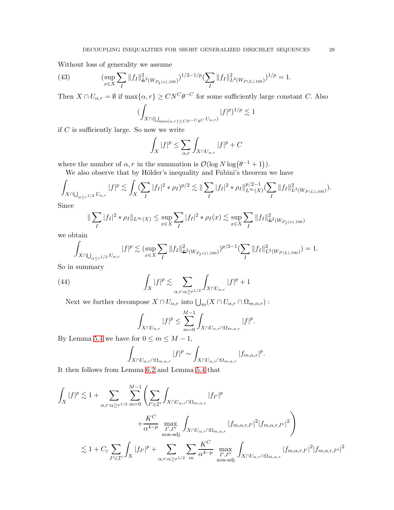Without loss of generality we assume

(43) 
$$
\left(\sup_{x \in X} \sum_{I} \|f_I\|_{\mathcal{L}^2(W_{P_I(x),100})}^2\right)^{1/2-1/p} \left(\sum_{I} \|f_I\|_{L^2(W_{P(L),100})}^2\right)^{1/p} = 1.
$$

Then  $X \cap U_{\alpha,r} = \emptyset$  if  $\max\{\alpha, r\} \geq C N^C \theta^{-C}$  for some sufficiently large constant C. Also

$$
(\int_{X\cap(\bigcup_{\min\{\alpha,r\}\leq CN^{-C}\theta C}U_{\alpha,r})}|f|^p)^{1/p}\lesssim 1
$$

if  $C$  is sufficiently large. So now we write

$$
\int_X |f|^p \le \sum_{\alpha,r} \int_{X \cap U_{\alpha,r}} |f|^p + C
$$

where the number of  $\alpha$ , r in the summation is  $\mathcal{O}(\log N \log(\theta^{-1} + 1)).$ 

We also observe that by Hölder's inequality and Fubini's theorem we have

$$
\int_{X\cap\bigcup_{\alpha\leq r^{1/2}}U_{\alpha,r}}|f|^p\lesssim \int_X(\sum_I|f_I|^2*\rho_I)^{p/2}\lesssim \|\sum_I|f_I|^2*\rho_I\|_{L^\infty(X)}^{p/2-1}(\sum_I\|f_I\|_{L^2(W_{P(L),100})}^2).
$$

Since

$$
\|\sum_{I}|f_{I}|^{2} * \rho_{I}\|_{L^{\infty}(X)} \leq \sup_{x \in X} \sum_{I}|f_{I}|^{2} * \rho_{I}(x) \lesssim \sup_{x \in X} \sum_{I}||f_{I}||^{2}_{\mathcal{H}^{2}(W_{P_{I}(x),100})}
$$

we obtain

$$
\int_{X \cap \bigcup_{\alpha \leq r^{1/2}} U_{\alpha,r}} |f|^p \lesssim (\sup_{x \in X} \sum_I \|f_I\|_{L^2(W_{P_I(x),100})}^2)^{p/2-1} (\sum_I \|f_I\|_{L^2(W_{P(L),100})}^2) = 1.
$$

So in summary

(44) 
$$
\int_X |f|^p \lesssim \sum_{\alpha, r: \alpha \ge r^{1/2}} \int_{X \cap U_{\alpha,r}} |f|^p + 1
$$

Next we further decompose  $X \cap U_{\alpha,r}$  into  $\bigcup_m (X \cap U_{\alpha,r} \cap \Omega_{m,\alpha,r})$ :

$$
\int_{X\cap U_{\alpha,r}}|f|^p\leq \sum_{m=0}^{M-1}\int_{X\cap U_{\alpha,r}\cap \Omega_{m,\alpha,r}}|f|^p.
$$

By Lemma [5.4](#page-25-0) we have for  $0 \le m \le M - 1$ ,

$$
\int_{X\cap U_{\alpha,r}\cap \Omega_{m,\alpha,r}}|f|^p\sim \int_{X\cap U_{\alpha,r}\cap \Omega_{m,\alpha,r}}|f_{m,\alpha,r}|^p.
$$

It then follows from Lemma [6.2](#page-27-3) and Lemma [5.4](#page-25-0) that

$$
\int_X |f|^p \lesssim 1 + \sum_{\alpha, r:\alpha \geq r^{1/2}} \sum_{m=0}^{M-1} \left( \sum_{I' \in \mathcal{I}'} \int_{X \cap U_{\alpha,r} \cap \Omega_{m,\alpha,r}} |f_{I'}|^p \right. \\
\left. + \frac{K^C}{\alpha^{4-p}} \max_{\substack{I', I'' \\ \text{non-adj.}}} \int_{X \cap U_{\alpha,r} \cap \Omega_{m,\alpha,r}} |f_{m,\alpha,r,I'}|^2 |f_{m,\alpha,r,I''}|^2 \right) \\
\lesssim 1 + C_{\varepsilon} \sum_{I' \in \mathcal{I}'} \int_X |f_{I'}|^p + \sum_{\alpha, r:\alpha \geq r^{1/2}} \sum_{m} \frac{K^C}{\alpha^{4-p}} \max_{\substack{I', I'' \\ \text{non-adj.}}} \int_{X \cap U_{\alpha,r} \cap \Omega_{m,\alpha,r}} |f_{m,\alpha,r,I'}|^2 |f_{m,\alpha,r,I''}|^2
$$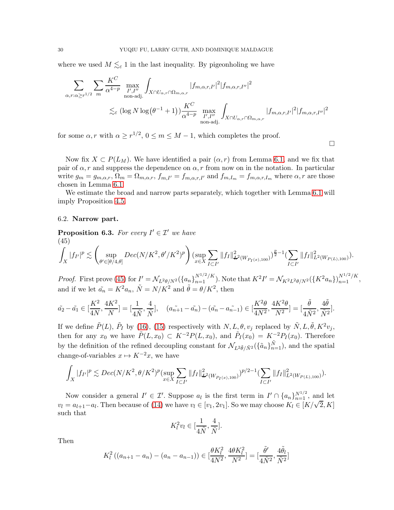where we used  $M \lesssim_{\varepsilon} 1$  in the last inequality. By pigeonholing we have

$$
\sum_{\alpha,r:\alpha\geq r^{1/2}}\sum_{m}\frac{K^C}{\alpha^{4-p}}\max_{\substack{I',I''\\ \text{non-adj.}}}\int_{X\cap U_{\alpha,r}\cap\Omega_{m,\alpha,r}}|f_{m,\alpha,r,I'}|^2|f_{m,\alpha,r,I''}|^2
$$
  

$$
\lesssim_{\varepsilon} (\log N \log(\theta^{-1}+1))\frac{K^C}{\alpha^{4-p}}\max_{\substack{I',I''\\ \text{non-adj.}}}\int_{X\cap U_{\alpha,r}\cap\Omega_{m,\alpha,r}}|f_{m,\alpha,r,I'}|^2|f_{m,\alpha,r,I''}|^2
$$

for some  $\alpha, r$  with  $\alpha \geq r^{1/2}, 0 \leq m \leq M-1$ , which completes the proof.

Now fix  $X \text{ }\subset P(L_M)$ . We have identified a pair  $(\alpha, r)$  from Lemma [6.1,](#page-27-2) and we fix that pair of  $\alpha$ , r and suppress the dependence on  $\alpha$ , r from now on in the notation. In particular write  $g_m = g_{m,\alpha,r}$ ,  $\Omega_m = \Omega_{m,\alpha,r}$ ,  $f_{m,I'} = f_{m,\alpha,r,I'}$  and  $f_{m,I_m} = f_{m,\alpha,r,I_m}$  where  $\alpha, r$  are those chosen in Lemma [6.1.](#page-27-2)

 $\Box$ 

We estimate the broad and narrow parts separately, which together with Lemma [6.1](#page-27-2) will imply Proposition [4.5.](#page-16-1)

## 6.2. Narrow part.

<span id="page-29-1"></span>**Proposition 6.3.** For every  $I' \in \mathcal{I}'$  we have

<span id="page-29-0"></span>(45)  

$$
\int_X |f_{I'}|^p \lesssim \left(\sup_{\theta' \in [\theta/4,\theta]} Dec(N/K^2, \theta'/K^2)^p\right) \left(\sup_{x \in X} \sum_{I \subset I'} \|f_I\|_{\mathcal{H}^2(W_{P_I(x),100})}^2\right)^{\frac{p}{2}-1} \left(\sum_{I \subset I'} \|f_I\|_{L^2(W_{P(L),100})}^2\right).
$$

*Proof.* First prove [\(45\)](#page-29-0) for  $I' = \mathcal{N}_{L^2\theta/N^2}(\{a_n\}_{n=1}^{N^{1/2}/K})$ . Note that  $K^2I' = \mathcal{N}_{K^2L^2\theta/N^2}(\{K^2a_n\})_{n=1}^{N^{1/2}/K}$ , and if we let  $\tilde{a}_n = K^2 a_n$ ,  $\tilde{N} = N/K^2$  and  $\tilde{\theta} = \theta/K^2$ , then

$$
\tilde{a_2} - \tilde{a_1} \in \left[\frac{K^2}{4N}, \frac{4K^2}{N}\right] = \left[\frac{1}{4\tilde{N}}, \frac{4}{\tilde{N}}\right], \quad (a_{n+1} - \tilde{a_n}) - (\tilde{a_n} - a_{n-1}) \in \left[\frac{K^2\theta}{4N^2}, \frac{4K^2\theta}{N^2}\right] = \left[\frac{\tilde{\theta}}{4\tilde{N}^2}, \frac{4\tilde{\theta}}{\tilde{N}^2}\right].
$$

If we define  $\tilde{P}(L)$ ,  $\tilde{P}_I$  by [\(16\)](#page-8-4), [\(15\)](#page-8-3) respectively with  $N, L, \theta, v_j$  replaced by  $\tilde{N}, L, \tilde{\theta}, K^2v_j$ , then for any  $x_0$  we have  $\tilde{P}(L, x_0) \subset K^{-2}P(L, x_0)$ , and  $\tilde{P}_I(x_0) = K^{-2}P_I(x_0)$ . Therefore by the definition of the refined decoupling constant for  $\mathcal{N}_{L^2\tilde{\theta}/\tilde{N}^2}(\{\tilde{a}_n\}_{n=1}^{\tilde{N}})$ , and the spatial change-of-variables  $x \mapsto K^{-2}x$ , we have

$$
\int_X |f_{I'}|^p \lesssim Dec(N/K^2, \theta/K^2)^p(\sup_{x \in X} \sum_{I \subset I'} \|f_I\|_{\mathcal{L}^2(W_{P_I(x),100})}^2)^{p/2-1}(\sum_{I \subset I'} \|f_I\|_{L^2(W_{P(L),100})}^2).
$$

Now consider a general  $I' \in \mathcal{I}'$ . Suppose  $a_l$  is the first term in  $I' \cap \{a_n\}_{n=1}^{N^{1/2}}$ , and let  $v_l = a_{l+1}-a_l$ . Then because of [\(14\)](#page-8-2) we have  $v_l \in [v_1, 2v_1]$ . So we may choose  $K_l \in [K/\sqrt{2}, K]$ such that

$$
K_l^2 v_l \in [\frac{1}{4\tilde{N}}, \frac{4}{\tilde{N}}].
$$

Then

$$
K_l^2((a_{n+1}-a_n)-(a_n-a_{n-1})) \in [\frac{\theta K_l^2}{4N^2}, \frac{4\theta K_l^2}{N^2}] = [\frac{\tilde{\theta}'}{4\tilde{N}^2}, \frac{4\tilde{\theta}_l}{\tilde{N}^2}]
$$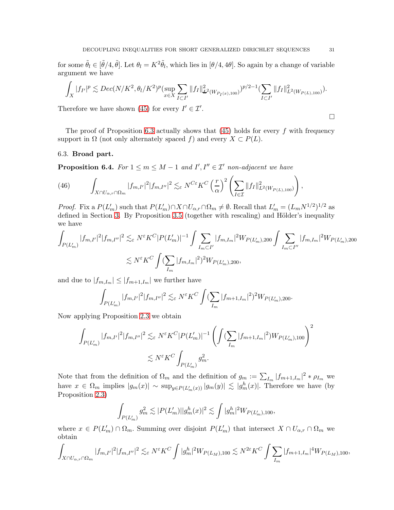for some  $\tilde{\theta}_l \in [\tilde{\theta}/4, \tilde{\theta}]$ . Let  $\theta_l = K^2 \tilde{\theta}_l$ , which lies in  $[\theta/4, 4\theta]$ . So again by a change of variable argument we have

$$
\int_X |f_{I'}|^p \lesssim Dec(N/K^2, \theta_I/K^2)^p(\sup_{x \in X} \sum_{I \subset I'} \|f_I\|_{\mathcal{L}^2(W_{P_I(x),100})}^2)^{p/2-1}(\sum_{I \subset I'} \|f_I\|_{L^2(W_{P(L),100})}^2).
$$

Therefore we have shown [\(45\)](#page-29-0) for every  $I' \in \mathcal{I}'$ .

The proof of Proposition [6.3](#page-29-1) actually shows that  $(45)$  holds for every f with frequency support in  $\Omega$  (not only alternately spaced f) and every  $X \subset P(L)$ .

### 6.3. Broad part.

<span id="page-30-0"></span>**Proposition 6.4.** *For*  $1 \le m \le M - 1$  *and*  $I', I'' \in I'$  *non-adjacent we have* 

(46) 
$$
\int_{X \cap U_{\alpha,r} \cap \Omega_m} |f_{m,I'}|^2 |f_{m,I''}|^2 \lesssim_{\varepsilon} N^{C\varepsilon} K^C \left(\frac{r}{\alpha}\right)^2 \left(\sum_{I \in \mathcal{I}} \|f_I\|_{L^2(W_{P(L),100})}^2\right),
$$

*Proof.* Fix a  $P(L'_m)$  such that  $P(L'_m) \cap X \cap U_{\alpha,r} \cap \Omega_m \neq \emptyset$ . Recall that  $L'_m = (L_m N^{1/2})^{1/2}$  as defined in Section [3.](#page-7-0) By Proposition  $3.5$  (together with rescaling) and Hölder's inequality we have

$$
\int_{P(L'_m)} |f_{m,I'}|^2 |f_{m,I''}|^2 \lesssim_{\varepsilon} N^{\varepsilon} K^C |P(L'_m)|^{-1} \int \sum_{I_m \subset I'} |f_{m,I_m}|^2 W_{P(L'_m),200} \int \sum_{I_m \subset I''} |f_{m,I_m}|^2 W_{P(L'_m),200}
$$
  

$$
\lesssim N^{\varepsilon} K^C \int (\sum_{I_m} |f_{m,I_m}|^2)^2 W_{P(L'_m),200},
$$

and due to  $|f_{m,I_m}| \leq |f_{m+1,I_m}|$  we further have

$$
\int_{P(L'_m)}|f_{m,I'}|^2|f_{m,I''}|^2\lesssim_\varepsilon N^\varepsilon K^C\int (\sum_{I_m}|f_{m+1,I_m}|^2)^2W_{P(L'_m),200}.
$$

Now applying Proposition [2.3](#page-6-1) we obtain

$$
\int_{P(L'_m)} |f_{m,I'}|^2 |f_{m,I''}|^2 \lesssim_{\varepsilon} N^{\varepsilon} K^C |P(L'_m)|^{-1} \left( \int (\sum_{I_m} |f_{m+1,I_m}|^2) W_{P(L'_m),100} \right)^2
$$
  

$$
\lesssim N^{\varepsilon} K^C \int_{P(L'_m)} g_m^2.
$$

Note that from the definition of  $\Omega_m$  and the definition of  $g_m := \sum_{I_m} |f_{m+1,I_m}|^2 * \rho_{I_m}$  we have  $x \in \Omega_m$  implies  $|g_m(x)| \sim \sup_{y \in P(L'_m(x))} |g_m(y)| \lesssim |g_m^h(x)|$ . Therefore we have (by Proposition [2.3\)](#page-6-1)

$$
\int_{P(L'_m)} g_m^2 \lesssim |P(L'_m)| |g_m^h(x)|^2 \lesssim \int |g_m^h|^2 W_{P(L'_m),100},
$$

where  $x \in P(L'_m) \cap \Omega_m$ . Summing over disjoint  $P(L'_m)$  that intersect  $X \cap U_{\alpha,r} \cap \Omega_m$  we obtain

$$
\int_{X\cap U_{\alpha,r}\cap \Omega_m} |f_{m,I'}|^2 |f_{m,I''}|^2 \lesssim_{\varepsilon} N^{\varepsilon} K^C \int |g_m^h|^2 W_{P(L_M),100} \lesssim N^{2\varepsilon} K^C \int \sum_{I_m} |f_{m+1,I_m}|^4 W_{P(L_M),100},
$$

 $\Box$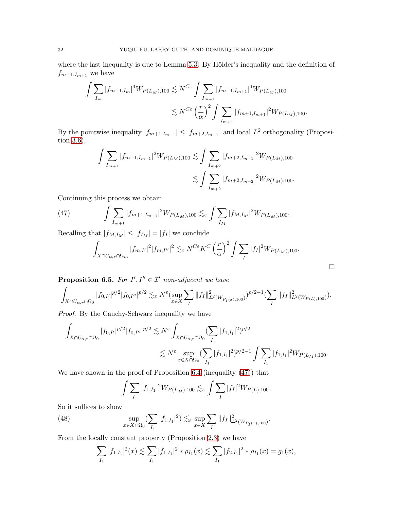where the last inequality is due to Lemma [5.3.](#page-23-0) By Hölder's inequality and the definition of  $f_{m+1,I_{m+1}}$  we have

$$
\int \sum_{I_m} |f_{m+1,I_m}|^4 W_{P(L_M),100} \lesssim N^{C\varepsilon} \int \sum_{I_{m+1}} |f_{m+1,I_{m+1}}|^4 W_{P(L_M),100}
$$
  

$$
\lesssim N^{C\varepsilon} \left(\frac{r}{\alpha}\right)^2 \int \sum_{I_{m+1}} |f_{m+1,I_{m+1}}|^2 W_{P(L_M),100}.
$$

By the pointwise inequality  $|f_{m+1,I_{m+1}}| \leq |f_{m+2,I_{m+1}}|$  and local  $L^2$  orthogonality (Proposition [3.6\)](#page-13-0),

$$
\int \sum_{I_{m+1}} |f_{m+1,I_{m+1}}|^2 W_{P(L_M),100} \lesssim \int \sum_{I_{m+2}} |f_{m+2,I_{m+1}}|^2 W_{P(L_M),100}
$$
  

$$
\lesssim \int \sum_{I_{m+2}} |f_{m+2,I_{m+2}}|^2 W_{P(L_M),100}.
$$

Continuing this process we obtain

(47) 
$$
\int \sum_{I_{m+1}} |f_{m+1,I_{m+1}}|^2 W_{P(L_M),100} \lesssim_{\varepsilon} \int \sum_{I_M} |f_{M,I_M}|^2 W_{P(L_M),100}.
$$

Recalling that  $|f_{M,I_M}| \leq |f_{I_M}| = |f_I|$  we conclude

<span id="page-31-0"></span>
$$
\int_{X \cap U_{\alpha,r} \cap \Omega_m} |f_{m,I'}|^2 |f_{m,I''}|^2 \lesssim_{\varepsilon} N^{C\varepsilon} K^C \left(\frac{r}{\alpha}\right)^2 \int \sum_I |f_I|^2 W_{P(L_M),100}.
$$

 $\Box$ 

<span id="page-31-1"></span>**Proposition 6.5.** For  $I', I'' \in \mathcal{I}'$  non-adjacent we have

$$
\int_{X\cap U_{\alpha,r}\cap\Omega_0} |f_{0,I'}|^{p/2} |f_{0,I''}|^{p/2} \lesssim_{\varepsilon} N^{\varepsilon} (\sup_{x\in X} \sum_{I} ||f_I||_{\mathcal{L}^2(W_{P_I(x),100})}^2)^{p/2-1} (\sum_{I} ||f_I||_{L^2(W_{P(L),100})}^2).
$$

*Proof.* By the Cauchy-Schwarz inequality we have

$$
\begin{aligned}\int_{X\cap U_{\alpha,r}\cap\Omega_0}|f_{0,I'}|^{p/2}|f_{0,I''}|^{p/2}&\lesssim N^{\varepsilon}\int_{X\cap U_{\alpha,r}\cap\Omega_0}(\sum_{I_1}|f_{1,I_1}|^2)^{p/2}\\ &\lesssim N^{\varepsilon}\sup_{x\in X\cap\Omega_0}(\sum_{I_1}|f_{1,I_1}|^2)^{p/2-1}\int\sum_{I_1}|f_{1,I_1}|^2W_{P(L_M),100}.\end{aligned}
$$

We have shown in the proof of Proposition [6.4](#page-30-0) (inequality [\(47\)](#page-31-0)) that

$$
\int \sum_{I_1} |f_{1,I_1}|^2 W_{P(L_M),100} \lesssim_{\varepsilon} \int \sum_{I} |f_I|^2 W_{P(L),100}.
$$

So it suffices to show

(48) 
$$
\sup_{x \in X \cap \Omega_0} (\sum_{I_1} |f_{1,I_1}|^2) \lesssim_{\varepsilon} \sup_{x \in X} \sum_{I} ||f_I||^2_{L^2(W_{P_I(x),100})}.
$$

From the locally constant property (Proposition [2.3\)](#page-6-1) we have

$$
\sum_{I_1} |f_{1,I_1}|^2(x) \lesssim \sum_{I_1} |f_{1,I_1}|^2 * \rho_{I_1}(x) \lesssim \sum_{I_1} |f_{2,I_1}|^2 * \rho_{I_1}(x) = g_1(x),
$$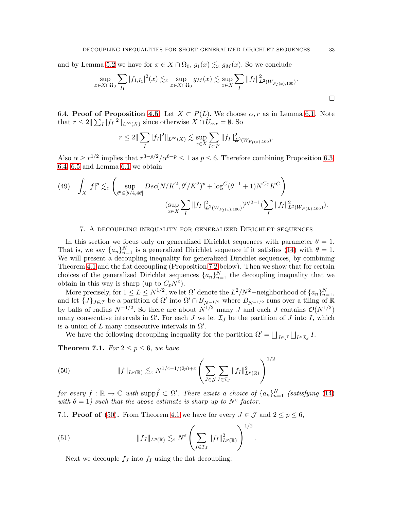and by Lemma [5.2](#page-22-1) we have for  $x \in X \cap \Omega_0$ ,  $g_1(x) \lesssim_{\varepsilon} g_M(x)$ . So we conclude

$$
\sup_{x \in X \cap \Omega_0} \sum_{I_1} |f_{1,I_1}|^2(x) \lesssim_{\varepsilon} \sup_{x \in X \cap \Omega_0} g_M(x) \lesssim \sup_{x \in X} \sum_{I} ||f_I||^2_{\mathcal{L}^2(W_{P_I(x),100})}.
$$

6.4. Proof of Proposition [4.5.](#page-16-1) Let  $X \subset P(L)$ . We choose  $\alpha, r$  as in Lemma [6.1.](#page-27-2) Note that  $r \leq 2 \|\sum_I |f_I|^2\|_{L^\infty(X)}$  since otherwise  $X \cap U_{\alpha,r} = \emptyset$ . So

$$
r \le 2 \|\sum_{I} |f_I|^2 \|_{L^{\infty}(X)} \lesssim \sup_{x \in X} \sum_{I \subset I'} \|f_I\|_{\mathcal{L}^2(W_{P_I(x),100})}^2.
$$

Also  $\alpha \geq r^{1/2}$  implies that  $r^{3-p/2}/\alpha^{6-p} \leq 1$  as  $p \leq 6$ . Therefore combining Proposition [6.3,](#page-29-1) [6.4,](#page-30-0) [6.5](#page-31-1) and Lemma [6.1](#page-27-2) we obtain

(49) 
$$
\int_{X} |f|^{p} \lesssim_{\varepsilon} \left( \sup_{\theta' \in [\theta/4, 4\theta]} Dec(N/K^{2}, \theta'/K^{2})^{p} + \log^{C}(\theta^{-1} + 1) N^{C\varepsilon} K^{C} \right)
$$

$$
\left( \sup_{x \in X} \sum_{I} \|f_{I}\|_{\mathcal{L}^{2}(W_{P_{I}(x), 100})}^{2}\right)^{p/2 - 1} \left( \sum_{I} \|f_{I}\|_{L^{2}(W_{P(L), 100})}^{2}\right).
$$

### 7. A decoupling inequality for generalized Dirichlet sequences

<span id="page-32-0"></span>In this section we focus only on generalized Dirichlet sequences with parameter  $\theta = 1$ . That is, we say  $\{a_n\}_{n=1}^N$  is a generalized Dirichlet sequence if it satisfies [\(14\)](#page-8-2) with  $\theta = 1$ . We will present a decoupling inequality for generalized Dirichlet sequences, by combining Theorem [4.1](#page-14-3) and the flat decoupling (Proposition [7.2](#page-33-0) below). Then we show that for certain choices of the generalized Dirichlet sequences  $\{a_n\}_{n=1}^N$  the decoupling inequality that we obtain in this way is sharp (up to  $C_{\varepsilon}N^{\varepsilon}$ ).

More precisely, for  $1 \le L \le N^{1/2}$ , we let  $\Omega'$  denote the  $L^2/N^2$ -neighborhood of  $\{a_n\}_{n=1}^N$ , and let  $\{J\}_{J\in\mathcal{J}}$  be a partition of  $\Omega'$  into  $\Omega' \cap B_{N-1/2}$  where  $B_{N-1/2}$  runs over a tiling of  $\mathbb{R}$ by balls of radius  $N^{-1/2}$ . So there are about  $N^{1/2}$  many J and each J contains  $\mathcal{O}(N^{1/2})$ many consecutive intervals in  $\Omega'$ . For each J we let  $\mathcal{I}_J$  be the partition of J into I, which is a union of  $L$  many consecutive intervals in  $\Omega'$ .

We have the following decoupling inequality for the partition  $\Omega' = \bigsqcup_{J \in \mathcal{J}} \bigsqcup_{I \in \mathcal{I}_J} I$ .

<span id="page-32-2"></span>**Theorem 7.1.** *For*  $2 \leq p \leq 6$ *, we have* 

<span id="page-32-1"></span>(50) 
$$
||f||_{L^p(\mathbb{R})} \lesssim_{\varepsilon} N^{1/4-1/(2p)+\varepsilon} \left( \sum_{J \in \mathcal{J}} \sum_{I \in \mathcal{I}_J} ||f_I||_{L^p(\mathbb{R})}^2 \right)^{1/2}
$$

 $for\ every\ f:\mathbb{R}\to\mathbb{C}$  with  $\text{supp}\hat{f}\subset\Omega'$ . *There exists a choice of*  $\{a_n\}_{n=1}^N$  *(satisfying [\(14\)](#page-8-2)* with  $\theta = 1$ ) such that the above estimate is sharp up to  $N^{\varepsilon}$  factor.

.

7.1. **Proof of** [\(50\)](#page-32-1). From Theorem [4.1](#page-14-3) we have for every  $J \in \mathcal{J}$  and  $2 \leq p \leq 6$ ,

(51) 
$$
||f_J||_{L^p(\mathbb{R})} \lesssim_{\varepsilon} N^{\varepsilon} \left( \sum_{I \in \mathcal{I}_J} ||f_I||_{L^p(\mathbb{R})}^2 \right)^{1/2}
$$

<span id="page-32-3"></span>Next we decouple  $f_J$  into  $f_I$  using the flat decoupling: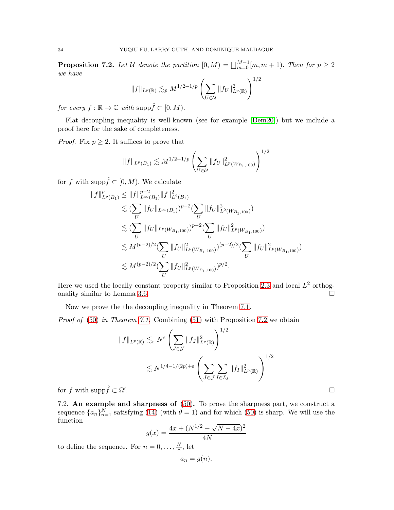<span id="page-33-0"></span>**Proposition 7.2.** Let U denote the partition  $[0, M) = \bigsqcup_{m=0}^{M-1} [m, m+1]$ . Then for  $p \geq 2$ *we have*  $1/2$ 

$$
||f||_{L^{p}(\mathbb{R})} \lesssim_{p} M^{1/2-1/p} \left( \sum_{U \in \mathcal{U}} ||f_{U}||^{2}_{L^{p}(\mathbb{R})} \right)^{1}
$$

*for every*  $f : \mathbb{R} \to \mathbb{C}$  *with* supp $\hat{f} \subset [0, M)$ .

Flat decoupling inequality is well-known (see for example [\[Dem20\]](#page-52-10)) but we include a proof here for the sake of completeness.

*Proof.* Fix  $p \geq 2$ . It suffices to prove that

$$
||f||_{L^p(B_1)} \lesssim M^{1/2 - 1/p} \left(\sum_{U \in \mathcal{U}} ||f_U||^2_{L^p(W_{B_1, 100})}\right)^{1/2}
$$

for f with supp $\hat{f} \subset [0, M)$ . We calculate

$$
||f||_{L^{p}(B_{1})}^{p} \leq ||f||_{L^{\infty}(B_{1})}^{p-2} ||f||_{L^{2}(B_{1})}^{2}
$$
  
\n
$$
\lesssim (\sum_{U} ||f_{U}||_{L^{\infty}(B_{1})})^{p-2} (\sum_{U} ||f_{U}||_{L^{2}(W_{B_{1},100})}^{2})
$$
  
\n
$$
\lesssim (\sum_{U} ||f_{U}||_{L^{p}(W_{B_{1},100})})^{p-2} (\sum_{U} ||f_{U}||_{L^{p}(W_{B_{1},100})}^{2})
$$
  
\n
$$
\lesssim M^{(p-2)/2} (\sum_{U} ||f_{U}||_{L^{p}(W_{B_{1},100})}^{2})^{(p-2)/2} (\sum_{U} ||f_{U}||_{L^{p}(W_{B_{1},100})}^{2})
$$
  
\n
$$
\lesssim M^{(p-2)/2} (\sum_{U} ||f_{U}||_{L^{p}(W_{B_{1},100})}^{2})^{p/2}.
$$

Here we used the locally constant property similar to Proposition [2.3](#page-6-1) and local  $L^2$  orthog-onality similar to Lemma [3.6.](#page-13-0)

Now we prove the the decoupling inequality in Theorem [7.1.](#page-32-2)

*Proof of* [\(50\)](#page-32-1) *in Theorem [7.1.](#page-32-2)* Combining [\(51\)](#page-32-3) with Proposition [7.2](#page-33-0) we obtain

$$
||f||_{L^{p}(\mathbb{R})} \lesssim_{\varepsilon} N^{\varepsilon} \left( \sum_{J \in \mathcal{J}} ||f_{J}||_{L^{p}(\mathbb{R})}^{2} \right)^{1/2}
$$
  

$$
\lesssim N^{1/4 - 1/(2p) + \varepsilon} \left( \sum_{J \in \mathcal{J}} \sum_{I \in \mathcal{I}_{J}} ||f_{I}||_{L^{p}(\mathbb{R})}^{2} \right)^{1/2}
$$

for f with  $\text{supp}\hat{f} \subset \Omega'$ 

7.2. An example and sharpness of [\(50\)](#page-32-1). To prove the sharpness part, we construct a sequence  $\{a_n\}_{n=1}^N$  satisfying [\(14\)](#page-8-2) (with  $\theta = 1$ ) and for which [\(50\)](#page-32-1) is sharp. We will use the function

$$
g(x) = \frac{4x + (N^{1/2} - \sqrt{N - 4x})^2}{4N}
$$

to define the sequence. For  $n=0,\ldots,\frac{N}{8}$  $\frac{N}{8}$ , let

$$
a_n = g(n).
$$

.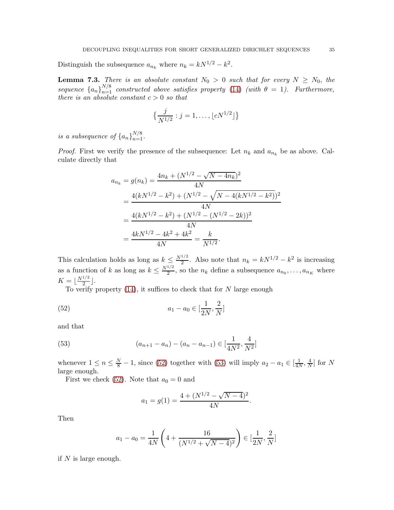Distinguish the subsequence  $a_{n_k}$  where  $n_k = kN^{1/2} - k^2$ .

<span id="page-34-0"></span>**Lemma 7.3.** *There is an absolute constant*  $N_0 > 0$  *such that for every*  $N \ge N_0$ , *the sequence*  ${a_n}_{n=1}^{N/8}$  *constructed above satisfies property* [\(14\)](#page-8-2) *(with*  $\theta = 1$ *). Furthermore, there is an absolute constant*  $c > 0$  *so that* 

$$
\left\{\frac{j}{N^{1/2}}: j=1,\ldots,\lfloor cN^{1/2}\rfloor\right\}
$$

*is a subsequence of*  $\{a_n\}_{n=1}^{N/8}$ .

*Proof.* First we verify the presence of the subsequence: Let  $n_k$  and  $a_{n_k}$  be as above. Calculate directly that

$$
a_{n_k} = g(n_k) = \frac{4n_k + (N^{1/2} - \sqrt{N - 4n_k})^2}{4N}
$$
  
= 
$$
\frac{4(kN^{1/2} - k^2) + (N^{1/2} - \sqrt{N - 4(kN^{1/2} - k^2)})^2}{4N}
$$
  
= 
$$
\frac{4(kN^{1/2} - k^2) + (N^{1/2} - (N^{1/2} - 2k))^2}{4N}
$$
  
= 
$$
\frac{4kN^{1/2} - 4k^2 + 4k^2}{4N} = \frac{k}{N^{1/2}}.
$$

This calculation holds as long as  $k \leq \frac{N^{1/2}}{2}$ . Also note that  $n_k = kN^{1/2} - k^2$  is increasing as a function of k as long as  $k \leq \frac{N^{1/2}}{2}$  $\frac{n_1}{2}$ , so the  $n_k$  define a subsequence  $a_{n_0}, \ldots, a_{n_K}$  where  $K = \lfloor \frac{N^{1/2}}{2} \rfloor$  $\frac{1}{2}$ .

To verify property  $(14)$ , it suffices to check that for N large enough

(52) 
$$
a_1 - a_0 \in [\frac{1}{2N}, \frac{2}{N}]
$$

and that

(53) 
$$
(a_{n+1} - a_n) - (a_n - a_{n-1}) \in [\frac{1}{4N^2}, \frac{4}{N^2}]
$$

whenever  $1 \le n \le \frac{N}{8} - 1$ , since [\(52\)](#page-34-1) together with [\(53\)](#page-34-2) will imply  $a_2 - a_1 \in \left[\frac{1}{4N}\right]$  $\frac{1}{4N}, \frac{4}{N}$  $\frac{4}{N}$  for N large enough.

First we check [\(52\)](#page-34-1). Note that  $a_0 = 0$  and

<span id="page-34-2"></span><span id="page-34-1"></span>
$$
a_1 = g(1) = \frac{4 + (N^{1/2} - \sqrt{N - 4})^2}{4N}.
$$

Then

$$
a_1 - a_0 = \frac{1}{4N} \left( 4 + \frac{16}{(N^{1/2} + \sqrt{N - 4})^2} \right) \in \left[\frac{1}{2N}, \frac{2}{N}\right]
$$

if  $N$  is large enough.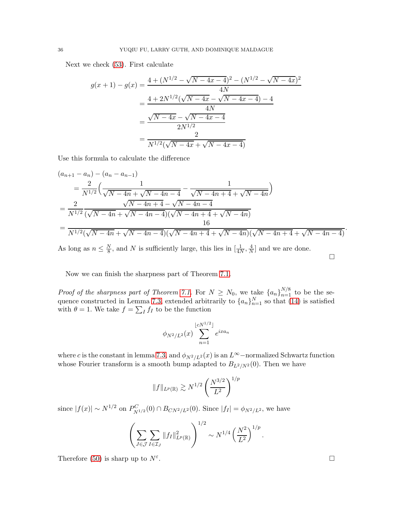Next we check [\(53\)](#page-34-2). First calculate

$$
g(x+1) - g(x) = \frac{4 + (N^{1/2} - \sqrt{N - 4x - 4})^2 - (N^{1/2} - \sqrt{N - 4x})^2}{4N}
$$
  
= 
$$
\frac{4 + 2N^{1/2}(\sqrt{N - 4x} - \sqrt{N - 4x - 4}) - 4}{4N}
$$
  
= 
$$
\frac{\sqrt{N - 4x} - \sqrt{N - 4x - 4}}{2N^{1/2}}
$$
  
= 
$$
\frac{2}{N^{1/2}(\sqrt{N - 4x} + \sqrt{N - 4x - 4})}
$$

Use this formula to calculate the difference

$$
(a_{n+1} - a_n) - (a_n - a_{n-1})
$$
  
=  $\frac{2}{N^{1/2}} \left( \frac{1}{\sqrt{N - 4n} + \sqrt{N - 4n - 4}} - \frac{1}{\sqrt{N - 4n + 4} + \sqrt{N - 4n}} \right)$   
=  $\frac{2}{N^{1/2}} \frac{\sqrt{N - 4n + 4} - \sqrt{N - 4n - 4}}{(\sqrt{N - 4n} + \sqrt{N - 4n - 4})(\sqrt{N - 4n + 4} + \sqrt{N - 4n})}$   
=  $\frac{16}{N^{1/2}(\sqrt{N - 4n} + \sqrt{N - 4n - 4})(\sqrt{N - 4n + 4} + \sqrt{N - 4n)(\sqrt{N - 4n + 4} + \sqrt{N - 4n - 4})}}.$ 

As long as  $n \leq \frac{N}{8}$  $\frac{N}{8}$ , and N is sufficiently large, this lies in  $\left[\frac{1}{4N}, \frac{4}{N}\right]$  $\frac{4}{N}$  and we are done.

Now we can finish the sharpness part of Theorem [7.1.](#page-32-2)

*Proof of the sharpness part of Theorem [7.1.](#page-32-2)* For  $N \geq N_0$ , we take  $\{a_n\}_{n=1}^{N/8}$  to be the se-quence constructed in Lemma [7.3,](#page-34-0) extended arbitrarily to  $\{a_n\}_{n=1}^N$  so that [\(14\)](#page-8-2) is satisfied with  $\theta = 1$ . We take  $f = \sum_I f_I$  to be the function

$$
\phi_{N^2/L^2}(x) \sum_{n=1}^{\lfloor cN^{1/2} \rfloor} e^{ixa_n}
$$

where c is the constant in lemma [7.3,](#page-34-0) and  $\phi_{N^2/L^2}(x)$  is an  $L^{\infty}$ –normalized Schwartz function whose Fourier transform is a smooth bump adapted to  $B_{L^2/N^2}(0)$ . Then we have

$$
||f||_{L^p(\mathbb{R})} \gtrsim N^{1/2} \left(\frac{N^{3/2}}{L^2}\right)^{1/p}
$$

since  $|f(x)| \sim N^{1/2}$  on  $P_{N^{1/2}}^C(0) \cap B_{CN^2/L^2}(0)$ . Since  $|f_I| = \phi_{N^2/L^2}$ , we have

$$
\left(\sum_{J\in\mathcal{J}}\sum_{I\in\mathcal{I}_J} \|f_I\|_{L^p(\mathbb{R})}^2\right)^{1/2} \sim N^{1/4} \left(\frac{N^2}{L^2}\right)^{1/p}.
$$

Therefore [\(50\)](#page-32-1) is sharp up to  $N^{\varepsilon}$ .

 $\Box$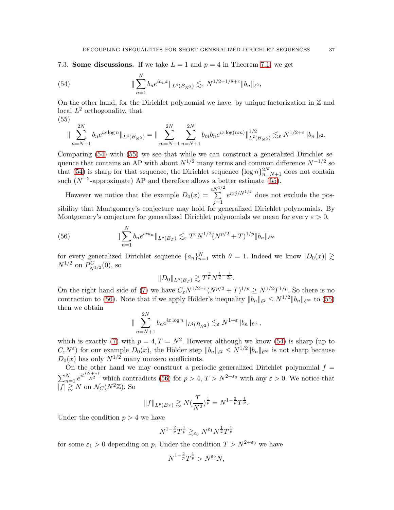7.3. Some discussions. If we take  $L = 1$  and  $p = 4$  in Theorem [7.1,](#page-32-2) we get

<span id="page-36-0"></span>(54) 
$$
\|\sum_{n=1}^{N} b_n e^{ia_n x}\|_{L^4(B_{N^2})} \lesssim_{\varepsilon} N^{1/2+1/8+\varepsilon} \|b_n\|_{\ell^2},
$$

(55)

On the other hand, for the Dirichlet polynomial we have, by unique factorization in  $\mathbb Z$  and local  $L^2$  orthogonality, that

<span id="page-36-1"></span>
$$
\|\sum_{n=N+1}^{2N} b_n e^{ix \log n} \|_{L^4(B_{N^2})} = \|\sum_{m=N+1}^{2N} \sum_{n=N+1}^{2N} b_m b_n e^{ix \log(nm)} \|\|_{L^2(B_{N^2})}^{1/2} \lesssim_{\varepsilon} N^{1/2+\varepsilon} \|b_n\|_{\ell^2}.
$$

Comparing [\(54\)](#page-36-0) with [\(55\)](#page-36-1) we see that while we can construct a generalized Dirichlet sequence that contains an AP with about  $N^{1/2}$  many terms and common difference  $N^{-1/2}$  so that [\(54\)](#page-36-0) is sharp for that sequence, the Dirichlet sequence  $\{\log n\}_{n=N+1}^{2N}$  does not contain such  $(N^{-2}$ -approximate) AP and therefore allows a better estimate [\(55\)](#page-36-1).

However we notice that the example  $D_0(x) =$  $\sum^{cN^{1/2}}$  $j=1$  $e^{ixj/N^{1/2}}$  does not exclude the possibility that Montgomery's conjecture may hold for generalized Dirichlet polynomials. By Montgomery's conjecture for generalized Dirichlet polynomials we mean for every  $\varepsilon > 0$ ,

(56) 
$$
\|\sum_{n=1}^{N} b_n e^{ix a_n}\|_{L^p(B_T)} \lesssim_{\varepsilon} T^{\varepsilon} N^{1/2} (N^{p/2} + T)^{1/p} \|b_n\|_{\ell^{\infty}}
$$

for every generalized Dirichlet sequence  $\{a_n\}_{n=1}^N$  with  $\theta = 1$ . Indeed we know  $|D_0(x)| \gtrsim$  $N^{1/2}$  on  $P_{N^{1/2}}^C(0)$ , so

<span id="page-36-2"></span>
$$
||D_0||_{L^p(B_T)} \gtrsim T^{\frac{1}{p}} N^{\frac{1}{2} - \frac{1}{2p}}.
$$

On the right hand side of [\(7\)](#page-3-3) we have  $C_{\varepsilon}N^{1/2+\varepsilon}(N^{p/2}+T)^{1/p} \geq N^{1/2}T^{1/p}$ . So there is no contraction to [\(56\)](#page-36-2). Note that if we apply Hölder's inequality  $||b_n||_{\ell^2} \le N^{1/2} ||b_n||_{\ell^{\infty}}$  to [\(55\)](#page-36-1) then we obtain

$$
\|\sum_{n=N+1}^{2N} b_n e^{ix \log n} \|_{L^4(B_{N^2})} \lesssim_{\varepsilon} N^{1+\varepsilon} \|b_n\|_{\ell^\infty},
$$

which is exactly [\(7\)](#page-3-3) with  $p = 4, T = N^2$ . However although we know [\(54\)](#page-36-0) is sharp (up to  $C_{\varepsilon}N^{\varepsilon}$  for our example  $D_0(x)$ , the Hölder step  $||b_n||_{\ell^2} \le N^{1/2}||b_n||_{\ell^{\infty}}$  is not sharp because  $D_0(x)$  has only  $N^{1/2}$  many nonzero coefficients.

On the other hand we may construct a periodic generalized Dirichlet polynomial  $f =$  $\sum_{n=1}^{N} e^{it \frac{(N+n)}{N^2}}$  which contradicts [\(56\)](#page-36-2) for  $p > 4$ ,  $T > N^{2+\epsilon_0}$  with any  $\epsilon > 0$ . We notice that  $|f| \geq N$  on  $\mathcal{N}_C(N^2\mathbb{Z})$ . So

$$
||f||_{L^p(B_T)} \gtrsim N(\frac{T}{N^2})^{\frac{1}{p}} = N^{1-\frac{2}{p}}T^{\frac{1}{p}}.
$$

Under the condition  $p > 4$  we have

$$
N^{1-\frac{2}{p}}T^{\frac{1}{p}} \gtrsim_{\varepsilon_0} N^{\varepsilon_1} N^{\frac{1}{2}}T^{\frac{1}{p}}
$$

for some  $\varepsilon_1 > 0$  depending on p. Under the condition  $T > N^{2+\varepsilon_0}$  we have

$$
N^{1-\frac{2}{p}}T^{\frac{1}{p}} > N^{\varepsilon_2}N,
$$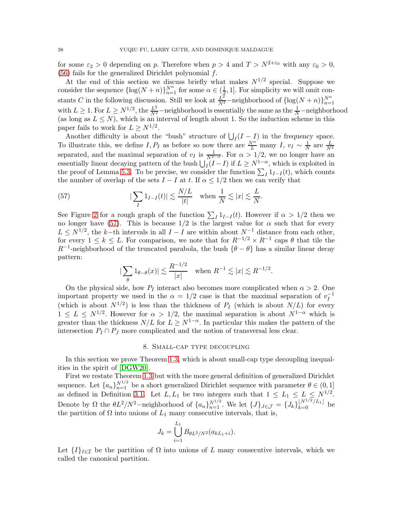for some  $\varepsilon_2 > 0$  depending on p. Therefore when  $p > 4$  and  $T > N^{2+\varepsilon_0}$  with any  $\varepsilon_0 > 0$ ,  $(56)$  fails for the generalized Dirichlet polynomial f.

At the end of this section we discuss briefly what makes  $N^{1/2}$  special. Suppose we consider the sequence  $\{\log(N+n)\}_{n=1}^{N^{\alpha}}$  for some  $\alpha \in (\frac{1}{2})$  $\frac{1}{2}$ , 1]. For simplicity we will omit constants C in the following discussion. Still we look at  $\frac{L^2}{N^2}$ -neighborhood of  $\{\log(N+n)\}_{n=1}^N$ with  $L \geq 1$ . For  $L \geq N^{1/2}$ , the  $\frac{L^2}{N^2}$  –neighborhood is essentially the same as the  $\frac{1}{N}$ –neighborhood (as long as  $L \leq N$ ), which is an interval of length about 1. So the induction scheme in this paper fails to work for  $L \geq N^{1/2}$ .

Another difficulty is about the "bush" structure of  $\bigcup_I (I - I)$  in the frequency space. To illustrate this, we define I, P<sub>I</sub> as before so now there are  $\frac{N^{\alpha}}{L}$  many I,  $v_I \sim \frac{1}{N}$  $\frac{1}{N}$  are  $\frac{L}{N^2}$ separated, and the maximal separation of  $v_I$  is  $\frac{1}{N^{2-\alpha}}$ . For  $\alpha > 1/2$ , we no longer have an essentially linear decaying pattern of the bush  $\bigcup_{I}(I-I)$  if  $L \geq N^{1-\alpha}$ , which is exploited in the proof of Lemma [5.3.](#page-23-0) To be precise, we consider the function  $\sum_{I} 1_{I-I}(t)$ , which counts the number of overlap of the sets  $I - I$  at t. If  $\alpha \leq 1/2$  then we can verify that

(57) 
$$
|\sum_{I} 1_{I-I}(t)| \lesssim \frac{N/L}{|t|} \quad \text{when } \frac{1}{N} \lesssim |x| \lesssim \frac{L}{N}.
$$

See Figure [2](#page-38-1) for a rough graph of the function  $\sum_{I} 1_{I-I}(t)$ . However if  $\alpha > 1/2$  then we no longer have [\(57\)](#page-37-1). This is because  $1/2$  is the largest value for  $\alpha$  such that for every  $L \leq N^{1/2}$ , the k-th intervals in all  $I - I$  are within about  $N^{-1}$  distance from each other, for every  $1 \leq k \leq L$ . For comparison, we note that for  $R^{-1/2} \times R^{-1}$  caps  $\theta$  that tile the  $R^{-1}$ -neighborhood of the truncated parabola, the bush  $\{\theta - \theta\}$  has a similar linear decay pattern:

<span id="page-37-1"></span>
$$
|\sum_{\theta} 1_{\theta-\theta}(x)| \lesssim \frac{R^{-1/2}}{|x|} \quad \text{when } R^{-1} \lesssim |x| \lesssim R^{-1/2}.
$$

On the physical side, how  $P_I$  interact also becomes more complicated when  $\alpha > 2$ . One important property we used in the  $\alpha = 1/2$  case is that the maximal separation of  $v_I^{-1}$ I (which is about  $N^{1/2}$ ) is less than the thickness of  $P_I$  (which is about  $N/L$ ) for every  $1 \leq L \leq N^{1/2}$ . However for  $\alpha > 1/2$ , the maximal separation is about  $N^{1-\alpha}$  which is greater than the thickness  $N/L$  for  $L \geq N^{1-\alpha}$ . In particular this makes the pattern of the intersection  $P_I \cap P_J$  more complicated and the notion of transversal less clear.

## 8. Small-cap type decoupling

<span id="page-37-0"></span>In this section we prove Theorem [1.3,](#page-2-1) which is about small-cap type decoupling inequalities in the spirit of [\[DGW20\]](#page-52-5).

First we restate Theorem [1.3](#page-2-1) but with the more general definition of generalized Dirichlet sequence. Let  ${a_n}_{n=1}^{N^{1/2}}$  be a short generalized Dirichlet sequence with parameter  $\theta \in (0,1]$ as defined in Definition [3.1.](#page-8-1) Let  $L, L_1$  be two integers such that  $1 \leq L_1 \leq L \leq N^{1/2}$ . Denote by  $\Omega$  the  $\theta L^2/N^2$ -neighborhood of  $\{a_n\}_{n=1}^{N^{1/2}}$ . We let  $\{J\}_{J\in\mathcal{J}} = \{J_k\}_{k=0}^{\lfloor N^{1/2}/L_1 \rfloor}$  be the partition of  $\Omega$  into unions of  $L_1$  many consecutive intervals, that is,

$$
J_k = \bigcup_{i=1}^{\lfloor L \rfloor} B_{\theta L^2/N^2}(a_{kL_1+i}).
$$

 $\overline{L}$ 

Let  $\{I\}_{I\in\mathcal{I}}$  be the partition of  $\Omega$  into unions of L many consecutive intervals, which we called the canonical partition.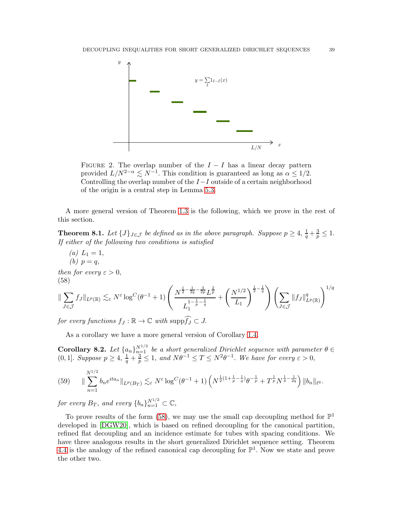

<span id="page-38-1"></span>FIGURE 2. The overlap number of the  $I - I$  has a linear decay pattern provided  $L/N^{2-\alpha} \lesssim N^{-1}$ . This condition is guaranteed as long as  $\alpha \leq 1/2$ . Controlling the overlap number of the I−I outside of a certain neighborhood of the origin is a central step in Lemma [5.3.](#page-23-0)

A more general version of Theorem [1.3](#page-2-1) is the following, which we prove in the rest of this section.

<span id="page-38-3"></span>**Theorem 8.1.** Let  $\{J\}_{J\in\mathcal{J}}$  be defined as in the above paragraph. Suppose  $p \geq 4$ ,  $\frac{1}{q} + \frac{3}{p} \leq 1$ . *If either of the following two conditions is satisfied*

(a) 
$$
L_1 = 1
$$
,  
(b)  $p = q$ ,

*then for every*  $\varepsilon > 0$ , (58)

<span id="page-38-2"></span>
$$
\|\sum_{J\in\mathcal{J}}f_J\|_{L^p(\mathbb{R})}\lesssim_{\varepsilon}N^{\varepsilon}\log^C(\theta^{-1}+1)\left(\frac{N^{\frac{1}{2}-\frac{1}{2q}-\frac{3}{2p}}L^{\frac{2}{p}}}{L_1^{1-\frac{1}{p}-\frac{1}{q}}}+\left(\frac{N^{1/2}}{L_1}\right)^{\frac{1}{2}-\frac{1}{q}}\right)\left(\sum_{J\in\mathcal{J}}\|f_J\|_{L^p(\mathbb{R})}^q\right)^{1/q}
$$

*for every functions*  $f_J : \mathbb{R} \to \mathbb{C}$  *with* supp $\widehat{f_J} \subset J$ .

As a corollary we have a more general version of Corollary [1.4.](#page-3-0)

<span id="page-38-0"></span>**Corollary 8.2.** Let  $\{a_n\}_{n=1}^{N^{1/2}}$  be a short generalized Dirichlet sequence with parameter  $\theta \in$ (0, 1). *Suppose*  $p \geq 4$ ,  $\frac{1}{q} + \frac{3}{p} \leq 1$ , and  $N\theta^{-1} \leq T \leq N^2\theta^{-1}$ . We have for every  $\varepsilon > 0$ ,

<span id="page-38-4"></span>
$$
(59) \qquad \|\sum_{n=1}^{N^{1/2}} b_n e^{ita_n}\|_{L^p(B_T)} \lesssim_{\varepsilon} N^{\varepsilon} \log^C(\theta^{-1}+1) \left(N^{\frac{1}{2}(1+\frac{1}{p}-\frac{1}{q})}\theta^{-\frac{1}{p}}+T^{\frac{1}{p}}N^{\frac{1}{4}-\frac{1}{2q}}\right) \|b_n\|_{\ell^q}.
$$

*for every*  $B_T$ , and every  $\{b_n\}_{n=1}^{N^{1/2}} \subset \mathbb{C}$ ,

To prove results of the form [\(58\)](#page-38-2), we may use the small cap decoupling method for  $\mathbb{P}^1$ developed in [\[DGW20\]](#page-52-5), which is based on refined decoupling for the canonical partition, refined flat decoupling and an incidence estimate for tubes with spacing conditions. We have three analogous results in the short generalized Dirichlet sequence setting. Theorem [4.4](#page-15-0) is the analogy of the refined canonical cap decoupling for  $\mathbb{P}^1$ . Now we state and prove the other two.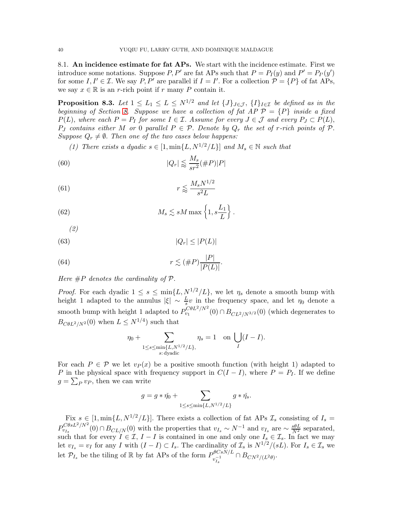8.1. An incidence estimate for fat APs. We start with the incidence estimate. First we introduce some notations. Suppose P, P' are fat APs such that  $P = P_I(y)$  and  $P' = P_{I'}(y')$ for some  $I, I' \in \mathcal{I}$ . We say  $P, P'$  are parallel if  $I = I'$ . For a collection  $\mathcal{P} = \{P\}$  of fat APs, we say  $x \in \mathbb{R}$  is an r-rich point if r many P contain it.

<span id="page-39-5"></span>**Proposition 8.3.** Let  $1 \leq L_1 \leq L \leq N^{1/2}$  and let  $\{J\}_{J \in \mathcal{J}}$ ,  $\{I\}_{I \in \mathcal{I}}$  be defined as in the *beginning of Section [8.](#page-37-0) Suppose we have a collection of fat AP*  $P = {P}$  *inside a fixed*  $P(L)$ , where each  $P = P_I$  for some  $I \in \mathcal{I}$ . Assume for every  $J \in \mathcal{J}$  and every  $P_J \subset P(L)$ ,  $P_J$  *contains either* M *or* 0 *parallel*  $P \in \mathcal{P}$ . Denote by  $Q_r$  the set of r-rich points of  $\mathcal{P}$ . *Suppose*  $Q_r \neq \emptyset$ . *Then one of the two cases below happens:* 

<span id="page-39-1"></span><span id="page-39-0"></span>*(1) There exists a dyadic*  $s \in [1, \min\{L, N^{1/2}/L\}]$  *and*  $M_s \in \mathbb{N}$  *such that* 

(60) 
$$
|Q_r| \lessapprox \frac{M_s}{sr^2} (\#P)|P|
$$

(61) 
$$
r \lessapprox \frac{M_s N^{1/2}}{s^2 L}
$$

(62) 
$$
M_s \lesssim sM \max\left\{1, s\frac{L_1}{L}\right\}.
$$

<span id="page-39-2"></span>*(2)*

$$
|Q_r| \le |P(L)|
$$

(64) 
$$
r \lesssim (\#P)\frac{|P|}{|P(L)|}.
$$

*Here* #P *denotes the cardinality of* P.

*Proof.* For each dyadic  $1 \leq s \leq \min\{L, N^{1/2}/L\}$ , we let  $\eta_s$  denote a smooth bump with height 1 adapted to the annulus  $|\xi| \sim \frac{L}{s}v$  in the frequency space, and let  $\eta_0$  denote a smooth bump with height 1 adapted to  $P_{v_1}^{C\theta L^2/N^2}(0) \cap B_{CL^2/N^{3/2}}(0)$  (which degenerates to  $B_{\mathcal{C}\theta L^2/N^2}(0)$  when  $L \leq N^{1/4}$  such that

<span id="page-39-4"></span><span id="page-39-3"></span>
$$
\eta_0 + \sum_{\substack{1 \le s \le \min\{L, N^{1/2}/L\}, \\ s: \text{ dyadic}}} \eta_s = 1 \quad \text{on } \bigcup_I (I - I).
$$

For each  $P \in \mathcal{P}$  we let  $v_P(x)$  be a positive smooth function (with height 1) adapted to P in the physical space with frequency support in  $C(I - I)$ , where  $P = P_I$ . If we define  $g = \sum_P v_P$ , then we can write

$$
g=g*\check{\eta_0}+\sum_{1\leq s\leq \min\{L, N^{1/2}/L\}}g*\check{\eta_s}.
$$

Fix  $s \in [1, \min\{L, N^{1/2}/L\}]$ . There exists a collection of fat APs  $\mathcal{I}_s$  consisting of  $I_s =$  $P_{v_I}^{C\theta sL^2/N^2}$  $v_{s}^{C\theta sL^{2}/N^{2}}(0) \cap B_{CL/N}(0)$  with the properties that  $v_{I_s} \sim N^{-1}$  and  $v_{I_s}$  are  $\sim \frac{s\theta L}{N_s^{2}}$  separated, such that for every  $I \in \mathcal{I}, I - I$  is contained in one and only one  $I_s \in \mathcal{I}_s$ . In fact we may let  $v_{I_s} = v_I$  for any I with  $(I - I) \subset I_s$ . The cardinality of  $\overline{\mathcal{I}_s}$  is  $N^{1/2}/(sL)$ . For  $I_s \in \mathcal{I}_s$  we let  $\mathcal{P}_{I_s}$  be the tiling of R by fat APs of the form  $P_{v_t^{-1}}^{\theta CsN/L}$  $\int_{v_{I_s}^{-1}}^{v_{CSN/L}} \cap B_{CN^2/(L^2\theta)}$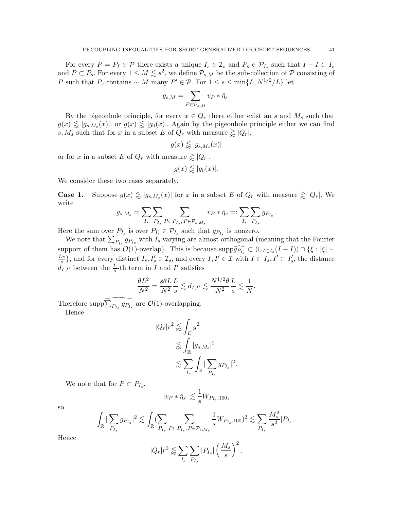For every  $P = P_I \in \mathcal{P}$  there exists a unique  $I_s \in \mathcal{I}_s$  and  $P_s \in \mathcal{P}_{I_s}$  such that  $I - I \subset I_s$ and  $P \subset P_s$ . For every  $1 \leq M \leq s^2$ , we define  $\mathcal{P}_{s,M}$  be the sub-collection of  $\mathcal P$  consisting of P such that  $P_s$  contains ~ M many  $P' \in \mathcal{P}$ . For  $1 \leq s \leq \min\{L, N^{1/2}/L\}$  let

$$
g_{s,M} = \sum_{P \in \mathcal{P}_{s,M}} v_P * \check{\eta}_s.
$$

By the pigeonhole principle, for every  $x \in Q_r$  there either exist an s and  $M_s$  such that  $g(x) \leq g(s, M_s(x))$  or  $g(x) \leq g_0(x)$ . Again by the pigeonhole principle either we can find s,  $M_s$  such that for x in a subset E of  $Q_r$  with measure  $\geqslant |Q_r|$ ,

$$
g(x) \lessapprox |g_{s,M_s}(x)|
$$

or for x in a subset E of  $Q_r$  with measure  $\geq |Q_r|$ ,

$$
g(x) \lessapprox |g_0(x)|.
$$

We consider these two cases separately.

**Case 1.** Suppose  $g(x) \lessapprox |g_{s,M_s}(x)|$  for x in a subset E of  $Q_r$  with measure  $\gtrapprox |Q_r|$ . We write

$$
g_{s,M_s} = \sum_{I_s} \sum_{P_{I_s}} \sum_{P \subset P_{I_s}, P \in \mathcal{P}_{s,M_s}} v_P * \check{\eta}_s =: \sum_{I_s} \sum_{P_{I_s}} g_{P_{I_s}}.
$$

Here the sum over  $P_{I_s}$  is over  $P_{I_s} \in \mathcal{P}_{I_s}$  such that  $g_{P_{I_s}}$  is nonzero.

We note that  $\sum_{P_{I_s}} g_{P_{I_s}}$  with  $I_s$  varying are almost orthogonal (meaning that the Fourier support of them has  $\mathcal{O}(1)$ -overlap). This is because  $\text{supp}\widehat{g_{P_{I_s}}} \subset (\cup_{I \subset I_s} (I - I)) \cap {\{\xi : |\xi| \sim I_s\}}$  $Lv$  $\{\underline{s}_s\}$ , and for every distinct  $I_s, I'_s \in \mathcal{I}_s$ , and every  $I, I' \in \mathcal{I}$  with  $I \subset I_s, I' \subset I'_s$ , the distance  $d_{I,I'}$  between the  $\frac{L}{s}$ -th term in I and I' satisfies

$$
\frac{\theta L^2}{N^2} = \frac{s\theta L}{N^2} \frac{L}{s} \lesssim d_{I,I'} \lesssim \frac{N^{1/2}\theta L}{N^2 s} \lesssim \frac{1}{N}.
$$

Therefore  $\text{supp}\sum_{P_{I_s}} g_{P_{I_s}}$  are  $\mathcal{O}(1)$ -overlapping. Hence

$$
|Q_r|r^2 \lessapprox \int_E g^2
$$
  

$$
\lessapprox \int_{\mathbb{R}} |g_{s,M_s}|^2
$$
  

$$
\lesssim \sum_{I_s} \int_{\mathbb{R}} |\sum_{P_{I_s}} g_{P_{I_s}}|^2
$$

.

We note that for  $P \subset P_{I_s}$ ,

$$
|v_P * \check{\eta}_s| \lesssim \frac{1}{s} W_{P_{I_s}, 100},
$$

so

$$
\int_{\mathbb{R}} |\sum_{P_{I_s}} g_{P_{I_s}}|^2 \lesssim \int_{\mathbb{R}} (\sum_{P_{I_s}} \sum_{P \subset P_{I_s}, P \in \mathcal{P}_{s,M_s}} \frac{1}{s} W_{P_{I_s},100})^2 \lesssim \sum_{P_{I_s}} \frac{M_s^2}{s^2} |P_{I_s}|.
$$

Hence

$$
|Q_r|r^2 \lessapprox \sum_{I_s} \sum_{P_{I_s}} |P_{I_s}| \left(\frac{M_s}{s}\right)^2.
$$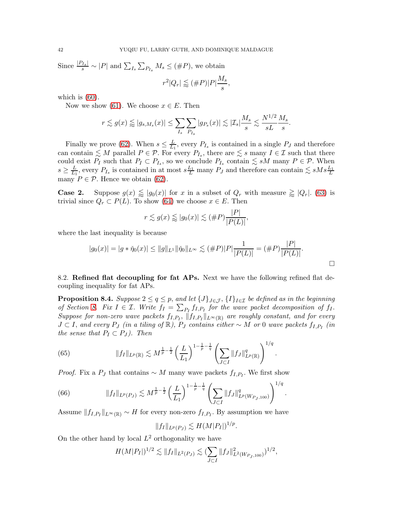Since  $\frac{|P_{I_s}|}{s} \sim |P|$  and  $\sum_{I_s} \sum_{P_{I_s}} M_s \leq (\#P)$ , we obtain  $M_{s}$ 

$$
r^2|Q_r| \lessapprox (\#P)|P|\frac{M_s}{s}
$$

,

which is  $(60)$ .

Now we show [\(61\)](#page-39-1). We choose  $x \in E$ . Then

$$
r \lesssim g(x) \lessapprox |g_{s, M_s}(x)| \leq \sum_{I_s} \sum_{P_{I_s}} |g_{P_s}(x)| \lesssim |\mathcal{I}_s| \frac{M_s}{s} \lesssim \frac{N^{1/2}}{s L} \frac{M_s}{s}.
$$

Finally we prove [\(62\)](#page-39-2). When  $s \leq \frac{L}{L_1}$  $\frac{L}{L_1}$ , every  $P_{I_s}$  is contained in a single  $P_J$  and therefore can contain  $\leq M$  parallel  $P \in \mathcal{P}$ . For every  $P_{I_s}$ , there are  $\leq s$  many  $I \in \mathcal{I}$  such that there could exist  $P_I$  such that  $P_I \subset P_{I_s}$ , so we conclude  $P_{I_s}$  contain  $\leq sM$  many  $P \in \mathcal{P}$ . When  $s \geq \frac{L}{L_1}$  $\frac{L}{L_1}$ , every  $P_{I_s}$  is contained in at most  $s\frac{L_1}{L}$  many  $P_J$  and therefore can contain  $\lesssim sMs\frac{L_1}{L}$ many  $P \in \mathcal{P}$ . Hence we obtain [\(62\)](#page-39-2).

**Case 2.** Suppose  $g(x) \leq g_0(x)$  for x in a subset of  $Q_r$  with measure  $\geq |Q_r|$ . [\(63\)](#page-39-3) is trivial since  $Q_r \subset P(L)$ . To show [\(64\)](#page-39-4) we choose  $x \in E$ . Then

$$
r \lesssim g(x) \lessapprox |g_0(x)| \lesssim (\#P)\frac{|P|}{|P(L)|},
$$

where the last inequality is because

$$
|g_0(x)| = |g * \check{\eta}_0(x)| \le ||g||_{L^1} ||\check{\eta}_0||_{L^\infty} \lesssim (\#P)|P|\frac{1}{|P(L)|} = (\#P)\frac{|P|}{|P(L)|}.
$$

8.2. Refined flat decoupling for fat APs. Next we have the following refined flat decoupling inequality for fat APs.

<span id="page-41-2"></span>**Proposition 8.4.** *Suppose*  $2 \leq q \leq p$ , and let  $\{J\}_{J \in \mathcal{J}}$ ,  $\{I\}_{I \in \mathcal{I}}$  be defined as in the beginning of Section [8.](#page-37-0) Fix  $I \in \mathcal{I}$ . Write  $f_I = \sum_{P_I} f_{I,P_I}$  for the wave packet decomposition of  $f_I$ .  $Suppose for non-zero wave packets f_{I,P_I}, ||f_{I,P_I}||_{L^{\infty}(\mathbb{R})}$  are roughly constant, and for every  $J \subset I$ , and every  $P_J$  (in a tiling of  $\mathbb{R}$ ),  $P_J$  contains either  $\sim M$  or 0 wave packets  $f_{I,P_I}$  (in *the sense that*  $P_I \subset P_J$ *). Then* 

<span id="page-41-1"></span>(65) 
$$
||f_I||_{L^p(\mathbb{R})} \lesssim M^{\frac{1}{p}-\frac{1}{2}} \left(\frac{L}{L_1}\right)^{1-\frac{1}{p}-\frac{1}{q}} \left(\sum_{J\subset I} ||f_J||_{L^p(\mathbb{R})}^q\right)^{1/q}.
$$

*Proof.* Fix a  $P_J$  that contains  $\sim M$  many wave packets  $f_{I,P_I}$ . We first show

<span id="page-41-0"></span>(66) 
$$
||f_I||_{L^p(P_J)} \lesssim M^{\frac{1}{p}-\frac{1}{2}} \left(\frac{L}{L_1}\right)^{1-\frac{1}{p}-\frac{1}{q}} \left(\sum_{J\subset I} ||f_J||^q_{L^p(W_{P_J,100})}\right)^{1/q}.
$$

Assume  $||f_{I,P_I}||_{L^{\infty}(\mathbb{R})} \sim H$  for every non-zero  $f_{I,P_I}$ . By assumption we have

$$
||f_I||_{L^p(P_J)} \lesssim H(M|P_I|)^{1/p}.
$$

On the other hand by local  $L^2$  orthogonality we have

$$
H(M|P_I|)^{1/2} \lesssim \|f_I\|_{L^2(P_J)} \lesssim \left(\sum_{J \subset I} \|f_J\|_{L^2(W_{P_J,100})}^2\right)^{1/2},
$$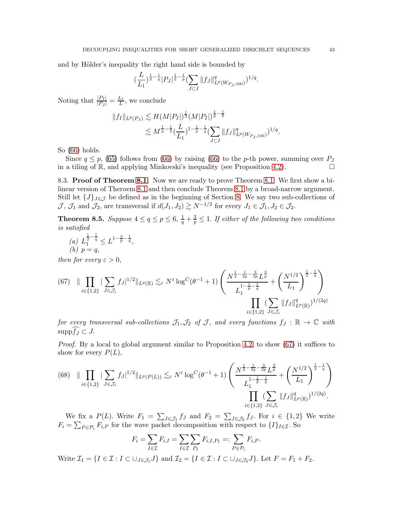and by Hölder's inequality the right hand side is bounded by

$$
\left(\frac{L}{L_1}\right)^{\frac{1}{2}-\frac{1}{q}}|P_J|^{\frac{1}{2}-\frac{1}{p}}\left(\sum_{J\subset I}||f_J||_{L^p(W_{P_J,100})}^q\right)^{1/q}.
$$

Noting that  $\frac{|P_I|}{|P_J|} = \frac{L_1}{L}$ , we conclude

$$
||f_I||_{L^p(P_J)} \lesssim H(M|P_I|)^{\frac{1}{2}} (M|P_I|)^{\frac{1}{p}-\frac{1}{2}} \lesssim M^{\frac{1}{p}-\frac{1}{2}} (\frac{L}{L_1})^{1-\frac{1}{p}-\frac{1}{q}} (\sum_{J\subset I} ||f_J||_{L^p(W_{P_J,100})}^q)^{1/q}.
$$

So [\(66\)](#page-41-0) holds.

Since  $q \leq p$ , [\(65\)](#page-41-1) follows from [\(66\)](#page-41-0) by raising (66) to the *p*-th power, summing over  $P_J$  a tiling of R, and applying Minkovski's inequality (see Proposition 4.2). in a tiling of R, and applying Minkovski's inequality (see Proposition [4.2\)](#page-14-4).

8.3. Proof of Theorem [8.1.](#page-38-3) Now we are ready to prove Theorem [8.1.](#page-38-3) We first show a bilinear version of Theroem [8.1](#page-38-3) and then conclude Theorem [8.1](#page-38-3) by a broad-narrow argument. Still let  $\{J\}_{J\in\mathcal{J}}$  be defined as in the beginning of Section [8.](#page-37-0) We say two sub-collections of  $\mathcal{J}, \mathcal{J}_1$  and  $\mathcal{J}_2$ , are transversal if  $d(J_1, J_2) \gtrsim N^{-1/2}$  for every  $J_1 \in \mathcal{J}_1, J_2 \in \mathcal{J}_2$ .

<span id="page-42-0"></span>**Theorem 8.5.** Suppose  $4 \le q \le p \le 6$ ,  $\frac{1}{q} + \frac{3}{p} \le 1$ . If either of the following two conditions *is satisfied*

(a) 
$$
L_1^{\frac{1}{2} - \frac{1}{q}} \leq L^{1 - \frac{3}{p} - \frac{1}{q}},
$$
  
(b)  $p = q$ ,

*then for every*  $\varepsilon > 0$ ,

<span id="page-42-1"></span>
$$
(67) \quad \|\prod_{i\in\{1,2\}}|\sum_{J\in\mathcal{J}_i}f_J|^{1/2}\|_{L^p(\mathbb{R})}\lesssim_{\varepsilon} N^{\varepsilon}\log^C(\theta^{-1}+1)\left(\frac{N^{\frac{1}{2}-\frac{1}{2q}-\frac{3}{2p}}L^{\frac{2}{p}}}{L_1^{\frac{1}{p}-\frac{1}{q}}+}\left(\frac{N^{1/2}}{L_1}\right)^{\frac{1}{2}-\frac{1}{q}}\right)\right)
$$

$$
\prod_{i\in\{1,2\}}(\sum_{J\in\mathcal{J}_i}||f_J||^q_{L^p(\mathbb{R})})^{1/(2q)}
$$

*for every transversal sub-collections*  $\mathcal{J}_1, \mathcal{J}_2$  *of*  $\mathcal{J}$ *, and every functions*  $f_J : \mathbb{R} \to \mathbb{C}$  *with*  $\text{supp}\widehat{f_I}\subset J$ .

*Proof.* By a local to global argument similar to Proposition [4.2,](#page-14-4) to show [\(67\)](#page-42-1) it suffices to show for every  $P(L)$ ,

<span id="page-42-2"></span>
$$
(68)\quad \|\prod_{i\in\{1,2\}}|\sum_{J\in\mathcal{J}_i}f_J|^{1/2}\|_{L^p(P(L))}\lesssim_{\varepsilon} N^{\varepsilon}\log^C(\theta^{-1}+1)\left(\frac{N^{\frac{1}{2}-\frac{1}{2q}-\frac{3}{2p}}L^{\frac{2}{p}}}{L_1^{1-\frac{1}{p}-\frac{1}{q}}}+\left(\frac{N^{1/2}}{L_1}\right)^{\frac{1}{2}-\frac{1}{q}}\right)\n\prod_{i\in\{1,2\}}(\sum_{J\in\mathcal{J}_i}||f_J||_{L^p(\mathbb{R})}^q)^{1/(2q)}.
$$

We fix a  $P(L)$ . Write  $F_1 = \sum_{J \in \mathcal{J}_1} f_J$  and  $F_2 = \sum_{J \in \mathcal{J}_2} f_J$ . For  $i \in \{1,2\}$  We write  $F_i = \sum_{P \in \mathcal{P}_i} F_{i,P}$  for the wave packet decomposition with respect to  $\{I\}_{I \in \mathcal{I}}$ . So

$$
F_i = \sum_{I \in \mathcal{I}} F_{i,I} = \sum_{I \in \mathcal{I}} \sum_{P_I} F_{i,I,P_I} =: \sum_{P \in \mathcal{P}_i} F_{i,P}.
$$

Write  $\mathcal{I}_1 = \{I \in \mathcal{I} : I \subset \bigcup_{J \in \mathcal{J}_1} J\}$  and  $\mathcal{I}_2 = \{I \in \mathcal{I} : I \subset \bigcup_{J \in \mathcal{J}_2} J\}$ . Let  $F = F_1 + F_2$ .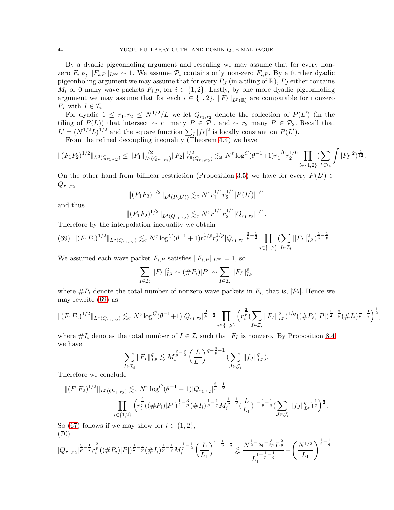By a dyadic pigeonholing argument and rescaling we may assume that for every nonzero  $F_{i,P}, \|F_{i,P}\|_{L^{\infty}} \sim 1$ . We assume  $\mathcal{P}_i$  contains only non-zero  $F_{i,P}$ . By a further dyadic pigeonholing argument we may assume that for every  $P_J$  (in a tiling of  $\mathbb{R}$ ),  $P_J$  either contains  $M_i$  or 0 many wave packets  $F_{i,P}$ , for  $i \in \{1,2\}$ . Lastly, by one more dyadic pigeonholing argument we may assume that for each  $i \in \{1,2\}$ ,  $||F_I||_{L^p(\mathbb{R})}$  are comparable for nonzero  $F_I$  with  $I \in \mathcal{I}_i$ .

For dyadic  $1 \leq r_1, r_2 \leq N^{1/2}/L$  we let  $Q_{r_1,r_2}$  denote the collection of  $P(L')$  (in the tiling of  $P(L)$ ) that intersect ~ r<sub>1</sub> many  $P \in \mathcal{P}_1$ , and ~ r<sub>2</sub> many  $P \in \mathcal{P}_2$ . Recall that  $L' = (N^{1/2}L)^{1/2}$  and the square function  $\sum_I |f_I|^2$  is locally constant on  $P(L')$ .

From the refined decoupling inequality (Theorem [4.4\)](#page-15-0) we have

$$
\|(F_1F_2)^{1/2}\|_{L^6(Q_{r_1,r_2})} \leq \|F_1\|_{L^6(Q_{r_1,r_2})}^{1/2} \|F_2\|_{L^6(Q_{r_1,r_2})}^{1/2} \lesssim_\varepsilon N^\varepsilon \log^C (\theta^{-1}+1) r_1^{1/6} r_2^{1/6} \prod_{i\in\{1,2\}} (\sum_{I\in\mathcal{I}_i} \int |F_I|^2)^{\frac{1}{12}}.
$$

On the other hand from bilinear restriction (Proposition [3.5\)](#page-11-0) we have for every  $P(L') \subset$  $Q_{r_1,r_2}$ 

$$
\|(F_1F_2)^{1/2}\|_{L^4(P(L'))} \lesssim_{\varepsilon} N^{\varepsilon} r_1^{1/4} r_2^{1/4} |P(L')|^{1/4}
$$

and thus

$$
||(F_1F_2)^{1/2}||_{L^4(Q_{r_1,r_2})} \lesssim_{\varepsilon} N^{\varepsilon} r_1^{1/4} r_2^{1/4} |Q_{r_1,r_2}|^{1/4}.
$$

Therefore by the interpolation inequality we obtain

<span id="page-43-0"></span>
$$
(69)\ \ \| (F_1F_2)^{1/2} \|_{L^p(Q_{r_1,r_2})} \lesssim_{\varepsilon} N^{\varepsilon} \log^C (\theta^{-1} + 1) r_1^{1/p} r_2^{1/p} |Q_{r_1,r_2}|^{\frac{3}{p} - \frac{1}{2}} \prod_{i \in \{1,2\}} (\sum_{I \in \mathcal{I}_i} \|F_I\|_{L^2}^2)^{\frac{1}{4} - \frac{1}{p}}.
$$

We assumed each wave packet  $F_{i,P}$  satisfies  $||F_{i,P}||_{L^{\infty}} = 1$ , so

$$
\sum_{I \in \mathcal{I}_i} ||F_I||_{L^2}^2 \sim (\#P_i)|P| \sim \sum_{I \in \mathcal{I}_i} ||F_I||_{L^p}^p
$$

where  $\#P_i$  denote the total number of nonzero wave packets in  $F_i$ , that is,  $|\mathcal{P}_i|$ . Hence we may rewrite [\(69\)](#page-43-0) as

$$
\|(F_1F_2)^{1/2}\|_{L^p(Q_{r_1,r_2})} \lesssim_{\varepsilon} N^{\varepsilon} \log^C(\theta^{-1}+1)|Q_{r_1,r_2}|^{\frac{3}{p}-\frac{1}{2}} \prod_{i\in\{1,2\}} \left( r_i^{\frac{2}{p}} (\sum_{I\in\mathcal{I}_i} \|F_I\|_{L^p}^q)^{1/q} ((\#P_i)|P|)^{\frac{1}{2}-\frac{3}{p}} (\#I_i)^{\frac{1}{p}-\frac{1}{q}} \right)^{\frac{1}{2}},
$$

where  $\#I_i$  denotes the total number of  $I \in \mathcal{I}_i$  such that  $F_I$  is nonzero. By Proposition [8.4](#page-41-2) we have

$$
\sum_{I \in \mathcal{I}_i} \|F_I\|_{L^p}^q \lesssim M_i^{\frac{q}{p} - \frac{q}{2}} \left(\frac{L}{L_1}\right)^{q - \frac{q}{p} - 1} \left(\sum_{J \in \mathcal{J}_i} \|f_J\|_{L^p}^q\right).
$$

Therefore we conclude

$$
||(F_1F_2)^{1/2}||_{L^p(Q_{r_1,r_2})} \lesssim_{\varepsilon} N^{\varepsilon} \log^C(\theta^{-1}+1) |Q_{r_1,r_2}|^{\frac{3}{p}-\frac{1}{2}} \prod_{i\in\{1,2\}} \left( r_i^{\frac{2}{p}}((\#P_i)|P|)^{\frac{1}{2}-\frac{3}{p}}(\#I_i)^{\frac{1}{p}-\frac{1}{q}} M_i^{\frac{1}{p}-\frac{1}{2}}(\frac{L}{L_1})^{1-\frac{1}{p}-\frac{1}{q}} (\sum_{J\in\mathcal{J}_i} ||f_J||_{L^p}^q)^{\frac{1}{q}} \right)^{\frac{1}{2}}.
$$

So [\(67\)](#page-42-1) follows if we may show for  $i \in \{1,2\},\$ (70)

<span id="page-43-1"></span>
$$
|Q_{r_1,r_2}|^{\frac{3}{p}-\frac{1}{2}} r_i^{\frac{2}{p}} ((\# P_i)|P|)^{\frac{1}{2}-\frac{3}{p}} (\# I_i)^{\frac{1}{p}-\frac{1}{q}} M_i^{\frac{1}{p}-\frac{1}{2}} \left(\frac{L}{L_1}\right)^{1-\frac{1}{p}-\frac{1}{q}} \lesssim \frac{N^{\frac{1}{2}-\frac{1}{2q}-\frac{3}{2p}} L^{\frac{2}{p}}}{L_1^{\frac{1}{p}-\frac{1}{q}}} + \left(\frac{N^{1/2}}{L_1}\right)^{\frac{1}{2}-\frac{1}{q}}.
$$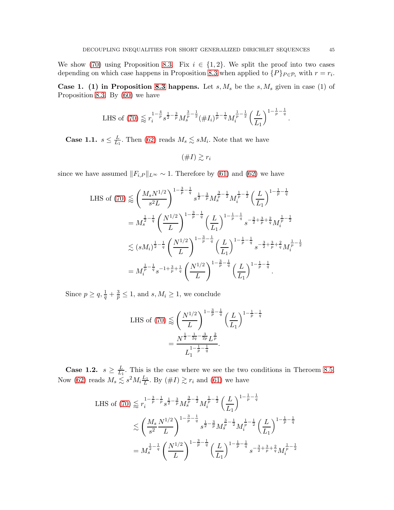We show [\(70\)](#page-43-1) using Proposition [8.3.](#page-39-5) Fix  $i \in \{1,2\}$ . We split the proof into two cases depending on which case happens in Proposition [8.3](#page-39-5) when applied to  $\{P\}_{P \in \mathcal{P}_i}$  with  $r = r_i$ .

Case 1. (1) in Proposition [8.3](#page-39-5) happens. Let  $s, M_s$  be the  $s, M_s$  given in case (1) of Proposition [8.3.](#page-39-5) By [\(60\)](#page-39-0) we have

LHS of (70) 
$$
\lessapprox r_i^{1-\frac{4}{p}} s^{\frac{1}{2}-\frac{3}{p}} M_s^{\frac{3}{p}-\frac{1}{2}} (\# I_i)^{\frac{1}{p}-\frac{1}{q}} M_i^{\frac{1}{p}-\frac{1}{2}} \left(\frac{L}{L_1}\right)^{1-\frac{1}{p}-\frac{1}{q}}.
$$

Case 1.1.  $s \leq \frac{L}{L_1}$  $\frac{L}{L_1}$ . Then [\(62\)](#page-39-2) reads  $M_s \lesssim sM_i$ . Note that we have

 $(\#I) \geq r_i$ 

since we have assumed  $||F_{i,P}||_{L^{\infty}} \sim 1$ . Therefore by [\(61\)](#page-39-1) and [\(62\)](#page-39-2) we have

LHS of (70) 
$$
\lessapprox \left(\frac{M_s N^{1/2}}{s^2 L}\right)^{1-\frac{3}{p}-\frac{1}{q}} s^{\frac{1}{2}-\frac{3}{p}} M_s^{\frac{3}{p}-\frac{1}{2}} M_i^{\frac{1}{p}-\frac{1}{2}} \left(\frac{L}{L_1}\right)^{1-\frac{1}{p}-\frac{1}{q}}
$$
  
\n
$$
= M_s^{\frac{1}{2}-\frac{1}{q}} \left(\frac{N^{1/2}}{L}\right)^{1-\frac{3}{p}-\frac{1}{q}} \left(\frac{L}{L_1}\right)^{1-\frac{1}{p}-\frac{1}{q}} s^{-\frac{3}{2}+\frac{3}{p}+\frac{2}{q}} M_i^{\frac{1}{p}-\frac{1}{2}}
$$
\n
$$
\lessapprox (sM_i)^{\frac{1}{2}-\frac{1}{q}} \left(\frac{N^{1/2}}{L}\right)^{1-\frac{3}{p}-\frac{1}{q}} \left(\frac{L}{L_1}\right)^{1-\frac{1}{p}-\frac{1}{q}} s^{-\frac{3}{2}+\frac{3}{p}+\frac{2}{q}} M_i^{\frac{1}{p}-\frac{1}{2}}
$$
\n
$$
= M_i^{\frac{1}{p}-\frac{1}{q}} s^{-1+\frac{3}{p}+\frac{1}{q}} \left(\frac{N^{1/2}}{L}\right)^{1-\frac{3}{p}-\frac{1}{q}} \left(\frac{L}{L_1}\right)^{1-\frac{1}{p}-\frac{1}{q}}.
$$

Since  $p \ge q$ ,  $\frac{1}{q} + \frac{3}{p} \le 1$ , and  $s, M_i \ge 1$ , we conclude

LHS of (70) 
$$
\lessapprox \left(\frac{N^{1/2}}{L}\right)^{1-\frac{3}{p}-\frac{1}{q}} \left(\frac{L}{L_1}\right)^{1-\frac{1}{p}-\frac{1}{q}}
$$
  

$$
= \frac{N^{\frac{1}{2}-\frac{1}{2q}-\frac{3}{2p}}L^{\frac{2}{p}}}{L_1^{1-\frac{1}{p}-\frac{1}{q}}}.
$$

**Case 1.2.**  $s \geq \frac{L}{L_1}$ . This is the case where we see the two conditions in Theroem [8.5.](#page-42-0) Now [\(62\)](#page-39-2) reads  $M_s \lesssim s^2 M_i \frac{L_1}{L}$ . By  $(\#I) \gtrsim r_i$  and [\(61\)](#page-39-1) we have

LHS of (70) 
$$
\lessapprox r_i^{1-\frac{3}{p}-\frac{1}{p}} s^{\frac{1}{2}-\frac{3}{p}} M_s^{\frac{3}{p}-\frac{1}{2}} M_i^{\frac{1}{p}-\frac{1}{2}} \left(\frac{L}{L_1}\right)^{1-\frac{1}{p}-\frac{1}{q}}
$$
  
\n $\lessapprox \left(\frac{M_s}{s^2} \frac{N^{1/2}}{L}\right)^{1-\frac{3}{p}-\frac{1}{q}} s^{\frac{1}{2}-\frac{3}{p}} M_s^{\frac{3}{p}-\frac{1}{2}} M_i^{\frac{1}{p}-\frac{1}{2}} \left(\frac{L}{L_1}\right)^{1-\frac{1}{p}-\frac{1}{q}}$   
\n $= M_s^{\frac{1}{2}-\frac{1}{q}} \left(\frac{N^{1/2}}{L}\right)^{1-\frac{3}{p}-\frac{1}{q}} \left(\frac{L}{L_1}\right)^{1-\frac{1}{p}-\frac{1}{q}} s^{-\frac{3}{2}+\frac{3}{p}+\frac{2}{q}} M_i^{\frac{1}{p}-\frac{1}{2}}$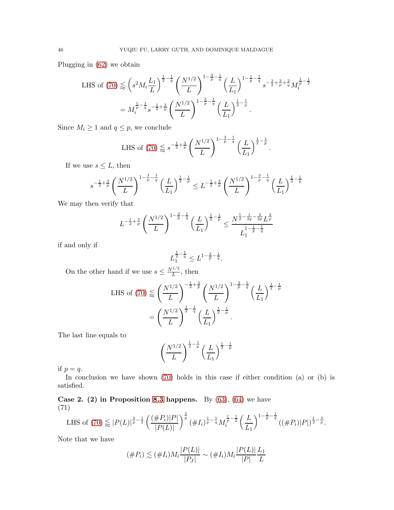Plugging in [\(62\)](#page-39-2) we obtain

LHS of (70) 
$$
\lessapprox \left(s^2 M_i \frac{L_1}{L}\right)^{\frac{1}{2}-\frac{1}{q}} \left(\frac{N^{1/2}}{L}\right)^{1-\frac{3}{p}-\frac{1}{q}} \left(\frac{L}{L_1}\right)^{1-\frac{1}{p}-\frac{1}{q}} s^{-\frac{3}{2}+\frac{3}{p}+\frac{2}{q}} M_i^{\frac{1}{p}-\frac{1}{2}}
$$
  

$$
= M_i^{\frac{1}{p}-\frac{1}{q}} s^{-\frac{1}{2}+\frac{3}{p}} \left(\frac{N^{1/2}}{L}\right)^{1-\frac{3}{p}-\frac{1}{q}} \left(\frac{L}{L_1}\right)^{\frac{1}{2}-\frac{1}{p}}.
$$

Since  $M_i \geq 1$  and  $q \leq p$ , we conclude

LHS of (70) 
$$
\lessapprox s^{-\frac{1}{2} + \frac{3}{p}} \left(\frac{N^{1/2}}{L}\right)^{1 - \frac{3}{p} - \frac{1}{q}} \left(\frac{L}{L_1}\right)^{\frac{1}{2} - \frac{1}{p}}
$$

.

If we use  $s \leq L$ , then

$$
s^{-\frac{1}{2} + \frac{3}{p}} \left(\frac{N^{1/2}}{L}\right)^{1 - \frac{3}{p} - \frac{1}{q}} \left(\frac{L}{L_1}\right)^{\frac{1}{2} - \frac{1}{p}} \le L^{-\frac{1}{2} + \frac{3}{p}} \left(\frac{N^{1/2}}{L}\right)^{1 - \frac{3}{p} - \frac{1}{q}} \left(\frac{L}{L_1}\right)^{\frac{1}{2} - \frac{1}{p}}
$$

We may then verify that

$$
L^{-\frac{1}{2} + \frac{3}{p}} \left(\frac{N^{1/2}}{L}\right)^{1 - \frac{3}{p} - \frac{1}{q}} \left(\frac{L}{L_1}\right)^{\frac{1}{2} - \frac{1}{p}} \le \frac{N^{\frac{1}{2} - \frac{1}{2q} - \frac{3}{2p}} L^{\frac{2}{p}}}{L_1^{1 - \frac{1}{p} - \frac{1}{q}}}
$$

if and only if

$$
L_1^{\frac{1}{2} - \frac{1}{q}} \le L^{1 - \frac{3}{p} - \frac{1}{q}}.
$$

On the other hand if we use  $s \leq \frac{N^{1/2}}{L}$  $\frac{L}{L}$ , then

LHS of (70) 
$$
\lessapprox \left(\frac{N^{1/2}}{L}\right)^{-\frac{1}{2}+\frac{3}{p}} \left(\frac{N^{1/2}}{L}\right)^{1-\frac{3}{p}-\frac{1}{q}} \left(\frac{L}{L_1}\right)^{\frac{1}{2}-\frac{1}{p}}
$$
  

$$
= \left(\frac{N^{1/2}}{L}\right)^{\frac{1}{2}-\frac{1}{q}} \left(\frac{L}{L_1}\right)^{\frac{1}{2}-\frac{1}{p}}.
$$

The last line equals to

$$
\left(\frac{N^{1/2}}{L}\right)^{\frac{1}{2}-\frac{1}{p}}\left(\frac{L}{L_1}\right)^{\frac{1}{2}-\frac{1}{p}}
$$

if  $p = q$ .

In conclusion we have shown [\(70\)](#page-43-1) holds in this case if either condition (a) or (b) is satisfied.

Case 2. (2) in Proposition [8.3](#page-39-5) happens. By  $(63)$ ,  $(64)$  we have (71)

<span id="page-45-0"></span>LHS of (70) 
$$
\lessapprox |P(L)|^{\frac{3}{p}-\frac{1}{2}} \left( \frac{(\#P_i)|P|}{|P(L)|} \right)^{\frac{2}{p}} (\#I_i)^{\frac{1}{p}-\frac{1}{q}} M_i^{\frac{1}{p}-\frac{1}{2}} \left( \frac{L}{L_1} \right)^{1-\frac{1}{p}-\frac{1}{q}} ((\#P_i)|P|)^{\frac{1}{2}-\frac{3}{p}}.
$$

Note that we have

$$
(\#P_i) \lesssim (\#I_i)M_i \frac{|P(L)|}{|P_J|} \sim (\#I_i)M_i \frac{|P(L)|}{|P|} \frac{L_1}{L}
$$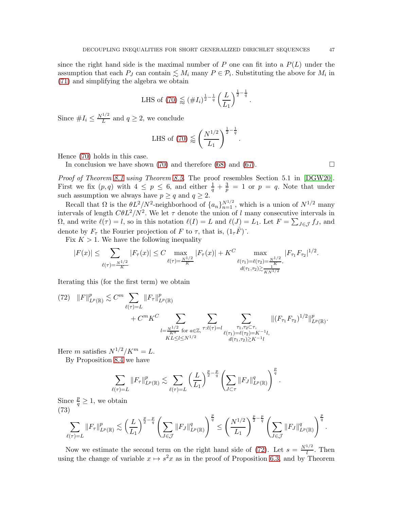since the right hand side is the maximal number of P one can fit into a  $P(L)$  under the assumption that each  $P_J$  can contain  $\leq M_i$  many  $P \in \mathcal{P}_i$ . Substituting the above for  $M_i$  in [\(71\)](#page-45-0) and simplifying the algebra we obtain

LHS of (70) 
$$
\lessapprox
$$
  $(\#I_i)^{\frac{1}{2}-\frac{1}{q}} \left(\frac{L}{L_1}\right)^{\frac{1}{2}-\frac{1}{q}}$ .

Since  $#I_i \leq \frac{N^{1/2}}{L}$  and  $q \geq 2$ , we conclude

LHS of (70) 
$$
\lessapprox \left(\frac{N^{1/2}}{L_1}\right)^{\frac{1}{2}-\frac{1}{q}}
$$
.

Hence [\(70\)](#page-43-1) holds in this case.

In conclusion we have shown [\(70\)](#page-43-1) and therefore [\(68\)](#page-42-2) and [\(67\)](#page-42-1).  $\Box$ 

*Proof of Theorem [8.1](#page-38-3) using Theorem [8.5.](#page-42-0)* The proof resembles Section 5.1 in [\[DGW20\]](#page-52-5). First we fix  $(p, q)$  with  $4 \leq p \leq 6$ , and either  $\frac{1}{q} + \frac{3}{p}$  $\frac{3}{p}$  = 1 or  $p = q$ . Note that under such assumption we always have  $p \geq q$  and  $q \geq 2$ .

Recall that  $\Omega$  is the  $\theta L^2/N^2$ -neighborhood of  $\{a_n\}_{n=1}^{N^{1/2}}$ , which is a union of  $N^{1/2}$  many intervals of length  $\mathbb{C} \theta L^2/N^2$ . We let  $\tau$  denote the union of l many consecutive intervals in  $\Omega$ , and write  $\ell(\tau) = l$ , so in this notation  $\ell(I) = L$  and  $\ell(J) = L_1$ . Let  $F = \sum_{J \in \mathcal{J}} f_J$ , and denote by  $F_{\tau}$  the Fourier projection of F to  $\tau$ , that is,  $(1_{\tau}F)^{\times}$ .

Fix  $K > 1$ . We have the following inequality

$$
|F(x)| \leq \sum_{\ell(\tau) = \frac{N^{1/2}}{K}} |F_{\tau}(x)| \leq C \max_{\ell(\tau) = \frac{N^{1/2}}{K}} |F_{\tau}(x)| + K^C \max_{\ell(\tau_1) = \ell(\tau_2) = \frac{N^{1/2}}{K}, \atop d(\tau_1, \tau_2) \gtrsim \frac{N^{1/2}}{K N^{1/2}}} |F_{\tau_1} F_{\tau_2}|^{1/2}.
$$

Iterating this (for the first term) we obtain

<span id="page-46-0"></span>
$$
(72) \quad ||F||_{L^{p}(\mathbb{R})}^{p} \lesssim C^{m} \sum_{\ell(\tau)=L} ||F_{\tau}||_{L^{p}(\mathbb{R})}^{p} + C^{m} K^{C} \sum_{\substack{l=\frac{N^{1/2}}{K^{\alpha}} \text{ for } a \in \mathbb{Z}, \\ KL \leq l \leq N^{1/2}}} \sum_{\substack{\tau:\ell(\tau)=l \\ \ell(\tau_{1})=\ell(\tau_{2})=K^{-1}l, \\ d(\tau_{1},\tau_{2}) \gtrsim K^{-1}l}} ||(F_{\tau_{1}} F_{\tau_{2}})^{1/2}||_{L^{p}(\mathbb{R})}^{p}.
$$

Here m satisfies  $N^{1/2}/K^m = L$ .

By Proposition [8.4](#page-41-2) we have

$$
\sum_{\ell(\tau)=L} \|F_{\tau}\|_{L^p(\mathbb{R})}^p \lesssim \sum_{\ell(\tau)=L} \left(\frac{L}{L_1}\right)^{\frac{p}{2}-\frac{p}{q}} \left(\sum_{J\subset \tau} \|F_{J}\|_{L^p(\mathbb{R})}^q\right)^{\frac{p}{q}}
$$

.

Since  $\frac{p}{q} \geq 1$ , we obtain (73) p Å L  $\sqrt{\frac{p}{2}}$  $\frac{p}{2}$  – p q

<span id="page-46-1"></span>
$$
\sum_{\ell(\tau)=L} \|F_{\tau}\|_{L^{p}(\mathbb{R})}^{p} \lesssim \left(\frac{L}{L_{1}}\right)^{\frac{p}{2}-\frac{p}{q}} \left(\sum_{J\in\mathcal{J}} \|F_{J}\|_{L^{p}(\mathbb{R})}^{q}\right)^{\frac{p}{q}} \leq \left(\frac{N^{1/2}}{L_{1}}\right)^{\frac{p}{2}-\frac{p}{q}} \left(\sum_{J\in\mathcal{J}} \|F_{J}\|_{L^{p}(\mathbb{R})}^{q}\right)^{\frac{p}{q}}.
$$

Now we estimate the second term on the right hand side of [\(72\)](#page-46-0). Let  $s = \frac{N^{1/2}}{l}$  $\frac{1}{l}$ . Then using the change of variable  $x \mapsto s^2x$  as in the proof of Proposition [6.3,](#page-29-1) and by Theorem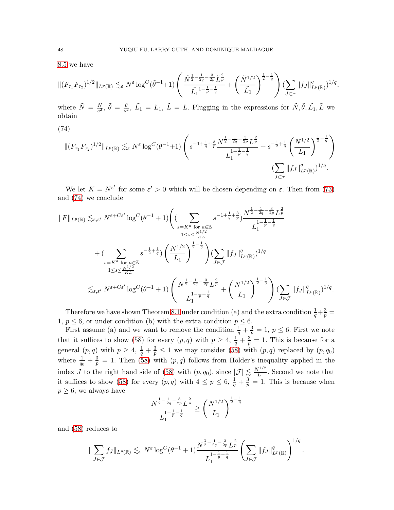[8.5](#page-42-0) we have

$$
\|(F_{\tau_1} F_{\tau_2})^{1/2}\|_{L^p(\mathbb{R})} \lesssim_{\varepsilon} N^{\varepsilon} \log^C(\tilde{\theta}^{-1}+1) \left( \frac{\tilde{N}^{\frac{1}{2}-\frac{1}{2q}-\frac{3}{2p}} \tilde{L}^{\frac{2}{p}}}{\tilde{L}_1^{-1-\frac{1}{p}-\frac{1}{q}}} + \left( \frac{\tilde{N}^{1/2}}{\tilde{L}_1} \right)^{\frac{1}{2}-\frac{1}{q}} \right) (\sum_{J \subset \tau} \|f_J\|_{L^p(\mathbb{R})}^q)^{1/q},
$$

where  $\tilde{N} = \frac{N}{s^2}$ ,  $\tilde{\theta} = \frac{\theta}{s^2}$ ,  $\tilde{L_1} = L_1$ ,  $\tilde{L} = L$ . Plugging in the expressions for  $\tilde{N}, \tilde{\theta}, \tilde{L_1}, \tilde{L}$  we obtain

<span id="page-47-0"></span>(74)

$$
\|(F_{\tau_1} F_{\tau_2})^{1/2}\|_{L^p(\mathbb{R})} \lesssim_{\varepsilon} N^{\varepsilon} \log^C (\theta^{-1}+1) \left( s^{-1+\frac{1}{q}+\frac{3}{p}} \frac{N^{\frac{1}{2}-\frac{1}{2q}-\frac{3}{2p}} L^{\frac{2}{p}} }{L_1^{1-\frac{1}{p}-\frac{1}{q}}} + s^{-\frac{1}{2}+\frac{1}{q}} \left(\frac{N^{1/2}}{L_1}\right)^{\frac{1}{2}-\frac{1}{q}} \right) \frac{1}{\left(\sum_{J\subset\tau} \|f_J\|_{L^p(\mathbb{R})}^q\right)^{1/q}}.
$$

We let  $K = N^{\varepsilon'}$  for some  $\varepsilon' > 0$  which will be chosen depending on  $\varepsilon$ . Then from [\(73\)](#page-46-1) and [\(74\)](#page-47-0) we conclude

$$
||F||_{L^{p}(\mathbb{R})} \lesssim_{\varepsilon,\varepsilon'} N^{\varepsilon + C\varepsilon'} \log^{C}(\theta^{-1} + 1) \Biggl( \sum_{\substack{s = K^{a} \text{ for } a \in \mathbb{Z} \\ 1 \le s \le \frac{N^{1/2}}{KL}}} s^{-1 + \frac{1}{q} + \frac{3}{p}} \Biggr) \frac{N^{\frac{1}{2} - \frac{1}{2q} - \frac{3}{2p}} L^{\frac{2}{p}}}{L_{1}^{\frac{1}{1} - \frac{1}{p} - \frac{1}{q}}} \Biggr) + \Biggl( \sum_{\substack{s = K^{a} \text{ for } a \in \mathbb{Z} \\ 1 \le s \le \frac{N^{1/2}}{KL}}} s^{-\frac{1}{2} + \frac{1}{q}} \Biggr) \Biggl( \frac{N^{1/2}}{L_{1}} \Biggr)^{\frac{1}{2} - \frac{1}{q}} \Biggr) \Biggl( \sum_{J \in \mathcal{J}} ||f_{J}||_{L^{p}(\mathbb{R})}^{q} \Biggr)^{1/q}
$$
  

$$
\lesssim_{\varepsilon,\varepsilon'} N^{\varepsilon + C\varepsilon'} \log^{C}(\theta^{-1} + 1) \Biggl( \frac{N^{\frac{1}{2} - \frac{1}{2q} - \frac{3}{2p}} L^{\frac{2}{p}}}{L_{1}^{\frac{1}{1} - \frac{1}{p} - \frac{1}{q}}} + \Biggl( \frac{N^{1/2}}{L_{1}} \Biggr)^{\frac{1}{2} - \frac{1}{q}} \Biggr) \Biggl( \sum_{J \in \mathcal{J}} ||f_{J}||_{L^{p}(\mathbb{R})}^{q} \Biggr)^{1/q}.
$$

Therefore we have shown Theorem [8.1](#page-38-3) under condition (a) and the extra condition  $\frac{1}{q} + \frac{3}{p} =$ 1,  $p \leq 6$ , or under condition (b) with the extra condition  $p \leq 6$ .

First assume (a) and we want to remove the condition  $\frac{1}{q} + \frac{3}{p} = 1$ ,  $p \leq 6$ . First we note that it suffices to show [\(58\)](#page-38-2) for every  $(p, q)$  with  $p \geq 4$ ,  $\frac{1}{q} + \frac{3}{p}$  $\frac{3}{p}$  = 1. This is because for a general  $(p, q)$  with  $p \geq 4$ ,  $\frac{1}{q} + \frac{3}{p} \leq 1$  we may consider [\(58\)](#page-38-2) with  $(p, q)$  replaced by  $(p, q_0)$ where  $\frac{1}{q_0} + \frac{3}{p}$  $\frac{3}{p}$  = 1. Then [\(58\)](#page-38-2) with  $(p, q)$  follows from Hölder's inequality applied in the index J to the right hand side of [\(58\)](#page-38-2) with  $(p, q_0)$ , since  $|\mathcal{J}| \lesssim \frac{N^{1/2}}{L_1}$  $\frac{L_1}{L_1}$ . Second we note that it suffices to show [\(58\)](#page-38-2) for every  $(p, q)$  with  $4 \leq p \leq 6, \frac{1}{q} + \frac{3}{p}$  $\frac{3}{p} = 1$ . This is because when  $p \geq 6$ , we always have

$$
\frac{N^{\frac{1}{2} - \frac{1}{2q} - \frac{3}{2p}} L^{\frac{2}{p}}}{L_1^{\frac{1}{p} - \frac{1}{q}}} \ge \left(\frac{N^{1/2}}{L_1}\right)^{\frac{1}{2} - \frac{1}{q}}
$$

and [\(58\)](#page-38-2) reduces to

$$
\|\sum_{J\in\mathcal{J}}f_J\|_{L^p(\mathbb{R})}\lesssim_{\varepsilon}N^{\varepsilon}\log^C(\theta^{-1}+1)\frac{N^{\frac{1}{2}-\frac{1}{2q}-\frac{3}{2p}}L^{\frac{2}{p}}}{L_1^{\frac{1}{1-\frac{1}{p}-\frac{1}{q}}}}\left(\sum_{J\in\mathcal{J}}\|f_J\|_{L^p(\mathbb{R})}^q\right)^{1/q}.
$$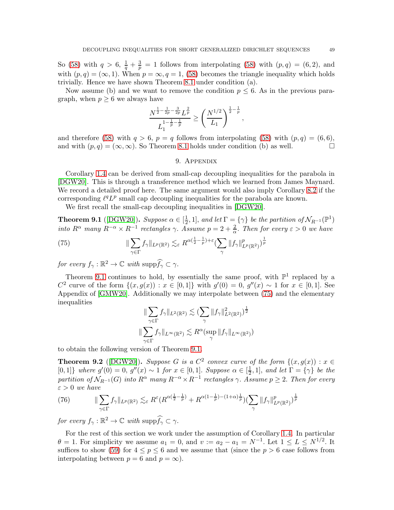So [\(58\)](#page-38-2) with  $q > 6$ ,  $\frac{1}{q} + \frac{3}{p} = 1$  follows from interpolating (58) with  $(p, q) = (6, 2)$ , and with  $(p, q) = (\infty, 1)$ . When  $p = \infty, q = 1, (58)$  $p = \infty, q = 1, (58)$  becomes the triangle inequality which holds trivially. Hence we have shown Theorem [8.1](#page-38-3) under condition (a).

Now assume (b) and we want to remove the condition  $p \leq 6$ . As in the previous paragraph, when  $p \geq 6$  we always have

$$
\frac{N^{\frac{1}{2} - \frac{1}{2p} - \frac{3}{2p}} L^{\frac{2}{p}}}{L_1^{\frac{1}{p} - \frac{1}{p}}} \ge \left(\frac{N^{1/2}}{L_1}\right)^{\frac{1}{2} - \frac{1}{p}}
$$

,

<span id="page-48-0"></span>and therefore [\(58\)](#page-38-2) with  $q > 6$ ,  $p = q$  follows from interpolating (58) with  $(p, q) = (6, 6)$ , and with  $(p, q) = (\infty, \infty)$ . So Theorem [8.1](#page-38-3) holds under condition (b) as well.

## 9. Appendix

Corollary [1.4](#page-3-0) can be derived from small-cap decoupling inequalities for the parabola in [\[DGW20\]](#page-52-5). This is through a transference method which we learned from James Maynard. We record a detailed proof here. The same argument would also imply Corollary [8.2](#page-38-0) if the corresponding  $\ell^q L^p$  small cap decoupling inequalities for the parabola are known.

We first recall the small-cap decoupling inequalities in [\[DGW20\]](#page-52-5).

<span id="page-48-1"></span>**Theorem 9.1** ([\[DGW20\]](#page-52-5)). *Suppose*  $\alpha \in \left[\frac{1}{2}\right]$  $\frac{1}{2}$ , 1], and let  $\Gamma = \{ \gamma \}$  be the partition of  $\mathcal{N}_{R^{-1}}(\mathbb{P}^1)$ *into*  $R^{\alpha}$  *many*  $R^{-\alpha} \times R^{-1}$  *rectangles*  $\gamma$ . *Assume*  $p = 2 + \frac{2}{\alpha}$ *. Then for every*  $\varepsilon > 0$  *we have* 

<span id="page-48-2"></span>(75) 
$$
\|\sum_{\gamma \in \Gamma} f_{\gamma}\|_{L^{p}(\mathbb{R}^{2})} \lesssim_{\varepsilon} R^{\alpha(\frac{1}{2}-\frac{1}{p})+\varepsilon} (\sum_{\gamma} \|f_{\gamma}\|_{L^{p}(\mathbb{R}^{2})}^{p})^{\frac{1}{p}}
$$

*for every*  $f_{\gamma}: \mathbb{R}^2 \to \mathbb{C}$  *with*  $\text{supp} \widehat{f_{\gamma}} \subset \gamma$ .

Theorem [9.1](#page-48-1) continues to hold, by essentially the same proof, with  $\mathbb{P}^1$  replaced by a  $C^2$  curve of the form  $\{(x, g(x)) : x \in [0,1]\}$  with  $g'(0) = 0$ ,  $g''(x) \sim 1$  for  $x \in [0,1]$ . See Appendix of [\[GMW20\]](#page-52-3). Additionally we may interpolate between [\(75\)](#page-48-2) and the elementary inequalities

$$
\|\sum_{\gamma \in \Gamma} f_{\gamma}\|_{L^{2}(\mathbb{R}^{2})} \lesssim \sum_{\gamma} \|f_{\gamma}\|_{L^{2}(\mathbb{R}^{2})}^{2}\right)^{\frac{1}{2}}
$$
  

$$
\|\sum_{\gamma \in \Gamma} f_{\gamma}\|_{L^{\infty}(\mathbb{R}^{2})} \lesssim R^{\alpha}(\sup_{\gamma} \|f_{\gamma}\|_{L^{\infty}(\mathbb{R}^{2})})
$$

to obtain the following version of Theorem [9.1.](#page-48-1)

<span id="page-48-3"></span>**Theorem 9.2** ([\[DGW20\]](#page-52-5)). *Suppose* G *is a*  $C^2$  *convex curve of the form*  $\{(x, g(x)) : x \in C^2\}$  $[0, 1]$ } *where*  $g'(0) = 0$ ,  $g''(x) \sim 1$  *for*  $x \in [0, 1]$ . *Suppose*  $\alpha \in [\frac{1}{2}]$  $\left[\frac{1}{2}, 1\right]$ , and let  $\Gamma = \{\gamma\}$  be the  $partition \ of \ N_{R^{-1}}(G) \ into \ R^{\alpha} \ many \ R^{-\alpha} \times R^{-1} \ rectangles \ \gamma. \ Assume \ p \geq 2. \ Then \ for \ every$ ε > 0 *we have*

(76) 
$$
\|\sum_{\gamma \in \Gamma} f_{\gamma}\|_{L^{p}(\mathbb{R}^{2})} \lesssim_{\varepsilon} R^{\varepsilon} (R^{\alpha(\frac{1}{2}-\frac{1}{p})} + R^{\alpha(1-\frac{1}{p})-(1+\alpha)\frac{1}{p}}) (\sum_{\gamma} \|f_{\gamma}\|_{L^{p}(\mathbb{R}^{2})}^{p})^{\frac{1}{p}}
$$

*for every*  $f_{\gamma}: \mathbb{R}^2 \to \mathbb{C}$  *with*  $\text{supp} \widehat{f_{\gamma}} \subset \gamma$ .

For the rest of this section we work under the assumption of Corollary [1.4.](#page-3-0) In particular  $\theta = 1$ . For simplicity we assume  $a_1 = 0$ , and  $v := a_2 - a_1 = N^{-1}$ . Let  $1 \le L \le N^{1/2}$ . It suffices to show [\(59\)](#page-38-4) for  $4 \leq p \leq 6$  and we assume that (since the  $p > 6$  case follows from interpolating between  $p = 6$  and  $p = \infty$ ).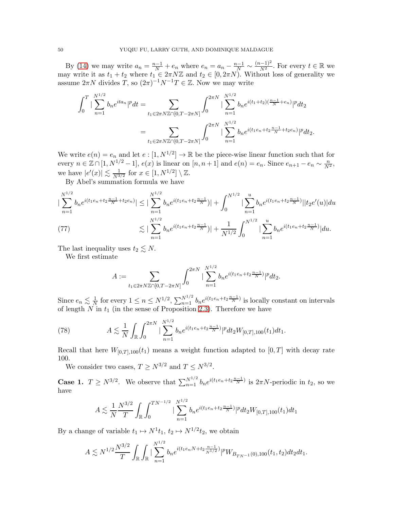By [\(14\)](#page-8-2) we may write  $a_n = \frac{n-1}{N} + e_n$  where  $e_n = a_n - \frac{n-1}{N} \sim \frac{(n-1)^2}{N^2}$ . For every  $t \in \mathbb{R}$  we may write it as  $t_1 + t_2$  where  $t_1 \in 2\pi N\mathbb{Z}$  and  $t_2 \in [0, 2\pi N)$ . Without loss of generality we assume  $2\pi N$  divides T, so  $(2\pi)^{-1}N^{-1}T \in \mathbb{Z}$ . Now we may write

$$
\int_0^T |\sum_{n=1}^{N^{1/2}} b_n e^{ita_n}|^p dt = \sum_{t_1 \in 2\pi N \mathbb{Z} \cap [0,T-2\pi N]} \int_0^{2\pi N} |\sum_{n=1}^{N^{1/2}} b_n e^{i(t_1+t_2)(\frac{n-1}{N}+e_n)}|^p dt_2
$$
  
= 
$$
\sum_{t_1 \in 2\pi N \mathbb{Z} \cap [0,T-2\pi N]} \int_0^{2\pi N} |\sum_{n=1}^{N^{1/2}} b_n e^{i(t_1e_n+t_2\frac{n-1}{N}+t_2e_n)}|^p dt_2.
$$

We write  $e(n) = e_n$  and let  $e: [1, N^{1/2}] \to \mathbb{R}$  be the piece-wise linear function such that for every  $n \in \mathbb{Z} \cap [1, N^{1/2} - 1]$ ,  $e(x)$  is linear on  $[n, n + 1]$  and  $e(n) = e_n$ . Since  $e_{n+1} - e_n \sim \frac{n}{N^2}$ , we have  $|e'(x)| \lesssim \frac{1}{N^3}$  $\frac{1}{N^{3/2}}$  for  $x \in [1, N^{1/2}] \setminus \mathbb{Z}$ .

By Abel's summation formula we have

$$
\left| \sum_{n=1}^{N^{1/2}} b_n e^{i(t_1 e_n + t_2 \frac{n-1}{N} + t_2 e_n)} \right| \leq \left| \sum_{n=1}^{N^{1/2}} b_n e^{i(t_1 e_n + t_2 \frac{n-1}{N})} \right| + \int_0^{N^{1/2}} \left| \sum_{n=1}^u b_n e^{i(t_1 e_n + t_2 \frac{n-1}{N})} \right| |t_2 e'(u)| du
$$
  
(77)  

$$
\lesssim \left| \sum_{n=1}^{N^{1/2}} b_n e^{i(t_1 e_n + t_2 \frac{n-1}{N})} \right| + \frac{1}{N^{1/2}} \int_0^{N^{1/2}} \left| \sum_{n=1}^u b_n e^{i(t_1 e_n + t_2 \frac{n-1}{N})} \right| du.
$$

<span id="page-49-1"></span>The last inequality uses  $t_2 \lesssim N$ .

We first estimate

$$
A := \sum_{t_1 \in 2\pi N \mathbb{Z} \cap [0, T-2\pi N]} \int_0^{2\pi N} |\sum_{n=1}^{N^{1/2}} b_n e^{i(t_1 e_n + t_2 \frac{n-1}{N})} |^p dt_2.
$$

Since  $e_n \lesssim \frac{1}{N}$  $\frac{1}{N}$  for every  $1 \leq n \leq N^{1/2}$ ,  $\sum_{n=1}^{N^{1/2}} b_n e^{i(t_1 e_n + t_2 \frac{n-1}{N})}$  is locally constant on intervals of length  $N$  in  $t_1$  (in the sense of Proposition [2.3\)](#page-6-1). Therefore we have

<span id="page-49-0"></span>(78) 
$$
A \lesssim \frac{1}{N} \int_{\mathbb{R}} \int_0^{2\pi N} |\sum_{n=1}^{N^{1/2}} b_n e^{i(t_1 e_n + t_2 \frac{n-1}{N})} |^p dt_2 W_{[0,T],100}(t_1) dt_1.
$$

Recall that here  $W_{[0,T],100}(t_1)$  means a weight function adapted to  $[0,T]$  with decay rate 100.

We consider two cases,  $T \ge N^{3/2}$  and  $T \le N^{3/2}$ .

**Case 1.**  $T \geq N^{3/2}$ . We observe that  $\sum_{n=1}^{N^{1/2}} b_n e^{i(t_1 e_n + t_2 \frac{n-1}{N})}$  is  $2\pi N$ -periodic in  $t_2$ , so we have

$$
A \lesssim \frac{1}{N} \frac{N^{3/2}}{T} \int_{\mathbb{R}} \int_0^{TN^{-1/2}} |\sum_{n=1}^{N^{1/2}} b_n e^{i(t_1 e_n + t_2 \frac{n-1}{N})} |^p dt_2 W_{[0,T],100}(t_1) dt_1
$$

By a change of variable  $t_1 \mapsto N^1 t_1$ ,  $t_2 \mapsto N^{1/2} t_2$ , we obtain

$$
A \lesssim N^{1/2} \frac{N^{3/2}}{T} \int_{\mathbb{R}} \int_{\mathbb{R}} |\sum_{n=1}^{N^{1/2}} b_n e^{i(t_1 e_n N + t_2 \frac{n-1}{N^{1/2}})}|^p W_{B_{TN^{-1}}(0),100}(t_1, t_2) dt_2 dt_1.
$$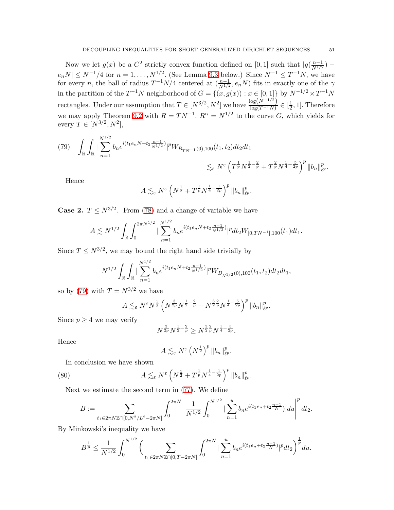Now we let  $g(x)$  be a  $C^2$  strictly convex function defined on [0, 1] such that  $|g(\frac{n-1}{N^{1/2}}) -$ Now we fit  $g(x)$  be a  $C$  strictly convex function defined on [0, 1] such that  $|g(y_1)|^2$ ,<br>  $e_nN|\leq N^{-1}/4$  for  $n=1,\ldots,N^{1/2}$ . (See Lemma [9.3](#page-51-0) below.) Since  $N^{-1}\leq T^{-1}N$ , we have for every *n*, the ball of radius  $T^{-1}N/4$  centered at  $(\frac{n-1}{N^{1/2}}, e_n N)$  fits in exactly one of the  $\gamma$ in the partition of the  $T^{-1}N$  neighborhood of  $G = \{(x, g(x)) : x \in [0,1]\}$  by  $N^{-1/2} \times T^{-1}N$ rectangles. Under our assumption that  $T \in [N^{3/2}, N^2]$  we have  $\frac{\log(N^{-1/2})}{\log(T^{-1}N)}$  $\frac{\log(N^{-1/2})}{\log(T^{-1}N)} \in \left[\frac{1}{2}\right]$  $\frac{1}{2}$ , 1]. Therefore we may apply Theorem [9.2](#page-48-3) with  $R = TN^{-1}$ ,  $R^{\alpha} = N^{1/2}$  to the curve G, which yields for every  $T \in [N^{3/2}, N^2],$ 

<span id="page-50-0"></span>
$$
(79) \quad \int_{\mathbb{R}} \int_{\mathbb{R}} |\sum_{n=1}^{N^{1/2}} b_n e^{i(t_1 e_n N + t_2 \frac{n-1}{N^{1/2}})}|^p W_{B_{TN^{-1}}(0),100}(t_1,t_2) dt_2 dt_1
$$

$$
\lesssim_{\varepsilon} N^{\varepsilon} \left( T^{\frac{1}{p}} N^{\frac{1}{2} - \frac{2}{p}} + T^{\frac{2}{p}} N^{\frac{1}{4} - \frac{5}{2p}} \right)^p \|b_n\|_{\ell^p}^p.
$$

Hence

$$
A \lesssim_{\varepsilon} N^{\varepsilon} \left( N^{\frac{1}{2}} + T^{\frac{1}{p}} N^{\frac{1}{4} - \frac{1}{2p}} \right)^p \|b_n\|_{\ell^p}^p.
$$

**Case 2.**  $T \leq N^{3/2}$ . From [\(78\)](#page-49-0) and a change of variable we have

$$
A \lesssim N^{1/2} \int_{\mathbb{R}} \int_0^{2\pi N^{1/2}} |\sum_{n=1}^{N^{1/2}} b_n e^{i(t_1 e_n N + t_2 \frac{n-1}{N^{1/2}})}|^p dt_2 W_{[0,TN^{-1}],100}(t_1) dt_1.
$$

Since  $T \leq N^{3/2}$ , we may bound the right hand side trivially by

$$
N^{1/2} \int_{\mathbb{R}} \int_{\mathbb{R}} |\sum_{n=1}^{N^{1/2}} b_n e^{i(t_1 e_n N + t_2 \frac{n-1}{N^{1/2}})}|^p W_{B_{N^{1/2}}(0),100}(t_1, t_2) dt_2 dt_1,
$$

so by [\(79\)](#page-50-0) with  $T = N^{3/2}$  we have

$$
A \lesssim_{\varepsilon} N^{\varepsilon} N^{\frac{1}{2}} \left( N^{\frac{3}{2p}} N^{\frac{1}{2} - \frac{2}{p}} + N^{\frac{3}{2}} \frac{2}{p} N^{\frac{1}{4} - \frac{5}{2p}} \right)^p \|b_n\|_{\ell^p}^p.
$$

Since  $p \geq 4$  we may verify

$$
N^{\frac{3}{2p}}N^{\frac{1}{2}-\frac{2}{p}} \ge N^{\frac{3}{2}\frac{2}{p}}N^{\frac{1}{4}-\frac{5}{2p}}.
$$

Hence

<span id="page-50-1"></span>
$$
A \lesssim_{\varepsilon} N^{\varepsilon} \left( N^{\frac{1}{2}} \right)^p \|b_n\|_{\ell^p}^p.
$$

In conclusion we have shown

(80) 
$$
A \lesssim_{\varepsilon} N^{\varepsilon} \left( N^{\frac{1}{2}} + T^{\frac{1}{p}} N^{\frac{1}{4} - \frac{1}{2p}} \right)^p ||b_n||_{\ell^p}^p.
$$

Next we estimate the second term in [\(77\)](#page-49-1). We define

$$
B:=\sum_{t_1\in 2\pi N\mathbb{Z}\cap [0,N^2/L^2-2\pi N]}\int_0^{2\pi N}\left|\frac{1}{N^{1/2}}\int_0^{N^{1/2}}|\sum_{n=1}^ub_ne^{i(t_1e_n+t_2\frac{n-1}{N})}|du\right|^pdt_2.
$$

By Minkowski's inequality we have

$$
B^{\frac{1}{p}} \leq \frac{1}{N^{1/2}} \int_0^{N^{1/2}} \Big( \sum_{t_1 \in 2\pi N \mathbb{Z} \cap [0,T-2\pi N]} \int_0^{2\pi N} |\sum_{n=1}^u b_n e^{i(t_1 e_n + t_2 \frac{n-1}{N})}|^p dt_2 \Big)^{\frac{1}{p}} du.
$$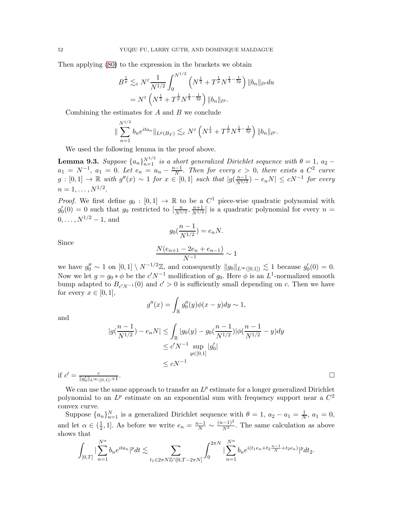Then applying [\(80\)](#page-50-1) to the expression in the brackets we obtain

$$
B^{\frac{1}{p}} \lesssim_{\varepsilon} N^{\varepsilon} \frac{1}{N^{1/2}} \int_0^{N^{1/2}} \left( N^{\frac{1}{2}} + T^{\frac{1}{p}} N^{\frac{1}{4} - \frac{1}{2p}} \right) \|b_n\|_{\ell^p} du
$$
  
=  $N^{\varepsilon} \left( N^{\frac{1}{2}} + T^{\frac{1}{p}} N^{\frac{1}{4} - \frac{1}{2p}} \right) \|b_n\|_{\ell^p}.$ 

Combining the estimates for  $A$  and  $B$  we conclude

$$
\|\sum_{n=1}^{N^{1/2}} b_n e^{ita_n}\|_{L^p(B_T)} \lesssim_{\varepsilon} N^{\varepsilon} \left(N^{\frac{1}{2}} + T^{\frac{1}{p}} N^{\frac{1}{4} - \frac{1}{2p}}\right) \|b_n\|_{\ell^p}.
$$

We used the following lemma in the proof above.

<span id="page-51-0"></span>**Lemma 9.3.** Suppose  $\{a_n\}_{n=1}^{N^{1/2}}$  is a short generalized Dirichlet sequence with  $\theta = 1$ ,  $a_2$  –  $a_1 = N^{-1}$ ,  $a_1 = 0$ . Let  $e_n = a_n - \frac{n-1}{N}$  $\frac{N-1}{N}$ . Then for every  $c > 0$ , there exists a  $C^2$  curve  $g: [0,1] \to \mathbb{R}$  with  $g''(x) \sim 1$  for  $x \in [0,1]$  such that  $|g(\frac{n-1}{N^{1/2}})$  $\frac{n-1}{N^{1/2}}$ ) –  $e_nN$ |  $\leq cN^{-1}$  for every  $n = 1, \ldots, N^{1/2}.$ 

*Proof.* We first define  $g_0 : [0,1] \to \mathbb{R}$  to be a  $C^1$  piece-wise quadratic polynomial with  $g'_0(0) = 0$  such that  $g_0$  restricted to  $\left[\frac{n}{N^{1/2}}, \frac{n+1}{N^{1/2}}\right]$  $\frac{n+1}{N^{1/2}}$  is a quadratic polynomial for every  $n =$  $0, \ldots, N^{1/2} - 1$ , and

$$
g_0(\frac{n-1}{N^{1/2}}) = e_n N.
$$

Since

$$
\frac{N(e_{n+1} - 2e_n + e_{n-1})}{N^{-1}} \sim 1
$$

we have  $g''_0 \sim 1$  on  $[0,1] \setminus N^{-1/2}\mathbb{Z}$ , and consequently  $||g_0||_{L^{\infty}([0,1])} \lesssim 1$  because  $g'_0(0) = 0$ . Now we let  $g = g_0 * \phi$  be the  $c'N^{-1}$  mollification of  $g_0$ . Here  $\phi$  is an  $L^1$ -normalized smooth bump adapted to  $B_{c^{\prime}N^{-1}}(0)$  and  $c^{\prime} > 0$  is sufficiently small depending on c. Then we have for every  $x \in [0,1],$ 

$$
g''(x) = \int_{\mathbb{R}} g_0''(y)\phi(x - y)dy \sim 1,
$$

and

$$
|g(\frac{n-1}{N^{1/2}}) - e_n N| \le \int_{\mathbb{R}} |g_0(y) - g_0(\frac{n-1}{N^{1/2}})|\phi(\frac{n-1}{N^{1/2}} - y)dy
$$
  

$$
\le c'N^{-1} \sup_{y \in [0,1]} |g'_0|
$$
  
if  $c' = \frac{c}{||g'_0||_{L^{\infty}([0,1])} + 1}$ .

We can use the same approach to transfer an  $L^p$  estimate for a longer generalized Dirichlet polynomial to an  $L^p$  estimate on an exponential sum with frequency support near a  $C^2$ convex curve.

Suppose  $\{a_n\}_{n=1}^N$  is a generalized Dirichlet sequence with  $\theta = 1$ ,  $a_2 - a_1 = \frac{1}{N}$  $\frac{1}{N}$ ,  $a_1 = 0$ , and let  $\alpha \in (\frac{1}{2})$  $\frac{1}{2}$ , 1]. As before we write  $e_n = \frac{n-1}{N} \sim \frac{(n-1)^2}{N^2}$ . The same calculation as above shows that

$$
\int_{[0,T]}|\sum_{n=1}^{N^{\alpha}}b_ne^{ita_n}|^p dt \lesssim \sum_{t_1 \in 2\pi N \mathbb{Z} \cap [0,T-2\pi N]} \int_0^{2\pi N}|\sum_{n=1}^{N^{\alpha}}b_ne^{i(t_1e_n+t_2\frac{n-1}{N}+t_2e_n)}|^p dt_2.
$$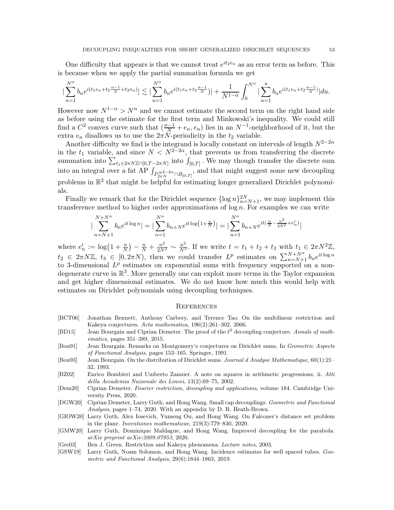One difficulty that appears is that we cannot treat  $e^{it_2e_n}$  as an error term as before. This is because when we apply the partial summation formula we get

$$
|\sum_{n=1}^{N^{\alpha}} b_n e^{i(t_1 e_n + t_2 \frac{n-1}{N} + t_2 e_n)}| \lesssim |\sum_{n=1}^{N^{\alpha}} b_n e^{i(t_1 e_n + t_2 \frac{n-1}{N})}| + \frac{1}{N^{1-\alpha}} \int_0^{N^{\alpha}} |\sum_{n=1}^u b_n e^{i(t_1 e_n + t_2 \frac{n-1}{N})}| du.
$$

However now  $N^{1-\alpha} > N^{\alpha}$  and we cannot estimate the second term on the right hand side as before using the estimate for the first term and Minkowski's inequality. We could still find a  $C^2$  convex curve such that  $(\frac{n-1}{N} + e_n, e_n)$  lies in an  $N^{-1}$ -neighborhood of it, but the extra  $e_n$  disallows us to use the  $2\pi N$ -periodicity in the  $t_2$  variable.

Another difficulty we find is the integrand is locally constant on intervals of length  $N^{2-2\alpha}$ in the  $t_1$  variable, and since  $N < N^{2-2\alpha}$ , that prevents us from transferring the discrete summation into  $\sum_{t_1 \in 2\pi N \mathbb{Z} \cap [0,T-2\pi N]}$  into  $\int_{[0,T]}$ . We may though transfer the discrete sum into an integral over a fat  $\overrightarrow{AP} \int_{P_{2\pi N}^{N^2-2\alpha} \cap B_{[0,T]}}$ , and that might suggest some new decoupling problems in  $\mathbb{R}^2$  that might be helpful for estimating longer generalized Dirichlet polynomials.

Finally we remark that for the Dirichlet sequence  $\{\log n\}_{n=N+1}^{2N}$ , we may implement this transference method to higher order approximations of  $\log n$ . For examples we can write

$$
\left| \sum_{n=N+1}^{N+N^{\alpha}} b_n e^{it \log n} \right| = \left| \sum_{n=1}^{N^{\alpha}} b_{n+N} e^{it \log \left(1+\frac{n}{N}\right)} \right| = \left| \sum_{n=1}^{N^{\alpha}} b_{n+N} e^{it \left( \frac{n}{N} - \frac{n^2}{2N^2} + e'_n \right)} \right|
$$

where  $e'_n := \log(1 + \frac{n}{N}) - \frac{n}{N} + \frac{n^2}{2N^2} \sim \frac{n^3}{N^3}$ . If we write  $t = t_1 + t_2 + t_3$  with  $t_1 \in 2\pi N^2 \mathbb{Z}$ ,  $t_2 \in 2\pi N\mathbb{Z}, t_3 \in [0, 2\pi N),$  then we could transfer  $L^p$  estimates on  $\sum_{n=N+1}^{N+N^{\alpha}} b_n e^{it \log n}$ to 3-dimensional  $L^p$  estimates on exponential sums with frequency supported on a nondegenerate curve in R 3 . More generally one can exploit more terms in the Taylor expansion and get higher dimensional estimates. We do not know how much this would help with estimates on Dirichlet polynomials using decoupling techniques.

#### **REFERENCES**

- <span id="page-52-7"></span>[BCT06] Jonathan Bennett, Anthony Carbery, and Terence Tao. On the multilinear restriction and Kakeya conjectures. *Acta mathematica*, 196(2):261–302, 2006.
- <span id="page-52-0"></span>[BD15] Jean Bourgain and Ciprian Demeter. The proof of the  $\ell^2$  decoupling conjecture. *Annals of mathematics*, pages 351–389, 2015.
- <span id="page-52-1"></span>[Bou91] Jean Bourgain. Remarks on Montgomery's conjectures on Dirichlet sums. In *Geometric Aspects of Functional Analysis*, pages 153–165. Springer, 1991.
- <span id="page-52-2"></span>[Bou93] Jean Bourgain. On the distribution of Dirichlet sums. *Journal d Analyse Mathematique*, 60(1):21– 32, 1993.
- <span id="page-52-8"></span>[BZ02] Enrico Bombieri and Umberto Zannier. A note on squares in arithmetic progressions, ii. *Atti della Accademia Nazionale dei Lincei*, 13(2):69–75, 2002.
- <span id="page-52-10"></span>[Dem20] Ciprian Demeter. *Fourier restriction, decoupling and applications*, volume 184. Cambridge University Press, 2020.
- <span id="page-52-5"></span>[DGW20] Ciprian Demeter, Larry Guth, and Hong Wang. Small cap decouplings. *Geometric and Functional Analysis*, pages 1–74, 2020. With an appendix by D. R. Heath-Brown.
- <span id="page-52-4"></span>[GIOW20] Larry Guth, Alex Iosevich, Yumeng Ou, and Hong Wang. On Falconer's distance set problem in the plane. *Inventiones mathematicae*, 219(3):779–830, 2020.
- <span id="page-52-3"></span>[GMW20] Larry Guth, Dominique Maldague, and Hong Wang. Improved decoupling for the parabola. *arXiv preprint arXiv:2009.07953*, 2020.
- <span id="page-52-6"></span>[Gre03] Ben J. Green. Restriction and Kakeya phenomena. *Lecture notes*, 2003.
- <span id="page-52-9"></span>[GSW19] Larry Guth, Noam Solomon, and Hong Wang. Incidence estimates for well spaced tubes. *Geometric and Functional Analysis*, 29(6):1844–1863, 2019.